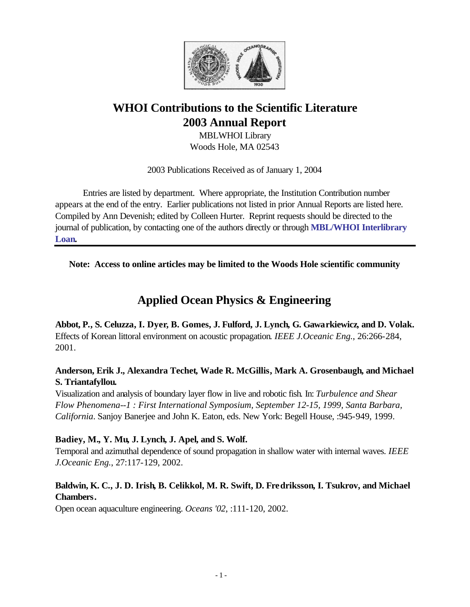

# **WHOI Contributions to the Scientific Literature 2003 Annual Report**

MBLWHOI Library Woods Hole, MA 02543

2003 Publications Received as of January 1, 2004

Entries are listed by department. Where appropriate, the Institution Contribution number appears at the end of the entry. Earlier publications not listed in prior Annual Reports are listed here. Compiled by Ann Devenish; edited by Colleen Hurter. Reprint requests should be directed to the journal of publication, by contacting one of the authors directly or through **[MBL/WHOI Interlibrary](http://www.mblwhoilibrary.org/services/ill/form.html)  [Loan.](http://www.mblwhoilibrary.org/services/ill/form.html)** 

**Note: Access to online articles may be limited to the Woods Hole scientific community**

# **Applied Ocean Physics & Engineering**

**Abbot, P., S. Celuzza, I. Dyer, B. Gomes, J. Fulford, J. Lynch, G. Gawarkiewicz, and D. Volak.** Effects of Korean littoral environment on acoustic propagation. *IEEE J.Oceanic Eng.*, 26:266-284, 2001.

# **Anderson, Erik J., Alexandra Techet, Wade R. McGillis, Mark A. Grosenbaugh, and Michael S. Triantafyllou.**

Visualization and analysis of boundary layer flow in live and robotic fish. In: *Turbulence and Shear Flow Phenomena--1 : First International Symposium, September 12-15, 1999, Santa Barbara, California*. Sanjoy Banerjee and John K. Eaton, eds. New York: Begell House, :945-949, 1999.

### **Badiey, M., Y. Mu, J. Lynch, J. Apel, and S. Wolf.**

Temporal and azimuthal dependence of sound propagation in shallow water with internal waves. *IEEE J.Oceanic Eng.*, 27:117-129, 2002.

# **Baldwin, K. C., J. D. Irish, B. Celikkol, M. R. Swift, D. Fredriksson, I. Tsukrov, and Michael Chambers.**

Open ocean aquaculture engineering. *Oceans '02*, :111-120, 2002.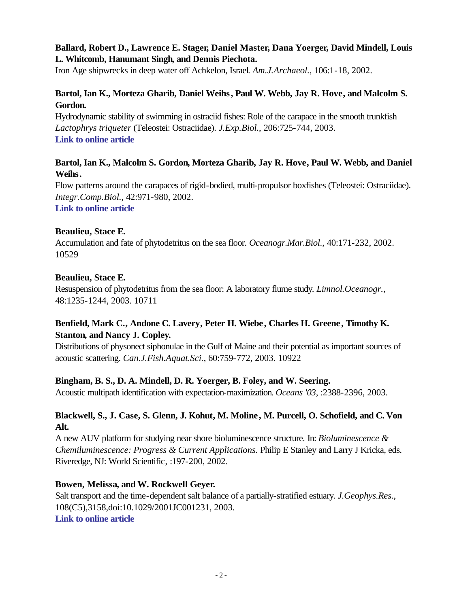# **Ballard, Robert D., Lawrence E. Stager, Daniel Master, Dana Yoerger, David Mindell, Louis L. Whitcomb, Hanumant Singh, and Dennis Piechota.**

Iron Age shipwrecks in deep water off Achkelon, Israel. *Am.J.Archaeol.*, 106:1-18, 2002.

# **Bartol, Ian K., Morteza Gharib, Daniel Weihs, Paul W. Webb, Jay R. Hove, and Malcolm S. Gordon.**

Hydrodynamic stability of swimming in ostraciid fishes: Role of the carapace in the smooth trunkfish *Lactophrys triqueter* (Teleostei: Ostraciidae). *J.Exp.Biol.*, 206:725-744, 2003. **[Link to online article](http://jeb.biologists.org/cgi/reprint/206/4/725.pdf)**

### **Bartol, Ian K., Malcolm S. Gordon, Morteza Gharib, Jay R. Hove, Paul W. Webb, and Daniel Weihs.**

Flow patterns around the carapaces of rigid-bodied, multi-propulsor boxfishes (Teleostei: Ostraciidae). *Integr.Comp.Biol.*, 42:971-980, 2002. **[Link to online article](http://www.bioone.org/pdfserv/i1540-7063-042-05-0971.pdf)**

### **Beaulieu, Stace E.**

Accumulation and fate of phytodetritus on the sea floor. *Oceanogr.Mar.Biol.*, 40:171-232, 2002. 10529

### **Beaulieu, Stace E.**

Resuspension of phytodetritus from the sea floor: A laboratory flume study. *Limnol.Oceanogr.*, 48:1235-1244, 2003. 10711

# **Benfield, Mark C., Andone C. Lavery, Peter H. Wiebe, Charles H. Greene, Timothy K. Stanton, and Nancy J. Copley.**

Distributions of physonect siphonulae in the Gulf of Maine and their potential as important sources of acoustic scattering. *Can.J.Fish.Aquat.Sci.*, 60:759-772, 2003. 10922

### **Bingham, B. S., D. A. Mindell, D. R. Yoerger, B. Foley, and W. Seering.**

Acoustic multipath identification with expectation-maximization. *Oceans '03*, :2388-2396, 2003.

### **Blackwell, S., J. Case, S. Glenn, J. Kohut, M. Moline , M. Purcell, O. Schofield, and C. Von Alt.**

A new AUV platform for studying near shore bioluminescence structure. In: *Bioluminescence & Chemiluminescence: Progress & Current Applications.* Philip E Stanley and Larry J Kricka, eds. Riveredge, NJ: World Scientific, :197-200, 2002.

### **Bowen, Melissa, and W. Rockwell Geyer.**

Salt transport and the time-dependent salt balance of a partially-stratified estuary. *J.Geophys.Res.*, 108(C5),3158,doi:10.1029/2001JC001231, 2003. **[Link to online article](http://www.agu.org/journals/jc/jc0305/2001JC001231/2001JC001231.pdf)**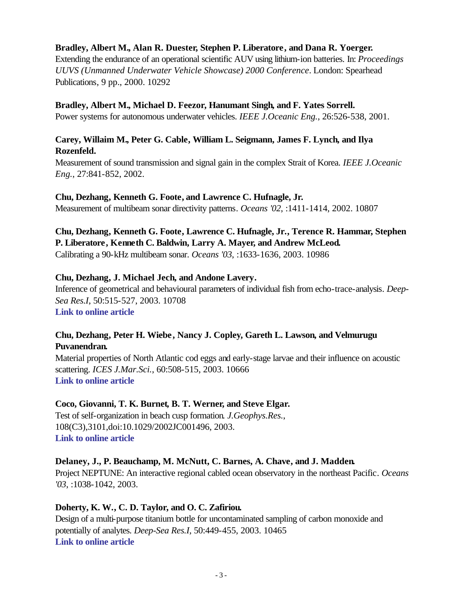### **Bradley, Albert M., Alan R. Duester, Stephen P. Liberatore, and Dana R. Yoerger.**

Extending the endurance of an operational scientific AUV using lithium-ion batteries. In: *Proceedings UUVS (Unmanned Underwater Vehicle Showcase) 2000 Conference*. London: Spearhead Publications, 9 pp., 2000. 10292

### **Bradley, Albert M., Michael D. Feezor, Hanumant Singh, and F. Yates Sorrell.**

Power systems for autonomous underwater vehicles. *IEEE J.Oceanic Eng.*, 26:526-538, 2001.

### **Carey, Willaim M., Peter G. Cable, William L. Seigmann, James F. Lynch, and Ilya Rozenfeld.**

Measurement of sound transmission and signal gain in the complex Strait of Korea. *IEEE J.Oceanic Eng.*, 27:841-852, 2002.

### **Chu, Dezhang, Kenneth G. Foote, and Lawrence C. Hufnagle, Jr.**

Measurement of multibeam sonar directivity patterns. *Oceans '02*, :1411-1414, 2002. 10807

# **Chu, Dezhang, Kenneth G. Foote, Lawrence C. Hufnagle, Jr., Terence R. Hammar, Stephen P. Liberatore, Kenneth C. Baldwin, Larry A. Mayer, and Andrew McLeod.**

Calibrating a 90-kHz multibeam sonar. *Oceans '03*, :1633-1636, 2003. 10986

### **Chu, Dezhang, J. Michael Jech, and Andone Lavery.**

Inference of geometrical and behavioural parameters of individual fish from echo-trace-analysis. *Deep-Sea Res.I*, 50:515-527, 2003. 10708 **[Link to online article](http://www.sciencedirect.com/science?_ob=MImg&_imagekey=B6VGB-4894B16-3-3W&_cdi=6034&_orig=browse&_coverDate=04%2F30%2F2003&_sk=999499995&view=c&wchp=dGLbVzz-zSkWz&_acct=C000011858&_version=1&_userid=142773&md5=06c199fabd36ae188a0fc6e945d1a4b3&ie=f.pdf)**

### **Chu, Dezhang, Peter H. Wiebe, Nancy J. Copley, Gareth L. Lawson, and Velmurugu Puvanendran.**

Material properties of North Atlantic cod eggs and early-stage larvae and their influence on acoustic scattering. *ICES J.Mar.Sci.*, 60:508-515, 2003. 10666 **[Link to online article](http://www.sciencedirect.com/science?_ob=MImg&_imagekey=B6WGG-48V73YP-C-14&_cdi=6822&_orig=browse&_coverDate=06%2F30%2F2003&_sk=999399996&view=c&wchp=dGLbVlb-zSkWz&_acct=C000011858&_version=1&_userid=142773&md5=9143b37dbe6ff576fc32d0f9aed89bd4&ie=f.pdf)**

### **Coco, Giovanni, T. K. Burnet, B. T. Werner, and Steve Elgar.**

Test of self-organization in beach cusp formation. *J.Geophys.Res.*, 108(C3),3101,doi:10.1029/2002JC001496, 2003. **[Link to online article](http://www.agu.org/journals/jc/jc0303/2002JC001496/2002JC001496.pdf)**

#### **Delaney, J., P. Beauchamp, M. McNutt, C. Barnes, A. Chave, and J. Madden.**

Project NEPTUNE: An interactive regional cabled ocean observatory in the northeast Pacific. *Oceans '03*, :1038-1042, 2003.

#### **Doherty, K. W., C. D. Taylor, and O. C. Zafiriou.**

Design of a multi-purpose titanium bottle for uncontaminated sampling of carbon monoxide and potentially of analytes. *Deep-Sea Res.I*, 50:449-455, 2003. 10465 **[Link to online article](http://www.sciencedirect.com/science?_ob=MImg&_imagekey=B6VGB-48B0SVC-2-5&_cdi=6034&_orig=browse&_coverDate=03%2F31%2F2003&_sk=999499996&view=c&wchp=dGLbVtz-zSkzV&_acct=C000011858&_version=1&_userid=142773&md5=7d6ce4f8bb5c15d17a93b1a743072a6a&ie=f.pdf)**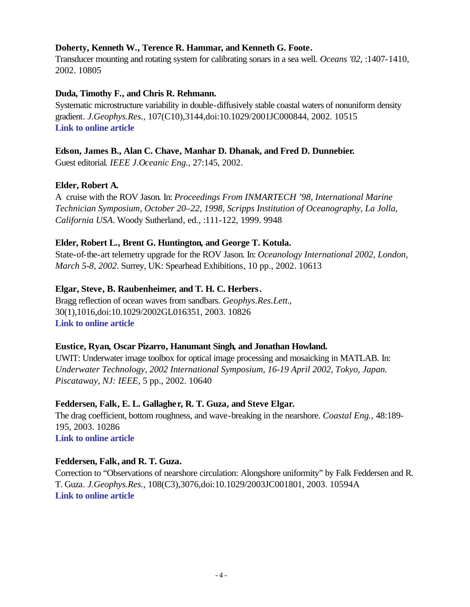### **Doherty, Kenneth W., Terence R. Hammar, and Kenneth G. Foote.**

Transducer mounting and rotating system for calibrating sonars in a sea well. *Oceans '02*, :1407-1410, 2002. 10805

### **Duda, Timothy F., and Chris R. Rehmann.**

Systematic microstructure variability in double-diffusively stable coastal waters of nonuniform density gradient. *J.Geophys.Res.*, 107(C10),3144,doi:10.1029/2001JC000844, 2002. 10515 **[Link to online article](http://www.agu.org/journals/jc/jc0210/2001JC000844/2001JC000844.pdf)**

### **Edson, James B., Alan C. Chave, Manhar D. Dhanak, and Fred D. Dunnebier.**

Guest editorial. *IEEE J.Oceanic Eng.*, 27:145, 2002.

### **Elder, Robert A.**

A cruise with the ROV Jason. In: *Proceedings From INMARTECH '98, International Marine Technician Symposium, October 20–22, 1998, Scripps Institution of Oceanography, La Jolla, California USA*. Woody Sutherland, ed., :111-122, 1999. 9948

### **Elder, Robert L., Brent G. Huntington, and George T. Kotula.**

State-of-the-art telemetry upgrade for the ROV Jason. In: *Oceanology International 2002, London, March 5-8, 2002*. Surrey, UK: Spearhead Exhibitions, 10 pp., 2002. 10613

### **Elgar, Steve, B. Raubenheimer, and T. H. C. Herbers.**

Bragg reflection of ocean waves from sandbars. *Geophys.Res.Lett.*, 30(1),1016,doi:10.1029/2002GL016351, 2003. 10826 **[Link to online article](http://www.agu.org/journals/gl/gl0301/2002GL016351/2002GL016351.pdf)**

### **Eustice, Ryan, Oscar Pizarro, Hanumant Singh, and Jonathan Howland.**

UWIT: Underwater image toolbox for optical image processing and mosaicking in MATLAB. In: *Underwater Technology, 2002 International Symposium, 16-19 April 2002, Tokyo, Japan. Piscataway, NJ: IEEE*, 5 pp., 2002. 10640

### **Feddersen, Falk, E. L. Gallagher, R. T. Guza, and Steve Elgar.**

The drag coefficient, bottom roughness, and wave-breaking in the nearshore. *Coastal Eng.*, 48:189- 195, 2003. 10286 **[Link to online article](http://www.sciencedirect.com/science?_ob=MImg&_imagekey=B6VCX-48TMHN3-1-N&_cdi=5966&_orig=browse&_coverDate=06%2F30%2F2003&_sk=999519996&view=c&wchp=dGLbVlz-zSkWz&_acct=C000011858&_version=1&_userid=142773&md5=df4445ef5c9b29da53782ad7df4fbb8e&ie=f.pdf)**

### **Feddersen, Falk, and R. T. Guza.**

Correction to "Observations of nearshore circulation: Alongshore uniformity" by Falk Feddersen and R. T. Guza. *J.Geophys.Res.*, 108(C3),3076,doi:10.1029/2003JC001801, 2003. 10594A **[Link to online article](http://www.agu.org/journals/jc/jc0303/2003JC001801/2003JC001801.pdf)**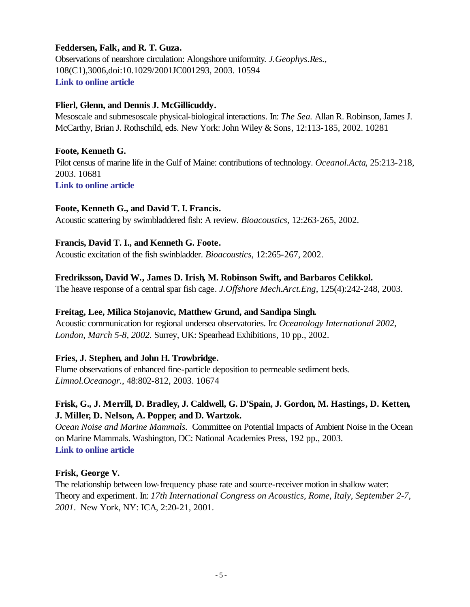### **Feddersen, Falk, and R. T. Guza.**

Observations of nearshore circulation: Alongshore uniformity. *J.Geophys.Res.*, 108(C1),3006,doi:10.1029/2001JC001293, 2003. 10594 **[Link to online article](http://www.agu.org/journals/jc/jc0301/2001JC001293/2001JC001293.pdf)**

### **Flierl, Glenn, and Dennis J. McGillicuddy.**

Mesoscale and submesoscale physical-biological interactions. In: *The Sea.* Allan R. Robinson, James J. McCarthy, Brian J. Rothschild, eds. New York: John Wiley & Sons, 12:113-185, 2002. 10281

### **Foote, Kenneth G.**

Pilot census of marine life in the Gulf of Maine: contributions of technology. *Oceanol.Acta*, 25:213-218, 2003. 10681

**[Link to online article](http://www.sciencedirect.com/science?_ob=MImg&_imagekey=B6VSN-48CDMFC-6-6&_cdi=6267&_orig=browse&_coverDate=10%2F31%2F2002&_sk=999749994&view=c&wchp=dGLbVlz-zSkWz&_acct=C000011858&_version=1&_userid=142773&md5=77560cd466098c9dd9dacc44f60ef59c&ie=f.pdf)**

### **Foote, Kenneth G., and David T. I. Francis.**

Acoustic scattering by swimbladdered fish: A review. *Bioacoustics*, 12:263-265, 2002.

### **Francis, David T. I., and Kenneth G. Foote.**

Acoustic excitation of the fish swinbladder. *Bioacoustics*, 12:265-267, 2002.

### **Fredriksson, David W., James D. Irish, M. Robinson Swift, and Barbaros Celikkol.**

The heave response of a central spar fish cage. *J.Offshore Mech.Arct.Eng*, 125(4):242-248, 2003.

### **Freitag, Lee, Milica Stojanovic, Matthew Grund, and Sandipa Singh.**

Acoustic communication for regional undersea observatories. In: *Oceanology International 2002, London, March 5-8, 2002.* Surrey, UK: Spearhead Exhibitions, 10 pp., 2002.

### **Fries, J. Stephen, and John H. Trowbridge.**

Flume observations of enhanced fine-particle deposition to permeable sediment beds. *Limnol.Oceanogr.*, 48:802-812, 2003. 10674

# **Frisk, G., J. Merrill, D. Bradley, J. Caldwell, G. D'Spain, J. Gordon, M. Hastings, D. Ketten, J. Miller, D. Nelson, A. Popper, and D. Wartzok.**

*Ocean Noise and Marine Mammals.* Committee on Potential Impacts of Ambient Noise in the Ocean on Marine Mammals. Washington, DC: National Academies Press, 192 pp., 2003. **[Link to online article](http://www.nap.edu/openbook/0309085365/html/)**

### **Frisk, George V.**

The relationship between low-frequency phase rate and source-receiver motion in shallow water: Theory and experiment. In: *17th International Congress on Acoustics, Rome, Italy, September 2-7, 2001*. New York, NY: ICA, 2:20-21, 2001.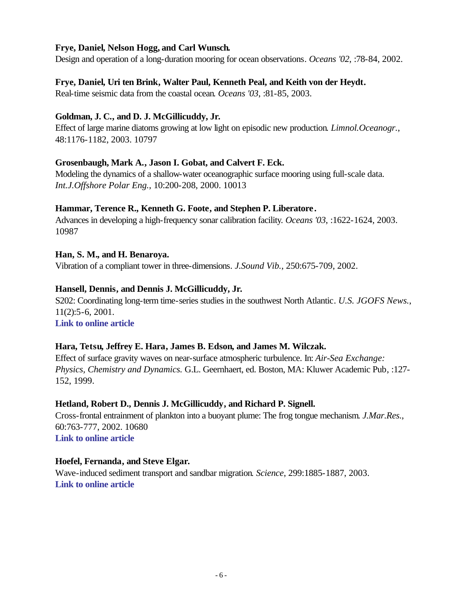### **Frye, Daniel, Nelson Hogg, and Carl Wunsch.**

Design and operation of a long-duration mooring for ocean observations. *Oceans '02*, :78-84, 2002.

### **Frye, Daniel, Uri ten Brink, Walter Paul, Kenneth Peal, and Keith von der Heydt.**

Real-time seismic data from the coastal ocean. *Oceans '03*, :81-85, 2003.

### **Goldman, J. C., and D. J. McGillicuddy, Jr.**

Effect of large marine diatoms growing at low light on episodic new production. *Limnol.Oceanogr.*, 48:1176-1182, 2003. 10797

### **Grosenbaugh, Mark A., Jason I. Gobat, and Calvert F. Eck.**

Modeling the dynamics of a shallow-water oceanographic surface mooring using full-scale data. *Int.J.Offshore Polar Eng.*, 10:200-208, 2000. 10013

### **Hammar, Terence R., Kenneth G. Foote, and Stephen P. Liberatore.**

Advances in developing a high-frequency sonar calibration facility. *Oceans '03*, :1622-1624, 2003. 10987

### **Han, S. M., and H. Benaroya.**

Vibration of a compliant tower in three-dimensions. *J.Sound Vib.*, 250:675-709, 2002.

### **Hansell, Dennis, and Dennis J. McGillicuddy, Jr.**

S202: Coordinating long-term time-series studies in the southwest North Atlantic. *U.S. JGOFS News.*, 11(2):5-6, 2001.

**[Link to online article](http://usjgofs.whoi.edu/general_info/vol112.pdf)**

### **Hara, Tetsu, Jeffrey E. Hara, James B. Edson, and James M. Wilczak.**

Effect of surface gravity waves on near-surface atmospheric turbulence. In: *Air-Sea Exchange: Physics, Chemistry and Dynamics.* G.L. Geernhaert, ed. Boston, MA: Kluwer Academic Pub, :127- 152, 1999.

### **Hetland, Robert D., Dennis J. McGillicuddy, and Richard P. Signell.**

Cross-frontal entrainment of plankton into a buoyant plume: The frog tongue mechanism. *J.Mar.Res.*, 60:763-777, 2002. 10680 **[Link to online article](http://taddeo.ingentaselect.com/vl=1564406/cl=152/nw=1/fm=docpdf/rpsv/cw/jmr/00222402/v60n6/s1/p763)**

### **Hoefel, Fernanda, and Steve Elgar.**

Wave-induced sediment transport and sandbar migration. *Science*, 299:1885-1887, 2003. **[Link to online article](http://www.sciencemag.org/cgi/reprint/299/5614/1885.pdf)**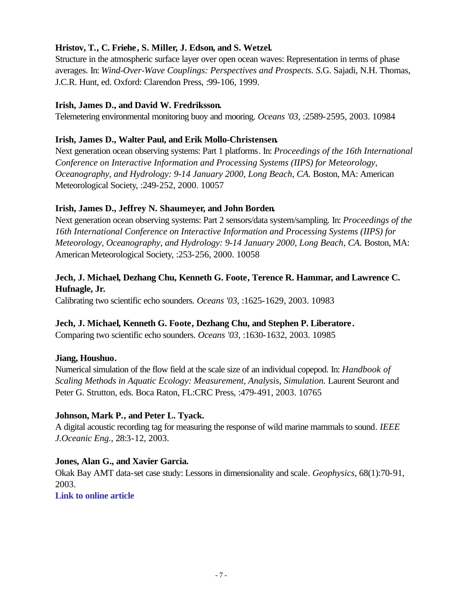# **Hristov, T., C. Friehe, S. Miller, J. Edson, and S. Wetzel.**

Structure in the atmospheric surface layer over open ocean waves: Representation in terms of phase averages. In: *Wind-Over-Wave Couplings: Perspectives and Prospects. S*.G. Sajadi, N.H. Thomas, J.C.R. Hunt, ed. Oxford: Clarendon Press, :99-106, 1999.

### **Irish, James D., and David W. Fredriksson.**

Telemetering environmental monitoring buoy and mooring. *Oceans '03*, :2589-2595, 2003. 10984

# **Irish, James D., Walter Paul, and Erik Mollo-Christensen.**

Next generation ocean observing systems: Part 1 platforms. In: *Proceedings of the 16th International Conference on Interactive Information and Processing Systems (IIPS) for Meteorology, Oceanography, and Hydrology: 9-14 January 2000, Long Beach, CA. Boston, MA: American* Meteorological Society, :249-252, 2000. 10057

# **Irish, James D., Jeffrey N. Shaumeyer, and John Borden.**

Next generation ocean observing systems: Part 2 sensors/data system/sampling. In: *Proceedings of the 16th International Conference on Interactive Information and Processing Systems (IIPS) for Meteorology, Oceanography, and Hydrology: 9-14 January 2000, Long Beach, CA. Boston, MA:* American Meteorological Society, :253-256, 2000. 10058

# **Jech, J. Michael, Dezhang Chu, Kenneth G. Foote, Terence R. Hammar, and Lawrence C. Hufnagle, Jr.**

Calibrating two scientific echo sounders. *Oceans '03*, :1625-1629, 2003. 10983

### **Jech, J. Michael, Kenneth G. Foote, Dezhang Chu, and Stephen P. Liberatore.**

Comparing two scientific echo sounders. *Oceans '03*, :1630-1632, 2003. 10985

### **Jiang, Houshuo.**

Numerical simulation of the flow field at the scale size of an individual copepod. In: *Handbook of Scaling Methods in Aquatic Ecology: Measurement, Analysis, Simulation.* Laurent Seuront and Peter G. Strutton, eds. Boca Raton, FL:CRC Press, :479-491, 2003. 10765

### **Johnson, Mark P., and Peter L. Tyack.**

A digital acoustic recording tag for measuring the response of wild marine mammals to sound. *IEEE J.Oceanic Eng.*, 28:3-12, 2003.

# **Jones, Alan G., and Xavier Garcia.**

Okak Bay AMT data-set case study: Lessons in dimensionality and scale. *Geophysics*, 68(1):70-91, 2003.

### **[Link to online article](http://ojps.aip.org/getpdf/servlet/GetPDFServlet?filetype=pdf&id=GPYSA7000068000001000070000001&idtype=cvips)**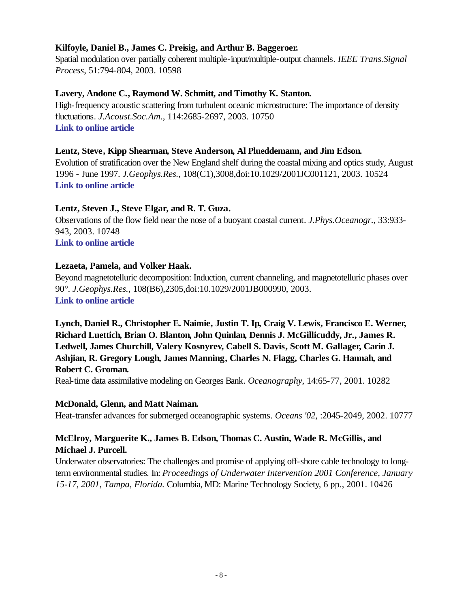### **Kilfoyle, Daniel B., James C. Preisig, and Arthur B. Baggeroer.**

Spatial modulation over partially coherent multiple-input/multiple-output channels. *IEEE Trans.Signal Process*, 51:794-804, 2003. 10598

### **Lavery, Andone C., Raymond W. Schmitt, and Timothy K. Stanton.**

High-frequency acoustic scattering from turbulent oceanic microstructure: The importance of density fluctuations. *J.Acoust.Soc.Am.*, 114:2685-2697, 2003. 10750 **[Link to online article](http://ojps.aip.org/getpdf/servlet/GetPDFServlet?filetype=pdf&id=JASMAN000114000005002685000001&idtype=cvips)**

### **Lentz, Steve, Kipp Shearman, Steve Anderson, Al Plueddemann, and Jim Edson.**

Evolution of stratification over the New England shelf during the coastal mixing and optics study, August 1996 - June 1997. *J.Geophys.Res.*, 108(C1),3008,doi:10.1029/2001JC001121, 2003. 10524 **[Link to online article](http://www.agu.org/journals/jc/jc0301/2001JC001121/2001JC001121.pdf)**

### **Lentz, Steven J., Steve Elgar, and R. T. Guza.**

Observations of the flow field near the nose of a buoyant coastal current. *J.Phys.Oceanogr.*, 33:933- 943, 2003. 10748 **[Link to online article](http://ams.allenpress.com/pdfserv/i1520-0485-033-04-0933.pdf)**

### **Lezaeta, Pamela, and Volker Haak.**

Beyond magnetotelluric decomposition: Induction, current channeling, and magnetotelluric phases over 90°. *J.Geophys.Res.*, 108(B6),2305,doi:10.1029/2001JB000990, 2003. **[Link to online article](http://www.agu.org/journals/jb/jb0306/2001JB000990/2001JB000990.pdf)**

**Lynch, Daniel R., Christopher E. Naimie, Justin T. Ip, Craig V. Lewis, Francisco E. Werner, Richard Luettich, Brian O. Blanton, John Quinlan, Dennis J. McGillicuddy, Jr., James R. Ledwell, James Churchill, Valery Kosnyrev, Cabell S. Davis, Scott M. Gallager, Carin J. Ashjian, R. Gregory Lough, James Manning, Charles N. Flagg, Charles G. Hannah, and Robert C. Groman.**

Real-time data assimilative modeling on Georges Bank. *Oceanography*, 14:65-77, 2001. 10282

### **McDonald, Glenn, and Matt Naiman.**

Heat-transfer advances for submerged oceanographic systems. *Oceans '02*, :2045-2049, 2002. 10777

### **McElroy, Marguerite K., James B. Edson, Thomas C. Austin, Wade R. McGillis, and Michael J. Purcell.**

Underwater observatories: The challenges and promise of applying off-shore cable technology to longterm environmental studies. In: *Proceedings of Underwater Intervention 2001 Conference, January 15-17, 2001, Tampa, Florida.* Columbia, MD: Marine Technology Society, 6 pp., 2001. 10426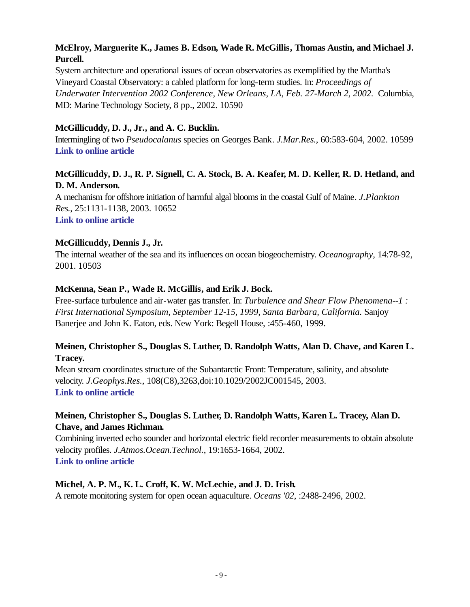# **McElroy, Marguerite K., James B. Edson, Wade R. McGillis, Thomas Austin, and Michael J. Purcell.**

System architecture and operational issues of ocean observatories as exemplified by the Martha's Vineyard Coastal Observatory: a cabled platform for long-term studies. In: *Proceedings of Underwater Intervention 2002 Conference, New Orleans, LA, Feb. 27-March 2, 2002.* Columbia, MD: Marine Technology Society, 8 pp., 2002. 10590

### **McGillicuddy, D. J., Jr., and A. C. Bucklin.**

Intermingling of two *Pseudocalanus* species on Georges Bank. *J.Mar.Res.*, 60:583-604, 2002. 10599 **[Link to online article](http://taddeo.ingentaselect.com/vl=1564406/cl=152/nw=1/fm=docpdf/rpsv/cw/jmr/00222402/v60n4/s3/p583)**

# **McGillicuddy, D. J., R. P. Signell, C. A. Stock, B. A. Keafer, M. D. Keller, R. D. Hetland, and D. M. Anderson.**

A mechanism for offshore initiation of harmful algal blooms in the coastal Gulf of Maine. *J.Plankton Res.*, 25:1131-1138, 2003. 10652 **[Link to online article](http://ams.allenpress.com/pdfserv/i1520-0485-031-01-0212.pdf)**

# **McGillicuddy, Dennis J., Jr.**

The internal weather of the sea and its influences on ocean biogeochemistry. *Oceanography*, 14:78-92, 2001. 10503

# **McKenna, Sean P., Wade R. McGillis, and Erik J. Bock.**

Free-surface turbulence and air-water gas transfer. In: *Turbulence and Shear Flow Phenomena--1 : First International Symposium, September 12-15, 1999, Santa Barbara, California.* Sanjoy Banerjee and John K. Eaton, eds. New York: Begell House, :455-460, 1999.

# **Meinen, Christopher S., Douglas S. Luther, D. Randolph Watts, Alan D. Chave, and Karen L. Tracey.**

Mean stream coordinates structure of the Subantarctic Front: Temperature, salinity, and absolute velocity. *J.Geophys.Res.*, 108(C8),3263,doi:10.1029/2002JC001545, 2003. **[Link to online article](http://www.agu.org/journals/jc/jc0308/2002JC001545/2002JC001545.pdf)**

# **Meinen, Christopher S., Douglas S. Luther, D. Randolph Watts, Karen L. Tracey, Alan D. Chave, and James Richman.**

Combining inverted echo sounder and horizontal electric field recorder measurements to obtain absolute velocity profiles. *J.Atmos.Ocean.Technol.*, 19:1653-1664, 2002. **[Link to online article](http://ams.allenpress.com/pdfserv/i1520-0426-019-10-1653.pdf)**

### **Michel, A. P. M., K. L. Croff, K. W. McLechie, and J. D. Irish.**

A remote monitoring system for open ocean aquaculture. *Oceans '02*, :2488-2496, 2002.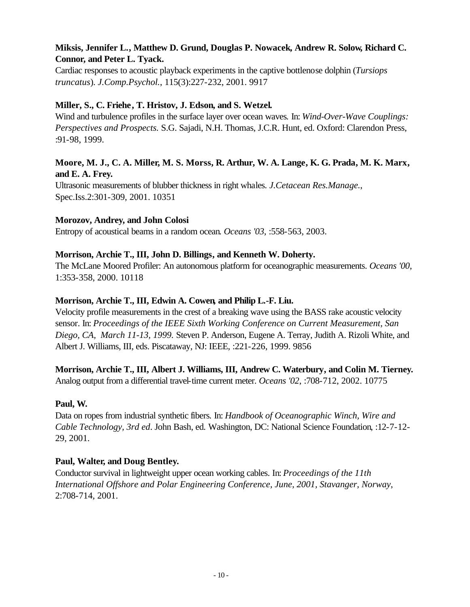# **Miksis, Jennifer L., Matthew D. Grund, Douglas P. Nowacek, Andrew R. Solow, Richard C. Connor, and Peter L. Tyack.**

Cardiac responses to acoustic playback experiments in the captive bottlenose dolphin (*Tursiops truncatus*). *J.Comp.Psychol.*, 115(3):227-232, 2001. 9917

# **Miller, S., C. Friehe, T. Hristov, J. Edson, and S. Wetzel.**

Wind and turbulence profiles in the surface layer over ocean waves*.* In: *Wind-Over-Wave Couplings: Perspectives and Prospects.* S.G. Sajadi, N.H. Thomas, J.C.R. Hunt, ed. Oxford: Clarendon Press, :91-98, 1999.

# **Moore, M. J., C. A. Miller, M. S. Morss, R. Arthur, W. A. Lange, K. G. Prada, M. K. Marx, and E. A. Frey.**

Ultrasonic measurements of blubber thickness in right whales. *J.Cetacean Res.Manage.*, Spec.Iss.2:301-309, 2001. 10351

### **Morozov, Andrey, and John Colosi**

Entropy of acoustical beams in a random ocean. *Oceans '03*, :558-563, 2003.

# **Morrison, Archie T., III, John D. Billings, and Kenneth W. Doherty.**

The McLane Moored Profiler: An autonomous platform for oceanographic measurements. *Oceans '00*, 1:353-358, 2000. 10118

# **Morrison, Archie T., III, Edwin A. Cowen, and Philip L.-F. Liu.**

Velocity profile measurements in the crest of a breaking wave using the BASS rake acoustic velocity sensor. In: *Proceedings of the IEEE Sixth Working Conference on Current Measurement, San Diego, CA, March 11-13, 1999.* Steven P. Anderson, Eugene A. Terray, Judith A. Rizoli White, and Albert J. Williams, III, eds. Piscataway, NJ: IEEE, :221-226, 1999. 9856

### **Morrison, Archie T., III, Albert J. Williams, III, Andrew C. Waterbury, and Colin M. Tierney.**

Analog output from a differential travel-time current meter. *Oceans '02*, :708-712, 2002. 10775

### **Paul, W.**

Data on ropes from industrial synthetic fibers*.* In: *Handbook of Oceanographic Winch, Wire and Cable Technology, 3rd ed*. John Bash, ed*.* Washington, DC: National Science Foundation, :12-7-12- 29, 2001.

# **Paul, Walter, and Doug Bentley.**

Conductor survival in lightweight upper ocean working cables. In: *Proceedings of the 11th International Offshore and Polar Engineering Conference, June, 2001, Stavanger, Norway*, 2:708-714, 2001.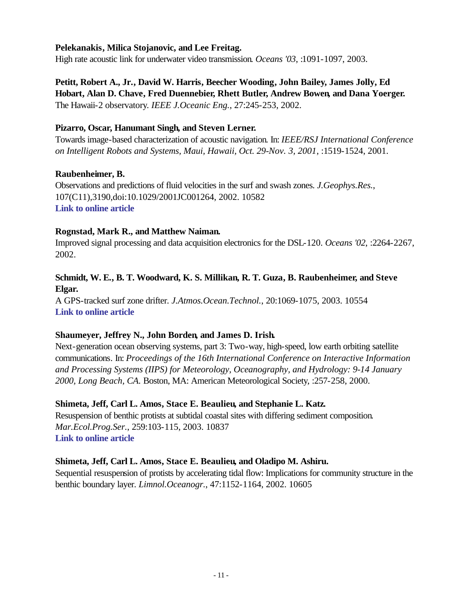### **Pelekanakis, Milica Stojanovic, and Lee Freitag.**

High rate acoustic link for underwater video transmission. *Oceans '03*, :1091-1097, 2003.

**Petitt, Robert A., Jr., David W. Harris, Beecher Wooding, John Bailey, James Jolly, Ed Hobart, Alan D. Chave, Fred Duennebier, Rhett Butler, Andrew Bowen, and Dana Yoerger.** The Hawaii-2 observatory. *IEEE J.Oceanic Eng.*, 27:245-253, 2002.

### **Pizarro, Oscar, Hanumant Singh, and Steven Lerner.**

Towards image-based characterization of acoustic navigation. In: *IEEE/RSJ International Conference on Intelligent Robots and Systems, Maui, Hawaii, Oct. 29-Nov. 3, 2001*, :1519-1524, 2001.

### **Raubenheimer, B.**

Observations and predictions of fluid velocities in the surf and swash zones. *J.Geophys.Res.*, 107(C11),3190,doi:10.1029/2001JC001264, 2002. 10582 **[Link to online article](http://www.agu.org/journals/jc/jc0211/2001JC001264/2001JC001264.pdf)**

### **Rognstad, Mark R., and Matthew Naiman.**

Improved signal processing and data acquisition electronics for the DSL-120. *Oceans '02*, :2264-2267, 2002.

# **Schmidt, W. E., B. T. Woodward, K. S. Millikan, R. T. Guza, B. Raubenheimer, and Steve Elgar.**

A GPS-tracked surf zone drifter. *J.Atmos.Ocean.Technol.*, 20:1069-1075, 2003. 10554 **[Link to online article](http://ams.allenpress.com/pdfserv/i1520-0426-020-07-1069.pdf)**

### **Shaumeyer, Jeffrey N., John Borden, and James D. Irish.**

Next-generation ocean observing systems, part 3: Two-way, high-speed, low earth orbiting satellite communications. In: *Proceedings of the 16th International Conference on Interactive Information and Processing Systems (IIPS) for Meteorology, Oceanography, and Hydrology: 9-14 January 2000, Long Beach, CA.* Boston, MA: American Meteorological Society, :257-258, 2000.

### **Shimeta, Jeff, Carl L. Amos, Stace E. Beaulieu, and Stephanie L. Katz.**

Resuspension of benthic protists at subtidal coastal sites with differing sediment composition. *Mar.Ecol.Prog.Ser.*, 259:103-115, 2003. 10837 **[Link to online article](http://www.int-res.com/articles/meps2003/259/m259p103.pdf)**

### **Shimeta, Jeff, Carl L. Amos, Stace E. Beaulieu, and Oladipo M. Ashiru.**

Sequential resuspension of protists by accelerating tidal flow: Implications for community structure in the benthic boundary layer. *Limnol.Oceanogr.*, 47:1152-1164, 2002. 10605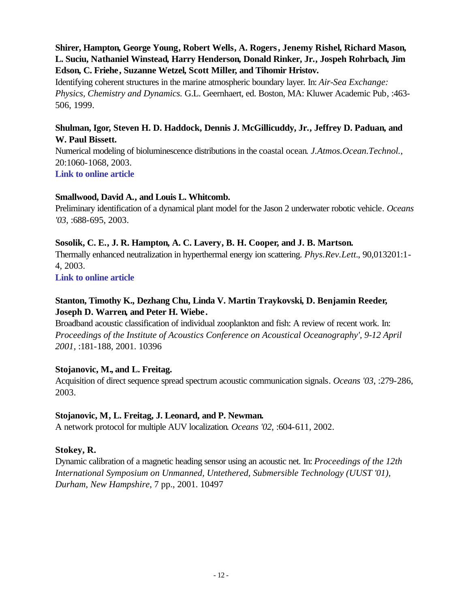# **Shirer, Hampton, George Young, Robert Wells, A. Rogers, Jenemy Rishel, Richard Mason, L. Suciu, Nathaniel Winstead, Harry Henderson, Donald Rinker, Jr., Jospeh Rohrbach, Jim Edson, C. Friehe, Suzanne Wetzel, Scott Miller, and Tihomir Hristov.**

Identifying coherent structures in the marine atmospheric boundary layer*.* In: *Air-Sea Exchange: Physics, Chemistry and Dynamics.* G.L. Geernhaert, ed. Boston, MA: Kluwer Academic Pub, :463- 506, 1999.

# **Shulman, Igor, Steven H. D. Haddock, Dennis J. McGillicuddy, Jr., Jeffrey D. Paduan, and W. Paul Bissett.**

Numerical modeling of bioluminescence distributions in the coastal ocean. *J.Atmos.Ocean.Technol.*, 20:1060-1068, 2003.

**[Link to online article](http://ams.allenpress.com/pdfserv/i1520-0426-020-07-1060.pdf)**

# **Smallwood, David A., and Louis L. Whitcomb.**

Preliminary identification of a dynamical plant model for the Jason 2 underwater robotic vehicle. *Oceans '03*, :688-695, 2003.

# **Sosolik, C. E., J. R. Hampton, A. C. Lavery, B. H. Cooper, and J. B. Martson.**

Thermally enhanced neutralization in hyperthermal energy ion scattering. *Phys.Rev.Lett.*, 90,013201:1- 4, 2003.

**[Link to online article](http://ojps.aip.org/getpdf/servlet/GetPDFServlet?filetype=pdf&id=PRLTAO000090000001013201000001&idtype=cvips)**

# **Stanton, Timothy K., Dezhang Chu, Linda V. Martin Traykovski, D. Benjamin Reeder, Joseph D. Warren, and Peter H. Wiebe.**

Broadband acoustic classification of individual zooplankton and fish: A review of recent work. In: *Proceedings of the Institute of Acoustics Conference on Acoustical Oceanography', 9-12 April 2001*, :181-188, 2001. 10396

# **Stojanovic, M., and L. Freitag.**

Acquisition of direct sequence spread spectrum acoustic communication signals. *Oceans '03*, :279-286, 2003.

# **Stojanovic, M, L. Freitag, J. Leonard, and P. Newman.**

A network protocol for multiple AUV localization. *Oceans '02*, :604-611, 2002.

# **Stokey, R.**

Dynamic calibration of a magnetic heading sensor using an acoustic net. In: *Proceedings of the 12th International Symposium on Unmanned, Untethered, Submersible Technology (UUST '01), Durham, New Hampshire*, 7 pp., 2001. 10497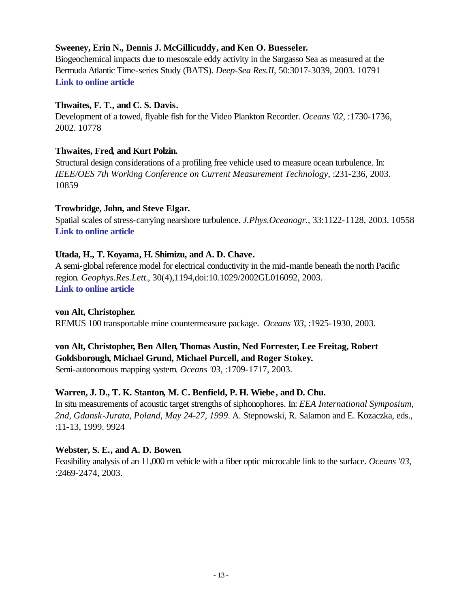### **Sweeney, Erin N., Dennis J. McGillicuddy, and Ken O. Buesseler.**

Biogeochemical impacts due to mesoscale eddy activity in the Sargasso Sea as measured at the Bermuda Atlantic Time-series Study (BATS). *Deep-Sea Res.II*, 50:3017-3039, 2003. 10791 **[Link to online article](http://www.sciencedirect.com/science?_ob=MImg&_imagekey=B6VGC-49Y3VW2-1-17&_cdi=6035&_orig=search&_coverDate=12%2F31%2F2003&_sk=999499977&view=c&wchp=dGLbVlz-zSkzk&_acct=C000011858&_version=1&_userid=142773&md5=f4da27e142c19a1b33f5f335ebd7f2ef&ie=f.pdf)**

### **Thwaites, F. T., and C. S. Davis.**

Development of a towed, flyable fish for the Video Plankton Recorder. *Oceans '02*, :1730-1736, 2002. 10778

### **Thwaites, Fred, and Kurt Polzin.**

Structural design considerations of a profiling free vehicle used to measure ocean turbulence. In: *IEEE/OES 7th Working Conference on Current Measurement Technology*, :231-236, 2003. 10859

### **Trowbridge, John, and Steve Elgar.**

Spatial scales of stress-carrying nearshore turbulence. *J.Phys.Oceanogr.*, 33:1122-1128, 2003. 10558 **[Link to online article](http://ams.allenpress.com/pdfserv/i1520-0485-033-05-1122.pdf)**

### **Utada, H., T. Koyama, H. Shimizu, and A. D. Chave.**

A semi-global reference model for electrical conductivity in the mid-mantle beneath the north Pacific region. *Geophys.Res.Lett.*, 30(4),1194,doi:10.1029/2002GL016092, 2003. **[Link to online article](http://www.agu.org/journals/gl/gl0304/2002GL016092/2002GL016092.pdf)**

### **von Alt, Christopher.**

REMUS 100 transportable mine countermeasure package. *Oceans '03*, :1925-1930, 2003.

### **von Alt, Christopher, Ben Allen, Thomas Austin, Ned Forrester, Lee Freitag, Robert Goldsborough, Michael Grund, Michael Purcell, and Roger Stokey.**

Semi-autonomous mapping system. *Oceans '03*, :1709-1717, 2003.

### **Warren, J. D., T. K. Stanton, M. C. Benfield, P. H. Wiebe, and D. Chu.**

In situ measurements of acoustic target strengths of siphonophores. In: *EEA International Symposium, 2nd, Gdansk-Jurata, Poland, May 24-27, 1999*. A. Stepnowski, R. Salamon and E. Kozaczka, eds., :11-13, 1999. 9924

### **Webster, S. E., and A. D. Bowen.**

Feasibility analysis of an 11,000 m vehicle with a fiber optic microcable link to the surface. *Oceans '03*, :2469-2474, 2003.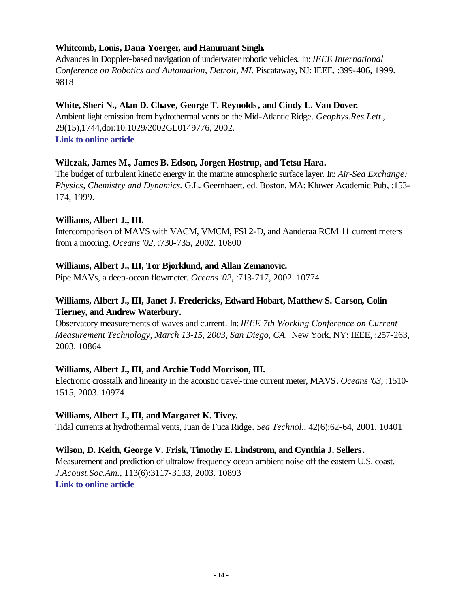### **Whitcomb, Louis, Dana Yoerger, and Hanumant Singh.**

Advances in Doppler-based navigation of underwater robotic vehicles*.* In: *IEEE International Conference on Robotics and Automation, Detroit, MI.* Piscataway, NJ: IEEE, :399-406, 1999. 9818

### **White, Sheri N., Alan D. Chave, George T. Reynolds, and Cindy L. Van Dover.**

Ambient light emission from hydrothermal vents on the Mid-Atlantic Ridge. *Geophys.Res.Lett.*, 29(15),1744,doi:10.1029/2002GL0149776, 2002. **[Link to online article](http://www.agu.org/journals/gl/gl0215/2002GL014977/2002GL014977.pdf)**

### **Wilczak, James M., James B. Edson, Jorgen Hostrup, and Tetsu Hara.**

The budget of turbulent kinetic energy in the marine atmospheric surface layer. In: *Air-Sea Exchange: Physics, Chemistry and Dynamics.* G.L. Geernhaert, ed. Boston, MA: Kluwer Academic Pub, :153- 174, 1999.

### **Williams, Albert J., III.**

Intercomparison of MAVS with VACM, VMCM, FSI 2-D, and Aanderaa RCM 11 current meters from a mooring. *Oceans '02*, :730-735, 2002. 10800

### **Williams, Albert J., III, Tor Bjorklund, and Allan Zemanovic.**

Pipe MAVs, a deep-ocean flowmeter. *Oceans '02*, :713-717, 2002. 10774

# **Williams, Albert J., III, Janet J. Fredericks, Edward Hobart, Matthew S. Carson, Colin Tierney, and Andrew Waterbury.**

Observatory measurements of waves and current. In: *IEEE 7th Working Conference on Current Measurement Technology, March 13-15, 2003, San Diego, CA*. New York, NY: IEEE, :257-263, 2003. 10864

### **Williams, Albert J., III, and Archie Todd Morrison, III.**

Electronic crosstalk and linearity in the acoustic travel-time current meter, MAVS. *Oceans '03*, :1510- 1515, 2003. 10974

### **Williams, Albert J., III, and Margaret K. Tivey.**

Tidal currents at hydrothermal vents, Juan de Fuca Ridge. *Sea Technol.*, 42(6):62-64, 2001. 10401

### **Wilson, D. Keith, George V. Frisk, Timothy E. Lindstrom, and Cynthia J. Sellers.**

Measurement and prediction of ultralow frequency ocean ambient noise off the eastern U.S. coast. *J.Acoust.Soc.Am.*, 113(6):3117-3133, 2003. 10893 **[Link to online article](http://ojps.aip.org/getpdf/servlet/GetPDFServlet?filetype=pdf&id=JASMAN000113000006003117000001&idtype=cvips)**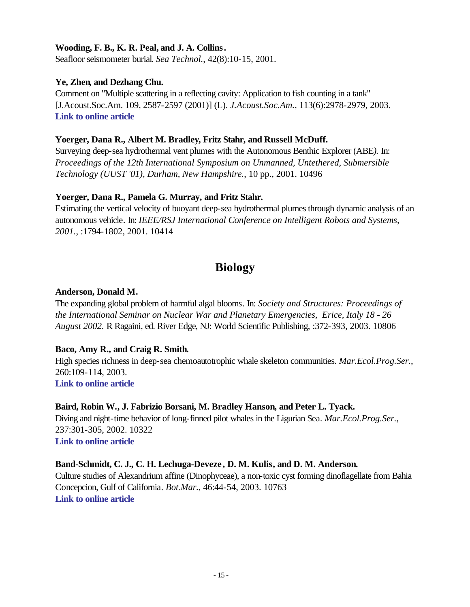### **Wooding, F. B., K. R. Peal, and J. A. Collins.**

Seafloor seismometer burial. *Sea Technol.*, 42(8):10-15, 2001.

### **Ye, Zhen, and Dezhang Chu.**

Comment on "Multiple scattering in a reflecting cavity: Application to fish counting in a tank" [J.Acoust.Soc.Am. 109, 2587-2597 (2001)] (L). *J.Acoust.Soc.Am.*, 113(6):2978-2979, 2003. **[Link to online article](http://ojps.aip.org/getpdf/servlet/GetPDFServlet?filetype=pdf&id=JASMAN000113000006002978000001&idtype=cvips)**

### **Yoerger, Dana R., Albert M. Bradley, Fritz Stahr, and Russell McDuff.**

Surveying deep-sea hydrothermal vent plumes with the Autonomous Benthic Explorer (ABE*).* In: *Proceedings of the 12th International Symposium on Unmanned, Untethered, Submersible Technology (UUST '01), Durham, New Hampshire.*, 10 pp., 2001. 10496

### **Yoerger, Dana R., Pamela G. Murray, and Fritz Stahr.**

Estimating the vertical velocity of buoyant deep-sea hydrothermal plumes through dynamic analysis of an autonomous vehicle. In: *IEEE/RSJ International Conference on Intelligent Robots and Systems, 2001.*, :1794-1802, 2001. 10414

# **Biology**

### **Anderson, Donald M.**

The expanding global problem of harmful algal blooms. In: *Society and Structures: Proceedings of the International Seminar on Nuclear War and Planetary Emergencies, Erice, Italy 18 - 26 August 2002.* R Ragaini, ed. River Edge, NJ: World Scientific Publishing, :372-393, 2003. 10806

### **Baco, Amy R., and Craig R. Smith.**

High species richness in deep-sea chemoautotrophic whale skeleton communities. *Mar.Ecol.Prog.Ser.*, 260:109-114, 2003. **[Link to online article](http://www.int-res.com/articles/meps2003/260/m260p109.pdf)**

# **Baird, Robin W., J. Fabrizio Borsani, M. Bradley Hanson, and Peter L. Tyack.** Diving and night-time behavior of long-finned pilot whales in the Ligurian Sea. *Mar.Ecol.Prog.Ser.*, 237:301-305, 2002. 10322

**[Link to online article](http://www.int-res.com/articles/meps2002/237/m237p301.pdf)**

### **Band-Schmidt, C. J., C. H. Lechuga-Deveze , D. M. Kulis, and D. M. Anderson.**

Culture studies of Alexandrium affine (Dinophyceae), a non-toxic cyst forming dinoflagellate from Bahia Concepcion, Gulf of California. *Bot.Mar.*, 46:44-54, 2003. 10763 **[Link to online article](http://content.ebsco.com/fulltext.asp?wasp=fl9xa52k5jcvuwcbbc3u&ext=.pdf)**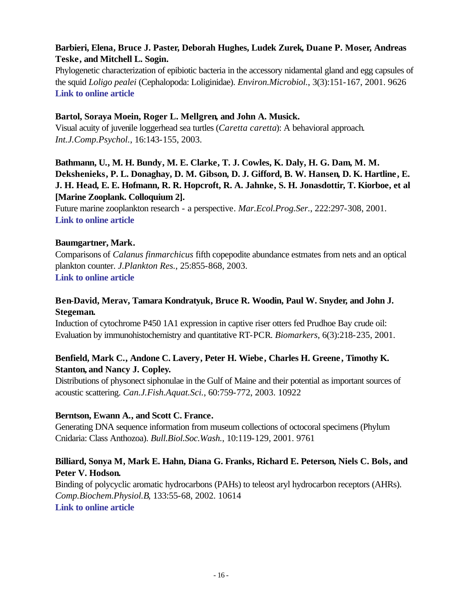# **Barbieri, Elena, Bruce J. Paster, Deborah Hughes, Ludek Zurek, Duane P. Moser, Andreas Teske, and Mitchell L. Sogin.**

Phylogenetic characterization of epibiotic bacteria in the accessory nidamental gland and egg capsules of the squid *Loligo pealei* (Cephalopoda: Loliginidae). *Environ.Microbiol.*, 3(3):151-167, 2001. 9626 **[Link to online article](http://www.blackwell-synergy.com/links/doi/10.1046/j.1462-2920.2001.00172.x/full/)**

### **Bartol, Soraya Moein, Roger L. Mellgren, and John A. Musick.**

Visual acuity of juvenile loggerhead sea turtles (*Caretta caretta*): A behavioral approach. *Int.J.Comp.Psychol.*, 16:143-155, 2003.

# **Bathmann, U., M. H. Bundy, M. E. Clarke, T. J. Cowles, K. Daly, H. G. Dam, M. M. Dekshenieks, P. L. Donaghay, D. M. Gibson, D. J. Gifford, B. W. Hansen, D. K. Hartline, E. J. H. Head, E. E. Hofmann, R. R. Hopcroft, R. A. Jahnke, S. H. Jonasdottir, T. Kiorboe, et al [Marine Zooplank. Colloquium 2].**

Future marine zooplankton research - a perspective. *Mar.Ecol.Prog.Ser.*, 222:297-308, 2001. **[Link to online article](http://www.int-res.com/articles/theme/m222p297.pdf)**

### **Baumgartner, Mark.**

Comparisons of *Calanus finmarchicus* fifth copepodite abundance estmates from nets and an optical plankton counter. *J.Plankton Res.*, 25:855-868, 2003. **[Link to online article](http://plankt.oupjournals.org/cgi/reprint/25/7/855.pdf)**

# **Ben-David, Merav, Tamara Kondratyuk, Bruce R. Woodin, Paul W. Snyder, and John J. Stegeman.**

Induction of cytochrome P450 1A1 expression in captive riser otters fed Prudhoe Bay crude oil: Evaluation by immunohistochemistry and quantitative RT-PCR. *Biomarkers*, 6(3):218-235, 2001.

# **Benfield, Mark C., Andone C. Lavery, Peter H. Wiebe, Charles H. Greene, Timothy K. Stanton, and Nancy J. Copley.**

Distributions of physonect siphonulae in the Gulf of Maine and their potential as important sources of acoustic scattering. *Can.J.Fish.Aquat.Sci.*, 60:759-772, 2003. 10922

### **Berntson, Ewann A., and Scott C. France.**

Generating DNA sequence information from museum collections of octocoral specimens (Phylum Cnidaria: Class Anthozoa). *Bull.Biol.Soc.Wash.*, 10:119-129, 2001. 9761

# **Billiard, Sonya M, Mark E. Hahn, Diana G. Franks, Richard E. Peterson, Niels C. Bols, and Peter V. Hodson.**

Binding of polycyclic aromatic hydrocarbons (PAHs) to teleost aryl hydrocarbon receptors (AHRs). *Comp.Biochem.Physiol.B*, 133:55-68, 2002. 10614 **[Link to online article](http://www.sciencedirect.com/science?_ob=MImg&_imagekey=B6T2R-46NY4PB-8-F&_cdi=4925&_orig=browse&_coverDate=09%2F30%2F2002&_sk=998669998&view=c&wchp=dGLbVzz-zSkzS&_acct=C000011858&_version=1&_userid=142773&md5=f540b83fe12b9dce77b1a7894f643aac&ie=f.pdf)**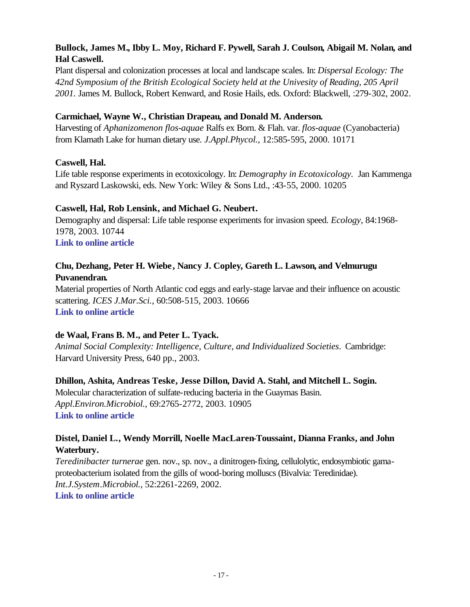# **Bullock, James M., Ibby L. Moy, Richard F. Pywell, Sarah J. Coulson, Abigail M. Nolan, and Hal Caswell.**

Plant dispersal and colonization processes at local and landscape scales. In: *Dispersal Ecology: The 42nd Symposium of the British Ecological Society held at the Univesity of Reading, 205 April 2001.* James M. Bullock, Robert Kenward, and Rosie Hails, eds. Oxford: Blackwell, :279-302, 2002.

# **Carmichael, Wayne W., Christian Drapeau, and Donald M. Anderson.**

Harvesting of *Aphanizomenon flos-aquae* Ralfs ex Born. & Flah. var. *flos-aquae* (Cyanobacteria) from Klamath Lake for human dietary use. *J.Appl.Phycol.*, 12:585-595, 2000. 10171

# **Caswell, Hal.**

Life table response experiments in ecotoxicology. In: *Demography in Ecotoxicology.* Jan Kammenga and Ryszard Laskowski, eds. New York: Wiley & Sons Ltd., :43-55, 2000. 10205

# **Caswell, Hal, Rob Lensink, and Michael G. Neubert.**

Demography and dispersal: Life table response experiments for invasion speed. *Ecology*, 84:1968- 1978, 2003. 10744 **[Link to online article](http://www.esajournals.org/pdfserv/i0012-9658-084-08-1968.pdf)**

# **Chu, Dezhang, Peter H. Wiebe, Nancy J. Copley, Gareth L. Lawson, and Velmurugu Puvanendran.**

Material properties of North Atlantic cod eggs and early-stage larvae and their influence on acoustic scattering. *ICES J.Mar.Sci.*, 60:508-515, 2003. 10666 **[Link to online article](http://www.sciencedirect.com/science?_ob=MImg&_imagekey=B6WGG-48V73YP-C-14&_cdi=6822&_orig=browse&_coverDate=06%2F30%2F2003&_sk=999399996&view=c&wchp=dGLbVlb-zSkWz&_acct=C000011858&_version=1&_userid=142773&md5=9143b37dbe6ff576fc32d0f9aed89bd4&ie=f.pdf)**

# **de Waal, Frans B. M., and Peter L. Tyack.**

*Animal Social Complexity: Intelligence, Culture, and Individualized Societies*. Cambridge: Harvard University Press, 640 pp., 2003.

### **Dhillon, Ashita, Andreas Teske, Jesse Dillon, David A. Stahl, and Mitchell L. Sogin.**

Molecular characterization of sulfate-reducing bacteria in the Guaymas Basin. *Appl.Environ.Microbiol.*, 69:2765-2772, 2003. 10905 **[Link to online article](http://aem.asm.org/cgi/reprint/69/5/2765.pdf)**

# **Distel, Daniel L., Wendy Morrill, Noelle MacLaren-Toussaint, Dianna Franks, and John Waterbury.**

*Teredinibacter turnerae* gen. nov., sp. nov., a dinitrogen-fixing, cellulolytic, endosymbiotic gamaproteobacterium isolated from the gills of wood-boring molluscs (Bivalvia: Teredinidae). *Int.J.System.Microbiol.*, 52:2261-2269, 2002. **[Link to online article](http://ijs.sgmjournals.org/cgi/reprint/52/6/2261.pdf)**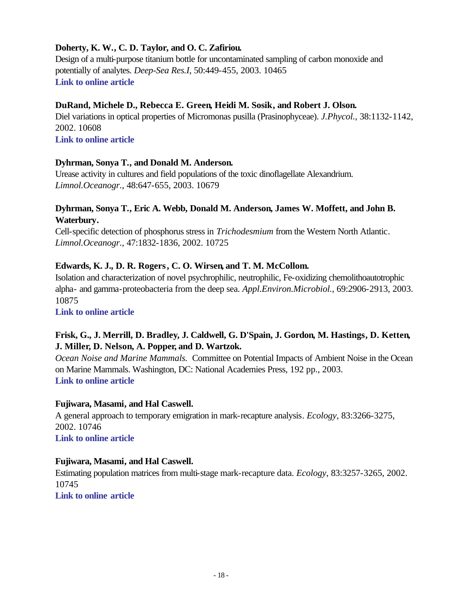# **Doherty, K. W., C. D. Taylor, and O. C. Zafiriou.**

Design of a multi-purpose titanium bottle for uncontaminated sampling of carbon monoxide and potentially of analytes. *Deep-Sea Res.I*, 50:449-455, 2003. 10465 **[Link to online article](http://www.sciencedirect.com/science?_ob=MImg&_imagekey=B6VGB-48B0SVC-2-5&_cdi=6034&_orig=browse&_coverDate=03%2F31%2F2003&_sk=999499996&view=c&wchp=dGLbVtz-zSkzV&_acct=C000011858&_version=1&_userid=142773&md5=7d6ce4f8bb5c15d17a93b1a743072a6a&ie=f.pdf)**

### **DuRand, Michele D., Rebecca E. Green, Heidi M. Sosik, and Robert J. Olson.**

Diel variations in optical properties of Micromonas pusilla (Prasinophyceae). *J.Phycol.*, 38:1132-1142, 2002. 10608 **[Link to online article](http://saturn.bids.ac.uk/cgi-bin/ds_deliver/1/u/d/ISIS/8130035.1/bsc/jpy/2002/00000038/00000006/art02008/BFB8DDBC329AA7291069421079E1460448464A9465.pdf?link=http://www.ingenta.com/de/ingenta%3Bid=2dn3uls5eiaw4.circus&format=.pdf)**

### **Dyhrman, Sonya T., and Donald M. Anderson.**

Urease activity in cultures and field populations of the toxic dinoflagellate Alexandrium. *Limnol.Oceanogr.*, 48:647-655, 2003. 10679

### **Dyhrman, Sonya T., Eric A. Webb, Donald M. Anderson, James W. Moffett, and John B. Waterbury.**

Cell-specific detection of phosphorus stress in *Trichodesmium* from the Western North Atlantic. *Limnol.Oceanogr.*, 47:1832-1836, 2002. 10725

### **Edwards, K. J., D. R. Rogers, C. O. Wirsen, and T. M. McCollom.**

Isolation and characterization of novel psychrophilic, neutrophilic, Fe-oxidizing chemolithoautotrophic alpha- and gamma-proteobacteria from the deep sea. *Appl.Environ.Microbiol.*, 69:2906-2913, 2003. 10875

**[Link to online article](http://aem.asm.org/cgi/reprint/69/5/2906.pdf)**

### **Frisk, G., J. Merrill, D. Bradley, J. Caldwell, G. D'Spain, J. Gordon, M. Hastings, D. Ketten, J. Miller, D. Nelson, A. Popper, and D. Wartzok.**

*Ocean Noise and Marine Mammals.* Committee on Potential Impacts of Ambient Noise in the Ocean on Marine Mammals. Washington, DC: National Academies Press, 192 pp., 2003. **[Link to online article](http://www.nap.edu/openbook/0309085365/html/)**

### **Fujiwara, Masami, and Hal Caswell.**

A general approach to temporary emigration in mark-recapture analysis. *Ecology*, 83:3266-3275, 2002. 10746

**[Link to online article](http://www.esajournals.org/pdfserv/i0012-9658-083-12-3266.pdf)**

### **Fujiwara, Masami, and Hal Caswell.**

Estimating population matrices from multi-stage mark-recapture data. *Ecology*, 83:3257-3265, 2002. 10745

**[Link to online article](http://www.esajournals.org/pdfserv/i0012-9658-083-12-3257.pdf)**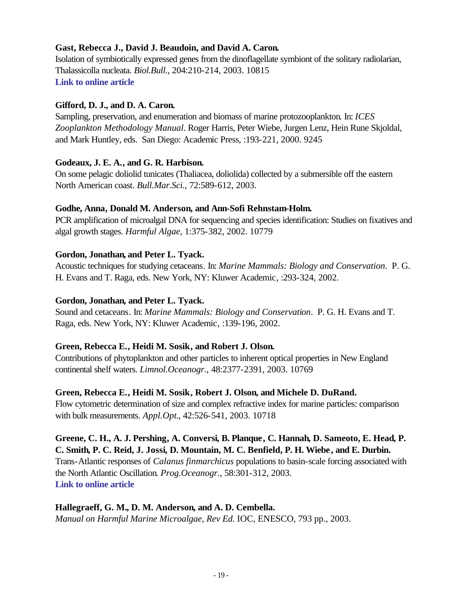### **Gast, Rebecca J., David J. Beaudoin, and David A. Caron.**

Isolation of symbiotically expressed genes from the dinoflagellate symbiont of the solitary radiolarian, Thalassicolla nucleata. *Biol.Bull.*, 204:210-214, 2003. 10815 **[Link to online article](http://www.biolbull.org/cgi/reprint/204/2/210.pdf)**

# **Gifford, D. J., and D. A. Caron.**

Sampling, preservation, and enumeration and biomass of marine protozooplankton. In: *ICES Zooplankton Methodology Manual*. Roger Harris, Peter Wiebe, Jurgen Lenz, Hein Rune Skjoldal, and Mark Huntley, eds. San Diego: Academic Press, :193-221, 2000. 9245

# **Godeaux, J. E. A., and G. R. Harbison.**

On some pelagic doliolid tunicates (Thaliacea, doliolida) collected by a submersible off the eastern North American coast. *Bull.Mar.Sci.*, 72:589-612, 2003.

# **Godhe, Anna, Donald M. Anderson, and Ann-Sofi Rehnstam-Holm.**

PCR amplification of microalgal DNA for sequencing and species identification: Studies on fixatives and algal growth stages. *Harmful Algae*, 1:375-382, 2002. 10779

# **Gordon, Jonathan, and Peter L. Tyack.**

Acoustic techniques for studying cetaceans. In: *Marine Mammals: Biology and Conservation*. P. G. H. Evans and T. Raga, eds. New York, NY: Kluwer Academic, :293-324, 2002.

# **Gordon, Jonathan, and Peter L. Tyack.**

Sound and cetaceans. In: *Marine Mammals: Biology and Conservation*. P. G. H. Evans and T. Raga, eds. New York, NY: Kluwer Academic, :139-196, 2002.

# **Green, Rebecca E., Heidi M. Sosik, and Robert J. Olson.**

Contributions of phytoplankton and other particles to inherent optical properties in New England continental shelf waters. *Limnol.Oceanogr.*, 48:2377-2391, 2003. 10769

# **Green, Rebecca E., Heidi M. Sosik, Robert J. Olson, and Michele D. DuRand.**

Flow cytometric determination of size and complex refractive index for marine particles: comparison with bulk measurements. *Appl.Opt.*, 42:526-541, 2003. 10718

# **Greene, C. H., A. J. Pershing, A. Conversi, B. Planque, C. Hannah, D. Sameoto, E. Head, P. C. Smith, P. C. Reid, J. Jossi, D. Mountain, M. C. Benfield, P. H. Wiebe, and E. Durbin.**

Trans-Atlantic responses of *Calanus finmarchicus* populations to basin-scale forcing associated with the North Atlantic Oscillation. *Prog.Oceanogr.*, 58:301-312, 2003. **[Link to online article](http://www.sciencedirect.com/science?_ob=MImg&_imagekey=B6V7B-49NVDSG-5-F&_cdi=5838&_orig=browse&_coverDate=09%2F30%2F2003&_sk=999419997&view=c&wchp=dGLbVzb-zSkzk&_acct=C000011858&_version=1&_userid=142773&md5=fcb2f206c37a90aa06ce272299bc0649&ie=f.pdf)**

# **Hallegraeff, G. M., D. M. Anderson, and A. D. Cembella.**

*Manual on Harmful Marine Microalgae, Rev Ed.* IOC, ENESCO, 793 pp., 2003.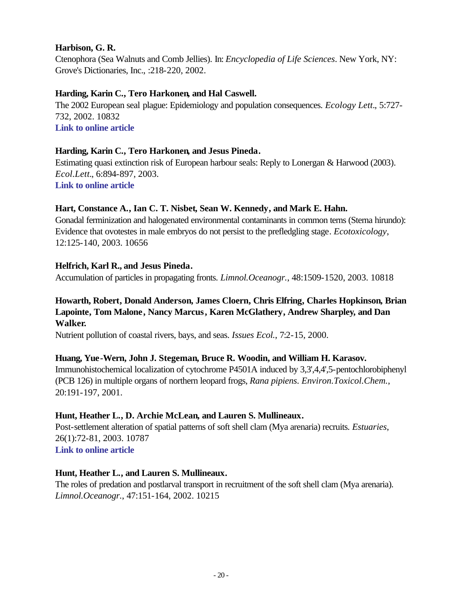### **Harbison, G. R.**

Ctenophora (Sea Walnuts and Comb Jellies). In: *Encyclopedia of Life Sciences*. New York, NY: Grove's Dictionaries, Inc., :218-220, 2002.

# **Harding, Karin C., Tero Harkonen, and Hal Caswell.**

The 2002 European seal plague: Epidemiology and population consequences. *Ecology Lett.*, 5:727- 732, 2002. 10832 **[Link to online article](http://www.blackwell-synergy.com/links/doi/10.1046/j.1461-0248.2002.00390.x/full/)**

### **Harding, Karin C., Tero Harkonen, and Jesus Pineda.**

Estimating quasi extinction risk of European harbour seals: Reply to Lonergan & Harwood (2003). *Ecol.Lett.*, 6:894-897, 2003. **[Link to online article](http://www.blackwell-synergy.com/links/doi/10.1046/j.1461-0248.2003.00507.x/full/)**

### **Hart, Constance A., Ian C. T. Nisbet, Sean W. Kennedy, and Mark E. Hahn.**

Gonadal ferminization and halogenated environmental contaminants in common terns (Sterna hirundo): Evidence that ovotestes in male embryos do not persist to the prefledgling stage. *Ecotoxicology*, 12:125-140, 2003. 10656

### **Helfrich, Karl R., and Jesus Pineda.**

Accumulation of particles in propagating fronts. *Limnol.Oceanogr.*, 48:1509-1520, 2003. 10818

# **Howarth, Robert, Donald Anderson, James Cloern, Chris Elfring, Charles Hopkinson, Brian Lapointe, Tom Malone, Nancy Marcus, Karen McGlathery, Andrew Sharpley, and Dan Walker.**

Nutrient pollution of coastal rivers, bays, and seas. *Issues Ecol.*, 7:2-15, 2000.

### **Huang, Yue-Wern, John J. Stegeman, Bruce R. Woodin, and William H. Karasov.**

Immunohistochemical localization of cytochrome P4501A induced by 3,3',4,4',5-pentochlorobiphenyl (PCB 126) in multiple organs of northern leopard frogs, *Rana pipiens*. *Environ.Toxicol.Chem.*, 20:191-197, 2001.

### **Hunt, Heather L., D. Archie McLean, and Lauren S. Mullineaux.**

Post-settlement alteration of spatial patterns of soft shell clam (Mya arenaria) recruits. *Estuaries*, 26(1):72-81, 2003. 10787 **[Link to online article](http://estuaries.olemiss.edu/journal/ESTU2003/ESTU2003_26_1_72_81.pdf)**

### **Hunt, Heather L., and Lauren S. Mullineaux.**

The roles of predation and postlarval transport in recruitment of the soft shell clam (Mya arenaria). *Limnol.Oceanogr.*, 47:151-164, 2002. 10215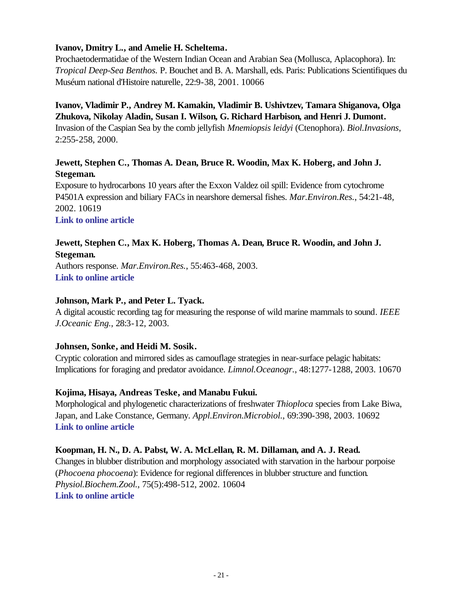### **Ivanov, Dmitry L., and Amelie H. Scheltema.**

Prochaetodermatidae of the Western Indian Ocean and Arabian Sea (Mollusca, Aplacophora). In: *Tropical Deep-Sea Benthos.* P. Bouchet and B. A. Marshall, eds. Paris: Publications Scientifiques du Muséum national d'Histoire naturelle, 22:9-38, 2001. 10066

### **Ivanov, Vladimir P., Andrey M. Kamakin, Vladimir B. Ushivtzev, Tamara Shiganova, Olga Zhukova, Nikolay Aladin, Susan I. Wilson, G. Richard Harbison, and Henri J. Dumont.**

Invasion of the Caspian Sea by the comb jellyfish *Mnemiopsis leidyi* (Ctenophora). *Biol.Invasions*, 2:255-258, 2000.

# **Jewett, Stephen C., Thomas A. Dean, Bruce R. Woodin, Max K. Hoberg, and John J. Stegeman.**

Exposure to hydrocarbons 10 years after the Exxon Valdez oil spill: Evidence from cytochrome P4501A expression and biliary FACs in nearshore demersal fishes. *Mar.Environ.Res.*, 54:21-48, 2002. 10619

**[Link to online article](http://www.sciencedirect.com/science?_ob=MImg&_imagekey=B6V7H-450HD8G-3-H&_cdi=5843&_orig=browse&_coverDate=07%2F31%2F2002&_sk=999459998&view=c&wchp=dGLbVzz-zSkWb&_acct=C000011858&_version=1&_userid=142773&md5=7c59c3f9e58e0a6ba4ca634c6b384cc2&ie=f.pdf)**

# **Jewett, Stephen C., Max K. Hoberg, Thomas A. Dean, Bruce R. Woodin, and John J. Stegeman.**

Authors response. *Mar.Environ.Res.*, 55:463-468, 2003. **[Link to online article](http://www.sciencedirect.com/science?_ob=MImg&_imagekey=B6V7H-483TD2C-1-1&_cdi=5843&_orig=browse&_coverDate=06%2F30%2F2003&_sk=999449994&view=c&wchp=dGLbVzb-zSkWz&_acct=C000011858&_version=1&_userid=142773&md5=2908c04af58ac0db37a5608baffadf0a&ie=f.pdf)**

# **Johnson, Mark P., and Peter L. Tyack.**

A digital acoustic recording tag for measuring the response of wild marine mammals to sound. *IEEE J.Oceanic Eng.*, 28:3-12, 2003.

### **Johnsen, Sonke, and Heidi M. Sosik.**

Cryptic coloration and mirrored sides as camouflage strategies in near-surface pelagic habitats: Implications for foraging and predator avoidance. *Limnol.Oceanogr.*, 48:1277-1288, 2003. 10670

### **Kojima, Hisaya, Andreas Teske, and Manabu Fukui.**

Morphological and phylogenetic characterizations of freshwater *Thioploca* species from Lake Biwa, Japan, and Lake Constance, Germany. *Appl.Environ.Microbiol.*, 69:390-398, 2003. 10692 **[Link to online article](http://aem.asm.org/cgi/reprint/69/1/390.pdf)**

### **Koopman, H. N., D. A. Pabst, W. A. McLellan, R. M. Dillaman, and A. J. Read.**

Changes in blubber distribution and morphology associated with starvation in the harbour porpoise (*Phocoena phocoena*): Evidence for regional differences in blubber structure and function. *Physiol.Biochem.Zool.*, 75(5):498-512, 2002. 10604 **[Link to online article](http://www.journals.uchicago.edu/PBZ/journal/issues/v75n5/010123/010123.web.pdf)**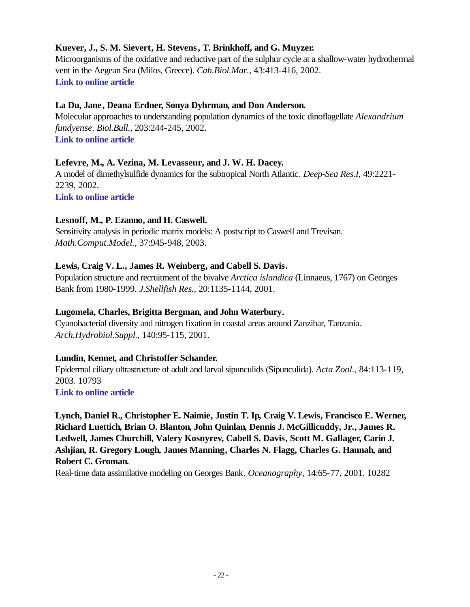# **Kuever, J., S. M. Sievert, H. Stevens, T. Brinkhoff, and G. Muyzer.**

Microorganisms of the oxidative and reductive part of the sulphur cycle at a shallow-water hydrothermal vent in the Aegean Sea (Milos, Greece). *Cah.Biol.Mar.*, 43:413-416, 2002. **[Link to online article](http://cbm-online.sb-roscoff.fr/pdf/cb43-3-413-416.pdf)**

### **La Du, Jane, Deana Erdner, Sonya Dyhrman, and Don Anderson.**

Molecular approaches to understanding population dynamics of the toxic dinoflagellate *Alexandrium fundyense*. *Biol.Bull.*, 203:244-245, 2002. **[Link to online article](http://www.biolbull.org/cgi/reprint/203/2/244.pdf)**

### **Lefevre, M., A. Vezina, M. Levasseur, and J. W. H. Dacey.**

A model of dimethylsulfide dynamics for the subtropical North Atlantic. *Deep-Sea Res.I*, 49:2221- 2239, 2002.

**[Link to online article](http://www.sciencedirect.com/science?_ob=MImg&_imagekey=B6VGB-47S5NKV-7-1N&_cdi=6034&_orig=browse&_coverDate=12%2F31%2F2002&_sk=999509987&view=c&wchp=dGLbVlb-zSkzk&_acct=C000011858&_version=1&_userid=142773&md5=a07742e53bbe7bbb7834518ec226d0b0&ie=f.pdf)**

### **Lesnoff, M., P. Ezanno, and H. Caswell.**

Sensitivity analysis in periodic matrix models: A postscript to Caswell and Trevisan. *Math.Comput.Model.*, 37:945-948, 2003.

### **Lewis, Craig V. L., James R. Weinberg, and Cabell S. Davis.**

Population structure and recruitment of the bivalve *Arctica islandica* (Linnaeus, 1767) on Georges Bank from 1980-1999. *J.Shellfish Res.*, 20:1135-1144, 2001.

### **Lugomela, Charles, Brigitta Bergman, and John Waterbury.**

Cyanobacterial diversity and nitrogen fixation in coastal areas around Zanzibar, Tanzania. *Arch.Hydrobiol.Suppl.*, 140:95-115, 2001.

### **Lundin, Kennet, and Christoffer Schander.**

Epidermal ciliary ultrastructure of adult and larval sipunculids (Sipunculida). *Acta Zool.*, 84:113-119, 2003. 10793 **[Link to online article](http://www.blackwell-synergy.com/links/doi/10.1046/j.1463-6395.2003.00136.x/full/)**

**Lynch, Daniel R., Christopher E. Naimie, Justin T. Ip, Craig V. Lewis, Francisco E. Werner, Richard Luettich, Brian O. Blanton, John Quinlan, Dennis J. McGillicuddy, Jr., James R. Ledwell, James Churchill, Valery Kosnyrev, Cabell S. Davis, Scott M. Gallager, Carin J. Ashjian, R. Gregory Lough, James Manning, Charles N. Flagg, Charles G. Hannah, and Robert C. Groman.**

Real-time data assimilative modeling on Georges Bank. *Oceanography*, 14:65-77, 2001. 10282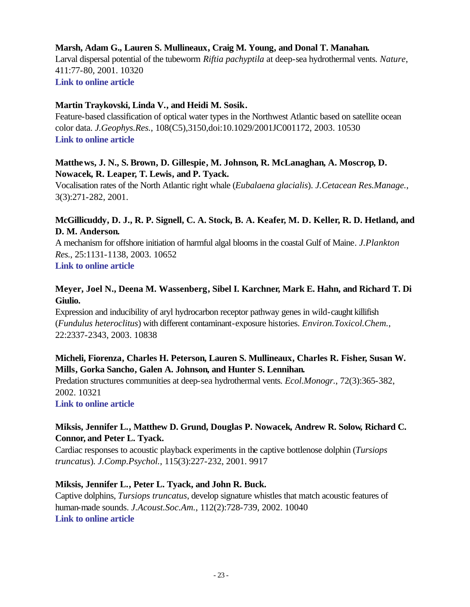### **Marsh, Adam G., Lauren S. Mullineaux, Craig M. Young, and Donal T. Manahan.**

Larval dispersal potential of the tubeworm *Riftia pachyptila* at deep-sea hydrothermal vents. *Nature*, 411:77-80, 2001. 10320 **[Link to online article](http://www.nature.com/cgi-taf/DynaPage.taf?file=/nature/journal/v411/n6833/full/411077a0_fs.html&content_filetype=pdf)**

### **Martin Traykovski, Linda V., and Heidi M. Sosik.**

Feature-based classification of optical water types in the Northwest Atlantic based on satellite ocean color data. *J.Geophys.Res.*, 108(C5),3150,doi:10.1029/2001JC001172, 2003. 10530 **[Link to online article](http://www.agu.org/journals/jc/jc0305/2001JC001172/2001JC001172.pdf)**

### **Matthews, J. N., S. Brown, D. Gillespie, M. Johnson, R. McLanaghan, A. Moscrop, D. Nowacek, R. Leaper, T. Lewis, and P. Tyack.**

Vocalisation rates of the North Atlantic right whale (*Eubalaena glacialis*). *J.Cetacean Res.Manage.*, 3(3):271-282, 2001.

### **McGillicuddy, D. J., R. P. Signell, C. A. Stock, B. A. Keafer, M. D. Keller, R. D. Hetland, and D. M. Anderson.**

A mechanism for offshore initiation of harmful algal blooms in the coastal Gulf of Maine. *J.Plankton Res.*, 25:1131-1138, 2003. 10652 **[Link to online article](http://ams.allenpress.com/pdfserv/i1520-0485-031-01-0212.pdf)**

### **Meyer, Joel N., Deena M. Wassenberg, Sibel I. Karchner, Mark E. Hahn, and Richard T. Di Giulio.**

Expression and inducibility of aryl hydrocarbon receptor pathway genes in wild-caught killifish (*Fundulus heteroclitus*) with different contaminant-exposure histories. *Environ.Toxicol.Chem.*, 22:2337-2343, 2003. 10838

### **Micheli, Fiorenza, Charles H. Peterson, Lauren S. Mullineaux, Charles R. Fisher, Susan W. Mills, Gorka Sancho, Galen A. Johnson, and Hunter S. Lennihan.**

Predation structures communities at deep-sea hydrothermal vents. *Ecol.Monogr.*, 72(3):365-382, 2002. 10321

**[Link to online article](http://www.esajournals.org/pdfserv/i0012-9615-072-03-0365.pdf)**

### **Miksis, Jennifer L., Matthew D. Grund, Douglas P. Nowacek, Andrew R. Solow, Richard C. Connor, and Peter L. Tyack.**

Cardiac responses to acoustic playback experiments in the captive bottlenose dolphin (*Tursiops truncatus*). *J.Comp.Psychol.*, 115(3):227-232, 2001. 9917

### **Miksis, Jennifer L., Peter L. Tyack, and John R. Buck.**

Captive dolphins, *Tursiops truncatus*, develop signature whistles that match acoustic features of human-made sounds. *J.Acoust.Soc.Am.*, 112(2):728-739, 2002. 10040 **[Link to online article](http://ojps.aip.org/getpdf/servlet/GetPDFServlet?filetype=pdf&id=JASMAN000112000002000728000001&idtype=cvips)**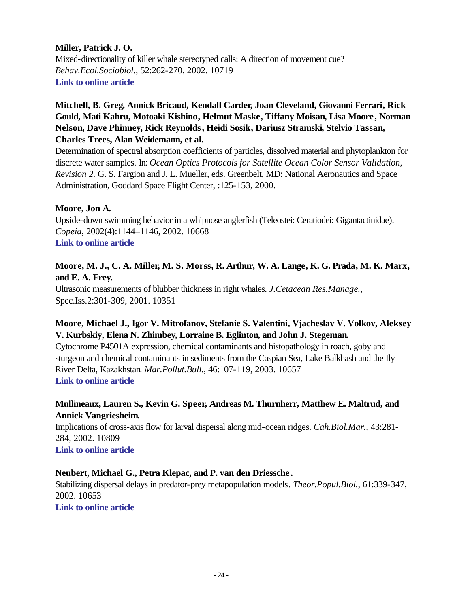# **Miller, Patrick J. O.**

Mixed-directionality of killer whale stereotyped calls: A direction of movement cue? *Behav.Ecol.Sociobiol.*, 52:262-270, 2002. 10719 **[Link to online article](http://www.springerlink.com/app/home/content.asp?wasp=mfta255a9m4urn8f4ye0&referrer=contribution&format=2&page=1&pagecount=9)**

# **Mitchell, B. Greg, Annick Bricaud, Kendall Carder, Joan Cleveland, Giovanni Ferrari, Rick Gould, Mati Kahru, Motoaki Kishino, Helmut Maske, Tiffany Moisan, Lisa Moore , Norman Nelson, Dave Phinney, Rick Reynolds, Heidi Sosik, Dariusz Stramski, Stelvio Tassan, Charles Trees, Alan Weidemann, et al.**

Determination of spectral absorption coefficients of particles, dissolved material and phytoplankton for discrete water samples. In: *Ocean Optics Protocols for Satellite Ocean Color Sensor Validation, Revision 2.* G. S. Fargion and J. L. Mueller, eds. Greenbelt, MD: National Aeronautics and Space Administration, Goddard Space Flight Center, :125-153, 2000.

### **Moore, Jon A.**

Upside-down swimming behavior in a whipnose anglerfish (Teleostei: Ceratiodei: Gigantactinidae). *Copeia*, 2002(4):1144–1146, 2002. 10668 **[Link to online article](http://www.bioone.org/pdfserv/i0045-8511-002-04-1144.pdf)**

### **Moore, M. J., C. A. Miller, M. S. Morss, R. Arthur, W. A. Lange, K. G. Prada, M. K. Marx, and E. A. Frey.**

Ultrasonic measurements of blubber thickness in right whales. *J.Cetacean Res.Manage.*, Spec.Iss.2:301-309, 2001. 10351

# **Moore, Michael J., Igor V. Mitrofanov, Stefanie S. Valentini, Vjacheslav V. Volkov, Aleksey V. Kurbskiy, Elena N. Zhimbey, Lorraine B. Eglinton, and John J. Stegeman.**

Cytochrome P4501A expression, chemical contaminants and histopathology in roach, goby and sturgeon and chemical contaminants in sediments from the Caspian Sea, Lake Balkhash and the Ily River Delta, Kazakhstan. *Mar.Pollut.Bull.*, 46:107-119, 2003. 10657 **[Link to online article](http://www.sciencedirect.com/science?_ob=MImg&_imagekey=B6V6N-47MHXHP-5-1T&_cdi=5819&_orig=browse&_coverDate=01%2F31%2F2003&_sk=999539998&view=c&wchp=dGLbVtz-zSkzk&_acct=C000011858&_version=1&_userid=142773&md5=00dc8aa5123973118024014b86399f1e&ie=f.pdf)**

### **Mullineaux, Lauren S., Kevin G. Speer, Andreas M. Thurnherr, Matthew E. Maltrud, and Annick Vangriesheim.**

Implications of cross-axis flow for larval dispersal along mid-ocean ridges. *Cah.Biol.Mar.*, 43:281- 284, 2002. 10809

**[Link to online article](http://cbm-online.sb-roscoff.fr/pdf/cb43-3-281-284.pdf)**

### **Neubert, Michael G., Petra Klepac, and P. van den Driessche .**

Stabilizing dispersal delays in predator-prey metapopulation models. *Theor.Popul.Biol.*, 61:339-347, 2002. 10653 **[Link to online article](http://www.sciencedirect.com/science?_ob=MImg&_imagekey=B6WXD-45Y1C40-9-1&_cdi=7156&_orig=browse&_coverDate=05%2F31%2F2002&_sk=999389996&view=c&wchp=dGLbVlz-zSkzk&_acct=C000011858&_version=1&_userid=142773&md5=785469e5e5edc00bad686adf952c2d23&ie=f.pdf)**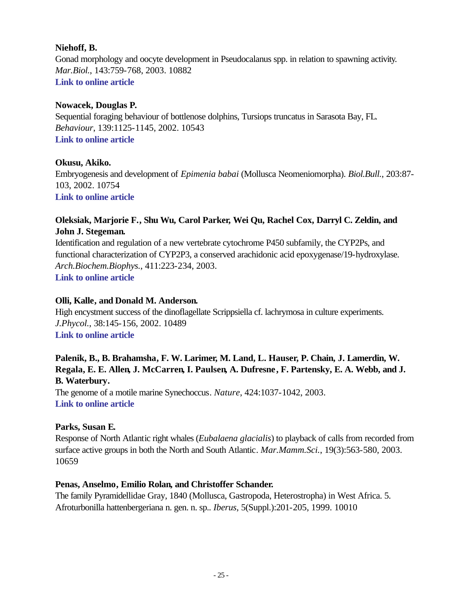# **Niehoff, B.**

Gonad morphology and oocyte development in Pseudocalanus spp. in relation to spawning activity. *Mar.Biol.*, 143:759-768, 2003. 10882 **[Link to online article](http://www.springerlink.com/app/home/content.asp?wasp=ege9fdfcf31jqjbe186u&referrer=contribution&format=2&page=1&pagecount=10)**

# **Nowacek, Douglas P.**

Sequential foraging behaviour of bottlenose dolphins, Tursiops truncatus in Sarasota Bay, FL. *Behaviour*, 139:1125-1145, 2002. 10543 **[Link to online article](http://gottardo.ingentaselect.com/vl=558870/cl=36/nw=1/fm=docpdf/rpsv/cw/brill/00057959/v139n9/s3/p1125)**

# **Okusu, Akiko.**

Embryogenesis and development of *Epimenia babai* (Mollusca Neomeniomorpha). *Biol.Bull.*, 203:87- 103, 2002. 10754 **[Link to online article](http://www.biolbull.org/cgi/reprint/203/1/87.pdf)**

# **Oleksiak, Marjorie F., Shu Wu, Carol Parker, Wei Qu, Rachel Cox, Darryl C. Zeldin, and John J. Stegeman.**

Identification and regulation of a new vertebrate cytochrome P450 subfamily, the CYP2Ps, and functional characterization of CYP2P3, a conserved arachidonic acid epoxygenase/19-hydroxylase. *Arch.Biochem.Biophys.*, 411:223-234, 2003. **[Link to online article](http://www.sciencedirect.com/science?_ob=MImg&_imagekey=B6WB5-481MHG2-1-1D&_cdi=6701&_orig=browse&_coverDate=03%2F15%2F2003&_sk=995889997&view=c&wchp=dGLbVtb-zSkWW&_acct=C000011858&_version=1&_userid=142773&md5=36c8e8e947c60b42362bd36d54d59a7b&ie=f.pdf)**

**Olli, Kalle, and Donald M. Anderson.** High encystment success of the dinoflagellate Scrippsiella cf. lachrymosa in culture experiments. *J.Phycol.*, 38:145-156, 2002. 10489 **[Link to online article](http://saturn.bids.ac.uk/cgi-bin/ds_deliver/1/u/d/ISIS/8129991.1/bsc/jpy/2002/00000038/00000001/art01113/333BB7CF072767D21069421005EFB9734799458BCF.pdf?link=http://www.ingenta.com/de/ingenta%3Bid=120g1ajtwarqr.crescent&format=.pdf)**

# **Palenik, B., B. Brahamsha, F. W. Larimer, M. Land, L. Hauser, P. Chain, J. Lamerdin, W. Regala, E. E. Allen, J. McCarren, I. Paulsen, A. Dufresne, F. Partensky, E. A. Webb, and J. B. Waterbury.**

The genome of a motile marine Synechoccus. *Nature*, 424:1037-1042, 2003. **[Link to online article](http://www.nature.com/cgi-taf/DynaPage.taf?file=/nature/journal/v424/n6952/full/nature01943_fs.html&content_filetype=pdf)**

# **Parks, Susan E.**

Response of North Atlantic right whales (*Eubalaena glacialis*) to playback of calls from recorded from surface active groups in both the North and South Atlantic. *Mar.Mamm.Sci.*, 19(3):563-580, 2003. 10659

### **Penas, Anselmo, Emilio Rolan, and Christoffer Schander.**

The family Pyramidellidae Gray, 1840 (Mollusca, Gastropoda, Heterostropha) in West Africa. 5. Afroturbonilla hattenbergeriana n. gen. n. sp.. *Iberus*, 5(Suppl.):201-205, 1999. 10010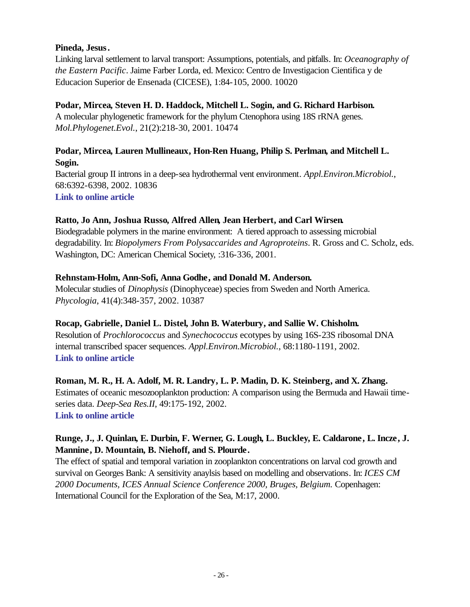### **Pineda, Jesus.**

Linking larval settlement to larval transport: Assumptions, potentials, and pitfalls. In: *Oceanography of the Eastern Pacific*. Jaime Farber Lorda, ed. Mexico: Centro de Investigacion Cientifica y de Educacion Superior de Ensenada (CICESE), 1:84-105, 2000. 10020

# **Podar, Mircea, Steven H. D. Haddock, Mitchell L. Sogin, and G. Richard Harbison.**

A molecular phylogenetic framework for the phylum Ctenophora using 18S rRNA genes. *Mol.Phylogenet.Evol.*, 21(2):218-30, 2001. 10474

# **Podar, Mircea, Lauren Mullineaux, Hon-Ren Huang, Philip S. Perlman, and Mitchell L. Sogin.**

Bacterial group II introns in a deep-sea hydrothermal vent environment. *Appl.Environ.Microbiol.*, 68:6392-6398, 2002. 10836 **[Link to online article](http://aem.asm.org/cgi/reprint/68/12/6392.pdf)**

### **Ratto, Jo Ann, Joshua Russo, Alfred Allen, Jean Herbert, and Carl Wirsen.**

Biodegradable polymers in the marine environment: A tiered approach to assessing microbial degradability. In: *Biopolymers From Polysaccarides and Agroproteins*. R. Gross and C. Scholz, eds. Washington, DC: American Chemical Society, :316-336, 2001.

### **Rehnstam-Holm, Ann-Sofi, Anna Godhe, and Donald M. Anderson.**

Molecular studies of *Dinophysis* (Dinophyceae) species from Sweden and North America. *Phycologia*, 41(4):348-357, 2002. 10387

### **Rocap, Gabrielle, Daniel L. Distel, John B. Waterbury, and Sallie W. Chisholm.**

Resolution of *Prochlorococcus* and *Synechococcus* ecotypes by using 16S-23S ribosomal DNA internal transcribed spacer sequences. *Appl.Environ.Microbiol.*, 68:1180-1191, 2002. **[Link to online article](http://aem.asm.org/cgi/reprint/68/3/1180.pdf)**

### **Roman, M. R., H. A. Adolf, M. R. Landry, L. P. Madin, D. K. Steinberg, and X. Zhang.**

Estimates of oceanic mesozooplankton production: A comparison using the Bermuda and Hawaii timeseries data. *Deep-Sea Res.II*, 49:175-192, 2002. **[Link to online article](http://www.sciencedirect.com/science?_ob=MImg&_imagekey=B6VGC-44MX4DN-8-1T&_cdi=6035&_orig=browse&_coverDate=12%2F31%2F2001&_sk=999509998&view=c&wchp=dGLbVzb-zSkzk&_acct=C000011858&_version=1&_userid=142773&md5=07fff9933ac4365780b5341c23c49a02&ie=f.pdf)**

# **Runge, J., J. Quinlan, E. Durbin, F. Werner, G. Lough, L. Buckley, E. Caldarone, L. Incze, J. Mannine, D. Mountain, B. Niehoff, and S. Plourde.**

The effect of spatial and temporal variation in zooplankton concentrations on larval cod growth and survival on Georges Bank: A sensitivity anaylsis based on modelling and observations. In: *ICES CM 2000 Documents, ICES Annual Science Conference 2000, Bruges, Belgium.* Copenhagen: International Council for the Exploration of the Sea, M:17, 2000.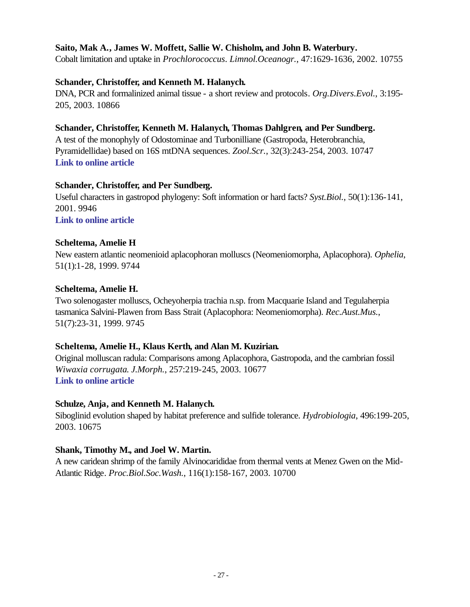### **Saito, Mak A., James W. Moffett, Sallie W. Chisholm, and John B. Waterbury.**

Cobalt limitation and uptake in *Prochlorococcus*. *Limnol.Oceanogr.*, 47:1629-1636, 2002. 10755

### **Schander, Christoffer, and Kenneth M. Halanych.**

DNA, PCR and formalinized animal tissue - a short review and protocols. *Org.Divers.Evol.*, 3:195- 205, 2003. 10866

### **Schander, Christoffer, Kenneth M. Halanych, Thomas Dahlgren, and Per Sundberg.**

A test of the monophyly of Odostominae and Turbonilliane (Gastropoda, Heterobranchia, Pyramidellidae) based on 16S mtDNA sequences. *Zool.Scr.*, 32(3):243-254, 2003. 10747 **[Link to online article](http://www.blackwell-synergy.com/links/doi/10.1046/j.1463-6409.2003.00112.x/full/)**

### **Schander, Christoffer, and Per Sundberg.**

Useful characters in gastropod phylogeny: Soft information or hard facts? *Syst.Biol.*, 50(1):136-141, 2001. 9946 **[Link to online article](http://dandini.ingentaselect.com/vl=1416898/cl=130/nw=1/fm=docpdf/rpsv/catchword/tandf/10635157/v50n1/s11/p136)**

### **Scheltema, Amelie H**

New eastern atlantic neomenioid aplacophoran molluscs (Neomeniomorpha, Aplacophora). *Ophelia*, 51(1):1-28, 1999. 9744

### **Scheltema, Amelie H.**

Two solenogaster molluscs, Ocheyoherpia trachia n.sp. from Macquarie Island and Tegulaherpia tasmanica Salvini-Plawen from Bass Strait (Aplacophora: Neomeniomorpha). *Rec.Aust.Mus.*, 51(7):23-31, 1999. 9745

### **Scheltema, Amelie H., Klaus Kerth, and Alan M. Kuzirian.**

Original molluscan radula: Comparisons among Aplacophora, Gastropoda, and the cambrian fossil *Wiwaxia corrugata*. *J.Morph.*, 257:219-245, 2003. 10677 **[Link to online article](http://www3.interscience.wiley.com/cgi-bin/fulltext/104528759/PDFSTART)**

### **Schulze, Anja, and Kenneth M. Halanych.**

Siboglinid evolution shaped by habitat preference and sulfide tolerance. *Hydrobiologia*, 496:199-205, 2003. 10675

### **Shank, Timothy M., and Joel W. Martin.**

A new caridean shrimp of the family Alvinocarididae from thermal vents at Menez Gwen on the Mid-Atlantic Ridge. *Proc.Biol.Soc.Wash.*, 116(1):158-167, 2003. 10700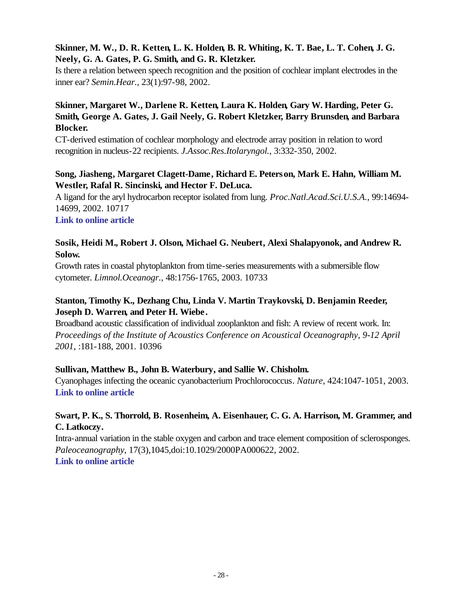# **Skinner, M. W., D. R. Ketten, L. K. Holden, B. R. Whiting, K. T. Bae, L. T. Cohen, J. G. Neely, G. A. Gates, P. G. Smith, and G. R. Kletzker.**

Is there a relation between speech recognition and the position of cochlear implant electrodes in the inner ear? *Semin.Hear.*, 23(1):97-98, 2002.

# **Skinner, Margaret W., Darlene R. Ketten, Laura K. Holden, Gary W. Harding, Peter G. Smith, George A. Gates, J. Gail Neely, G. Robert Kletzker, Barry Brunsden, and Barbara Blocker.**

CT-derived estimation of cochlear morphology and electrode array position in relation to word recognition in nucleus-22 recipients. *J.Assoc.Res.Itolaryngol.*, 3:332-350, 2002.

# **Song, Jiasheng, Margaret Clagett-Dame, Richard E. Peterson, Mark E. Hahn, William M. Westler, Rafal R. Sincinski, and Hector F. DeLuca.**

A ligand for the aryl hydrocarbon receptor isolated from lung. *Proc.Natl.Acad.Sci.U.S.A.*, 99:14694- 14699, 2002. 10717

# **[Link to online article](http://www.pnas.org/cgi/reprint/99/23/14694.pdf)**

# **Sosik, Heidi M., Robert J. Olson, Michael G. Neubert, Alexi Shalapyonok, and Andrew R. Solow.**

Growth rates in coastal phytoplankton from time-series measurements with a submersible flow cytometer. *Limnol.Oceanogr.*, 48:1756-1765, 2003. 10733

# **Stanton, Timothy K., Dezhang Chu, Linda V. Martin Traykovski, D. Benjamin Reeder, Joseph D. Warren, and Peter H. Wiebe.**

Broadband acoustic classification of individual zooplankton and fish: A review of recent work. In: *Proceedings of the Institute of Acoustics Conference on Acoustical Oceanography, 9-12 April 2001*, :181-188, 2001. 10396

# **Sullivan, Matthew B., John B. Waterbury, and Sallie W. Chisholm.**

Cyanophages infecting the oceanic cyanobacterium Prochlorococcus. *Nature*, 424:1047-1051, 2003. **[Link to online article](http://www.nature.com/cgi-taf/DynaPage.taf?file=/nature/journal/v424/n6952/full/nature01929_fs.html&content_filetype=pdf)**

# **Swart, P. K., S. Thorrold, B. Rosenheim, A. Eisenhauer, C. G. A. Harrison, M. Grammer, and C. Latkoczy.**

Intra-annual variation in the stable oxygen and carbon and trace element composition of sclerosponges. *Paleoceanography*, 17(3),1045,doi:10.1029/2000PA000622, 2002. **[Link to online article](http://www.agu.org/journals/pa/pa0203/2000PA000622/2000PA000622.pdf)**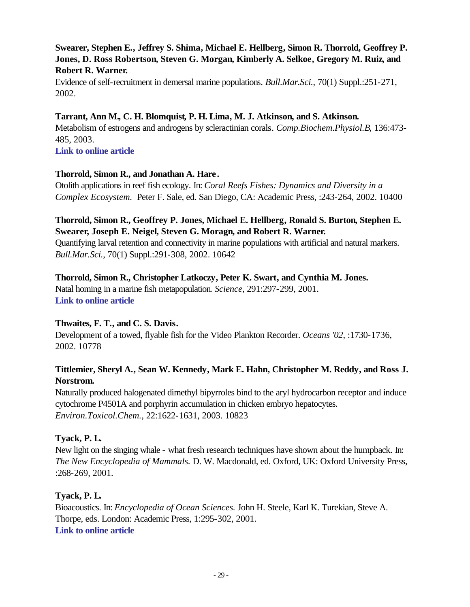# **Swearer, Stephen E., Jeffrey S. Shima, Michael E. Hellberg, Simon R. Thorrold, Geoffrey P. Jones, D. Ross Robertson, Steven G. Morgan, Kimberly A. Selkoe, Gregory M. Ruiz, and Robert R. Warner.**

Evidence of self-recruitment in demersal marine populations. *Bull.Mar.Sci.*, 70(1) Suppl.:251-271, 2002.

### **Tarrant, Ann M., C. H. Blomquist, P. H. Lima, M. J. Atkinson, and S. Atkinson.**

Metabolism of estrogens and androgens by scleractinian corals. *Comp.Biochem.Physiol.B*, 136:473- 485, 2003.

**[Link to online article](http://www.sciencedirect.com/science?_ob=MImg&_imagekey=B6T2R-49KSKF9-4-H&_cdi=4925&_orig=browse&_coverDate=11%2F30%2F2003&_sk=998639996&view=c&wchp=dGLbVtb-zSkzk&_acct=C000011858&_version=1&_userid=142773&md5=887137f244a6ddebb177f3419b604db2&ie=f.pdf)**

### **Thorrold, Simon R., and Jonathan A. Hare.**

Otolith applications in reef fish ecology. In: *Coral Reefs Fishes: Dynamics and Diversity in a Complex Ecosystem.* Peter F. Sale, ed. San Diego, CA: Academic Press, :243-264, 2002. 10400

# **Thorrold, Simon R., Geoffrey P. Jones, Michael E. Hellberg, Ronald S. Burton, Stephen E. Swearer, Joseph E. Neigel, Steven G. Moragn, and Robert R. Warner.**

Quantifying larval retention and connectivity in marine populations with artificial and natural markers. *Bull.Mar.Sci.*, 70(1) Suppl.:291-308, 2002. 10642

### **Thorrold, Simon R., Christopher Latkoczy, Peter K. Swart, and Cynthia M. Jones.**

Natal homing in a marine fish metapopulation. *Science*, 291:297-299, 2001. **[Link to online article](http://www.sciencemag.org/cgi/reprint/291/5502/297.pdf)**

### **Thwaites, F. T., and C. S. Davis.**

Development of a towed, flyable fish for the Video Plankton Recorder. *Oceans '02*, :1730-1736, 2002. 10778

# **Tittlemier, Sheryl A., Sean W. Kennedy, Mark E. Hahn, Christopher M. Reddy, and Ross J. Norstrom.**

Naturally produced halogenated dimethyl bipyrroles bind to the aryl hydrocarbon receptor and induce cytochrome P4501A and porphyrin accumulation in chicken embryo hepatocytes. *Environ.Toxicol.Chem.*, 22:1622-1631, 2003. 10823

### **Tyack, P. L.**

New light on the singing whale - what fresh research techniques have shown about the humpback. In: *The New Encyclopedia of Mammals.* D. W. Macdonald, ed. Oxford, UK: Oxford University Press, :268-269, 2001.

### **Tyack, P. L.**

Bioacoustics. In: *Encyclopedia of Ocean Sciences.* John H. Steele, Karl K. Turekian, Steve A. Thorpe, eds. London: Academic Press, 1:295-302, 2001. **[Link to online article](http://www.sciencedirect.com/science?_ob=MiamiImageURL&_imagekey=B77C6-4B0FVKG-9P-C&_cdi=14570&_check=y&_idxType=AR&view=c&wchp=dGLbVlz-zSkWA&_acct=C000011858&_version=1&_userid=142773&md5=357cba4d2e9b3c887bc0486c94e6d8f4&ie=f.pdf)**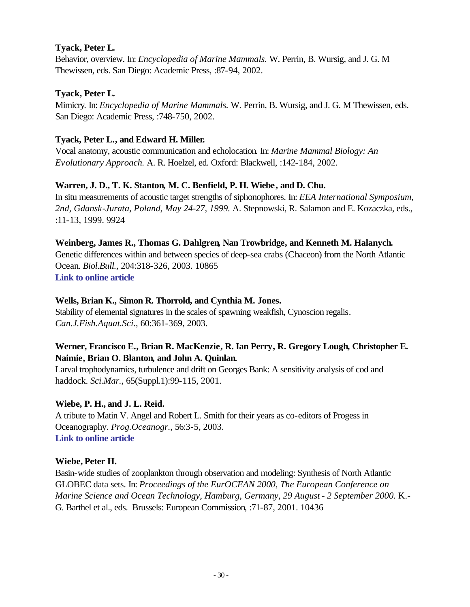### **Tyack, Peter L.**

Behavior, overview. In: *Encyclopedia of Marine Mammals.* W. Perrin, B. Wursig, and J. G. M Thewissen, eds. San Diego: Academic Press, :87-94, 2002.

### **Tyack, Peter L.**

Mimicry. In: *Encyclopedia of Marine Mammals.* W. Perrin, B. Wursig, and J. G. M Thewissen, eds. San Diego: Academic Press, :748-750, 2002.

### **Tyack, Peter L., and Edward H. Miller.**

Vocal anatomy, acoustic communication and echolocation. In: *Marine Mammal Biology: An Evolutionary Approach.* A. R. Hoelzel, ed. Oxford: Blackwell, :142-184, 2002.

### **Warren, J. D., T. K. Stanton, M. C. Benfield, P. H. Wiebe, and D. Chu.**

In situ measurements of acoustic target strengths of siphonophores. In: *EEA International Symposium, 2nd, Gdansk-Jurata, Poland, May 24-27, 1999.* A. Stepnowski, R. Salamon and E. Kozaczka, eds., :11-13, 1999. 9924

### **Weinberg, James R., Thomas G. Dahlgren, Nan Trowbridge, and Kenneth M. Halanych.**

Genetic differences within and between species of deep-sea crabs (Chaceon) from the North Atlantic Ocean. *Biol.Bull.*, 204:318-326, 2003. 10865 **[Link to online article](http://www.biolbull.org/cgi/reprint/204/3/318.pdf)**

### **Wells, Brian K., Simon R. Thorrold, and Cynthia M. Jones.**

Stability of elemental signatures in the scales of spawning weakfish, Cynoscion regalis. *Can.J.Fish.Aquat.Sci.*, 60:361-369, 2003.

# **Werner, Francisco E., Brian R. MacKenzie, R. Ian Perry, R. Gregory Lough, Christopher E. Naimie, Brian O. Blanton, and John A. Quinlan.**

Larval trophodynamics, turbulence and drift on Georges Bank: A sensitivity analysis of cod and haddock. *Sci.Mar.*, 65(Suppl.1):99-115, 2001.

### **Wiebe, P. H., and J. L. Reid.**

A tribute to Matin V. Angel and Robert L. Smith for their years as co-editors of Progess in Oceanography. *Prog.Oceanogr.*, 56:3-5, 2003. **[Link to online article](http://www.sciencedirect.com/science?_ob=MImg&_imagekey=B6V7B-47W5K69-1-5&_cdi=5838&_orig=browse&_coverDate=01%2F31%2F2003&_sk=999439998&view=c&wchp=dGLbVzz-zSkWb&_acct=C000011858&_version=1&_userid=142773&md5=300fe16169a91d1f687fd3cf3b696cb2&ie=f.pdf)**

### **Wiebe, Peter H.**

Basin-wide studies of zooplankton through observation and modeling: Synthesis of North Atlantic GLOBEC data sets. In: *Proceedings of the EurOCEAN 2000, The European Conference on Marine Science and Ocean Technology, Hamburg, Germany, 29 August - 2 September 2000.* K.- G. Barthel et al., eds. Brussels: European Commission, :71-87, 2001. 10436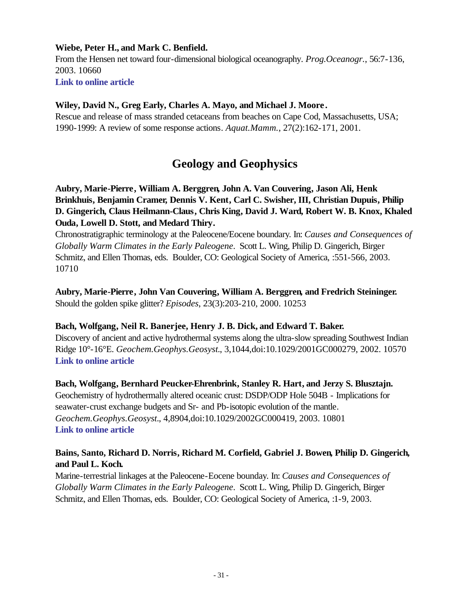### **Wiebe, Peter H., and Mark C. Benfield.**

From the Hensen net toward four-dimensional biological oceanography. *Prog.Oceanogr.*, 56:7-136, 2003. 10660 **[Link to online article](http://www.sciencedirect.com/science?_ob=MImg&_imagekey=B6V7B-47PP8H0-1-J&_cdi=5838&_orig=browse&_coverDate=01%2F31%2F2003&_sk=999439998&view=c&wchp=dGLbVtb-zSkzS&_acct=C000011858&_version=1&_userid=142773&md5=982a66fafc05c609bedb4fc76b930da9&ie=f.pdf)**

### **Wiley, David N., Greg Early, Charles A. Mayo, and Michael J. Moore .**

Rescue and release of mass stranded cetaceans from beaches on Cape Cod, Massachusetts, USA; 1990-1999: A review of some response actions. *Aquat.Mamm.*, 27(2):162-171, 2001.

# **Geology and Geophysics**

**Aubry, Marie-Pierre, William A. Berggren, John A. Van Couvering, Jason Ali, Henk Brinkhuis, Benjamin Cramer, Dennis V. Kent, Carl C. Swisher, III, Christian Dupuis, Philip D. Gingerich, Claus Heilmann-Claus, Chris King, David J. Ward, Robert W. B. Knox, Khaled Ouda, Lowell D. Stott, and Medard Thiry.**

Chronostratigraphic terminology at the Paleocene/Eocene boundary. In: *Causes and Consequences of Globally Warm Climates in the Early Paleogene*. Scott L. Wing, Philip D. Gingerich, Birger Schmitz, and Ellen Thomas, eds. Boulder, CO: Geological Society of America, :551-566, 2003. 10710

**Aubry, Marie-Pierre, John Van Couvering, William A. Berggren, and Fredrich Steininger.** Should the golden spike glitter? *Episodes*, 23(3):203-210, 2000. 10253

### **Bach, Wolfgang, Neil R. Banerjee, Henry J. B. Dick, and Edward T. Baker.**

Discovery of ancient and active hydrothermal systems along the ultra-slow spreading Southwest Indian Ridge 10°-16°E. *Geochem.Geophys.Geosyst.*, 3,1044,doi:10.1029/2001GC000279, 2002. 10570 **[Link to online article](http://www.agu.org/journals/gc/gc0207/2001GC000279/2001GC000279.pdf)**

**Bach, Wolfgang, Bernhard Peucker-Ehrenbrink, Stanley R. Hart, and Jerzy S. Blusztajn.** Geochemistry of hydrothermally altered oceanic crust: DSDP/ODP Hole 504B - Implications for seawater-crust exchange budgets and Sr- and Pb-isotopic evolution of the mantle. *Geochem.Geophys.Geosyst.*, 4,8904,doi:10.1029/2002GC000419, 2003. 10801 **[Link to online article](http://www.agu.org/journals/gc/gc0303/2002GC000419/2002GC000419.pdf)**

### **Bains, Santo, Richard D. Norris, Richard M. Corfield, Gabriel J. Bowen, Philip D. Gingerich, and Paul L. Koch.**

Marine-terrestrial linkages at the Paleocene-Eocene bounday. In: *Causes and Consequences of Globally Warm Climates in the Early Paleogene*. Scott L. Wing, Philip D. Gingerich, Birger Schmitz, and Ellen Thomas, eds. Boulder, CO: Geological Society of America, :1-9, 2003.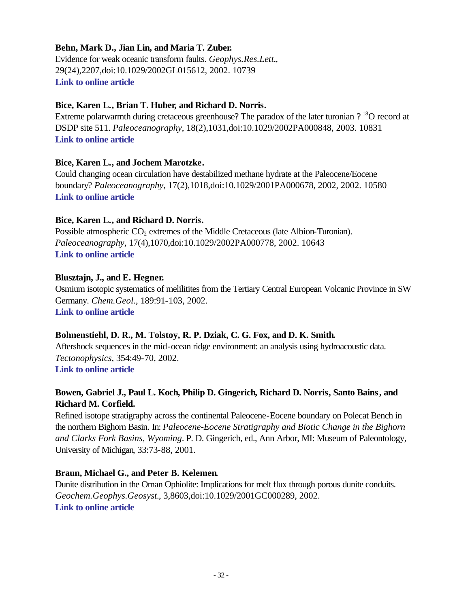### **Behn, Mark D., Jian Lin, and Maria T. Zuber.**

Evidence for weak oceanic transform faults. *Geophys.Res.Lett.*, 29(24),2207,doi:10.1029/2002GL015612, 2002. 10739 **[Link to online article](http://www.agu.org/journals/gl/gl0224/2002GL015612/2002GL015612.pdf)**

### **Bice, Karen L., Brian T. Huber, and Richard D. Norris.**

Extreme polarwarmth during cretaceous greenhouse? The paradox of the later turonian  $?$  <sup>18</sup>O record at DSDP site 511. *Paleoceanography*, 18(2),1031,doi:10.1029/2002PA000848, 2003. 10831 **[Link to online article](http://www.agu.org/journals/pa/pa0302/2002PA000848/2002PA000848.pdf)**

### **Bice, Karen L., and Jochem Marotzke.**

Could changing ocean circulation have destabilized methane hydrate at the Paleocene/Eocene boundary? *Paleoceanography*, 17(2),1018,doi:10.1029/2001PA000678, 2002, 2002. 10580 **[Link to online article](http://www.agu.org/journals/pa/pa0202/2001PA000678/2001PA000678.pdf)**

### **Bice, Karen L., and Richard D. Norris.**

Possible atmospheric  $CO_2$  extremes of the Middle Cretaceous (late Albion-Turonian). *Paleoceanography*, 17(4),1070,doi:10.1029/2002PA000778, 2002. 10643 **[Link to online article](http://www.agu.org/journals/pa/pa0204/2002PA000778/2002PA000778.pdf)**

### **Blusztajn, J., and E. Hegner.**

Osmium isotopic systematics of melilitites from the Tertiary Central European Volcanic Province in SW Germany. *Chem.Geol.*, 189:91-103, 2002. **[Link to online article](http://www.sciencedirect.com/science?_ob=MImg&_imagekey=B6V5Y-46HWKS9-3-F&_cdi=5799&_orig=browse&_coverDate=09%2F16%2F2002&_sk=998109998&view=c&wchp=dGLbVlz-zSkzS&_acct=C000011858&_version=1&_userid=142773&md5=fffe74475bdd56a935c9d69ca665a6db&ie=f.pdf)**

### **Bohnenstiehl, D. R., M. Tolstoy, R. P. Dziak, C. G. Fox, and D. K. Smith.**

Aftershock sequences in the mid-ocean ridge environment: an analysis using hydroacoustic data. *Tectonophysics*, 354:49-70, 2002. **[Link to online article](http://www.sciencedirect.com/science?_ob=MImg&_imagekey=B6V72-46K22KV-3-14&_cdi=5830&_orig=browse&_coverDate=08%2F30%2F2002&_sk=996459998&view=c&wchp=dGLbVlz-zSkzk&_acct=C000011858&_version=1&_userid=142773&md5=eb297e0d00b4d47e03e001383e6d4b3e&ie=f.pdf)**

# **Bowen, Gabriel J., Paul L. Koch, Philip D. Gingerich, Richard D. Norris, Santo Bains, and Richard M. Corfield.**

Refined isotope stratigraphy across the continental Paleocene-Eocene boundary on Polecat Bench in the northern Bighorn Basin. In: *Paleocene-Eocene Stratigraphy and Biotic Change in the Bighorn and Clarks Fork Basins, Wyoming*. P. D. Gingerich, ed., Ann Arbor, MI: Museum of Paleontology, University of Michigan, 33:73-88, 2001.

### **Braun, Michael G., and Peter B. Kelemen.**

Dunite distribution in the Oman Ophiolite: Implications for melt flux through porous dunite conduits. *Geochem.Geophys.Geosyst.*, 3,8603,doi:10.1029/2001GC000289, 2002. **[Link to online article](http://www.agu.org/journals/gc/gc0211/2001GC000289/2001GC000289.pdf)**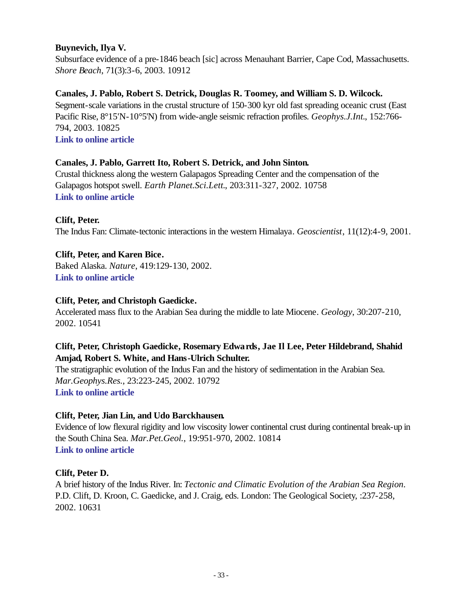### **Buynevich, Ilya V.**

Subsurface evidence of a pre-1846 beach [sic] across Menauhant Barrier, Cape Cod, Massachusetts. *Shore Beach*, 71(3):3-6, 2003. 10912

# **Canales, J. Pablo, Robert S. Detrick, Douglas R. Toomey, and William S. D. Wilcock.**

Segment-scale variations in the crustal structure of 150-300 kyr old fast spreading oceanic crust (East Pacific Rise, 8°15'N-10°5'N) from wide-angle seismic refraction profiles. *Geophys.J.Int.*, 152:766- 794, 2003. 10825 **[Link to online article](http://www.blackwell-synergy.com/links/doi/10.1046/j.1365-246X.2003.01885.x/full/)**

# **Canales, J. Pablo, Garrett Ito, Robert S. Detrick, and John Sinton.**

Crustal thickness along the western Galapagos Spreading Center and the compensation of the Galapagos hotspot swell. *Earth Planet.Sci.Lett.*, 203:311-327, 2002. 10758 **[Link to online article](http://www.sciencedirect.com/science?_ob=MImg&_imagekey=B6V61-46THS9C-F-R&_cdi=5801&_orig=browse&_coverDate=10%2F15%2F2002&_sk=997969998&view=c&wchp=dGLbVlb-zSkWz&_acct=C000011858&_version=1&_userid=142773&md5=7a32977a9f0ce99420a4ca7a08677d5e&ie=f.pdf)**

# **Clift, Peter.**

The Indus Fan: Climate-tectonic interactions in the western Himalaya. *Geoscientist*, 11(12):4-9, 2001.

# **Clift, Peter, and Karen Bice.**

Baked Alaska. *Nature*, 419:129-130, 2002. **[Link to online article](http://www.nature.com/cgi-taf/DynaPage.taf?file=/nature/journal/v419/n6903/full/419129a_fs.html&content_filetype=pdf)**

### **Clift, Peter, and Christoph Gaedicke.**

Accelerated mass flux to the Arabian Sea during the middle to late Miocene. *Geology*, 30:207-210, 2002. 10541

# **Clift, Peter, Christoph Gaedicke, Rosemary Edwards, Jae Il Lee, Peter Hildebrand, Shahid Amjad, Robert S. White, and Hans-Ulrich Schulter.**

The stratigraphic evolution of the Indus Fan and the history of sedimentation in the Arabian Sea. *Mar.Geophys.Res.*, 23:223-245, 2002. 10792 **[Link to online article](http://journals.kluweronline.com/article.asp?PIPS=5119267)**

### **Clift, Peter, Jian Lin, and Udo Barckhausen.**

Evidence of low flexural rigidity and low viscosity lower continental crust during continental break-up in the South China Sea. *Mar.Pet.Geol.*, 19:951-970, 2002. 10814 **[Link to online article](http://www.sciencedirect.com/science?_ob=MImg&_imagekey=B6V9Y-47MCGJ0-1-1G&_cdi=5911&_orig=browse&_coverDate=09%2F30%2F2002&_sk=999809991&view=c&wchp=dGLbVtz-zSkzS&_acct=C000011858&_version=1&_userid=142773&md5=507a4c163bcf64384397e866ee43d70e&ie=f.pdf)**

### **Clift, Peter D.**

A brief history of the Indus River. In: *Tectonic and Climatic Evolution of the Arabian Sea Region*. P.D. Clift, D. Kroon, C. Gaedicke, and J. Craig, eds. London: The Geological Society, :237-258, 2002. 10631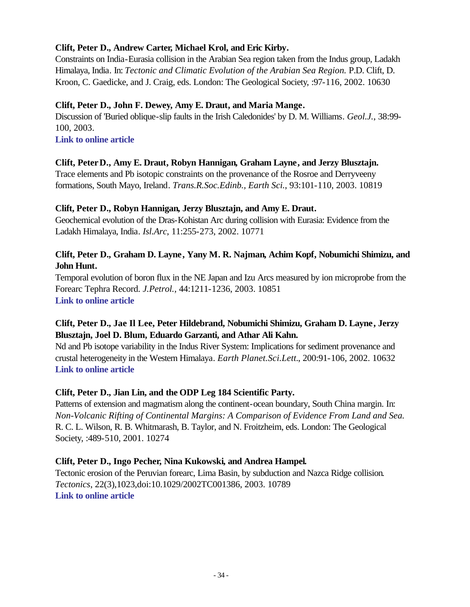# **Clift, Peter D., Andrew Carter, Michael Krol, and Eric Kirby.**

Constraints on India-Eurasia collision in the Arabian Sea region taken from the Indus group, Ladakh Himalaya, India. In: *Tectonic and Climatic Evolution of the Arabian Sea Region.* P.D. Clift, D. Kroon, C. Gaedicke, and J. Craig, eds. London: The Geological Society, :97-116, 2002. 10630

### **Clift, Peter D., John F. Dewey, Amy E. Draut, and Maria Mange.**

Discussion of 'Buried oblique-slip faults in the Irish Caledonides' by D. M. Williams. *Geol.J.*, 38:99- 100, 2003. **[Link to online article](http://www3.interscience.wiley.com/cgi-bin/fulltext/103522232/PDFSTART)**

# **Clift, Peter D., Amy E. Draut, Robyn Hannigan, Graham Layne, and Jerzy Blusztajn.**

Trace elements and Pb isotopic constraints on the provenance of the Rosroe and Derryveeny formations, South Mayo, Ireland. *Trans.R.Soc.Edinb., Earth Sci.*, 93:101-110, 2003. 10819

# **Clift, Peter D., Robyn Hannigan, Jerzy Blusztajn, and Amy E. Draut.**

Geochemical evolution of the Dras-Kohistan Arc during collision with Eurasia: Evidence from the Ladakh Himalaya, India. *Isl.Arc*, 11:255-273, 2002. 10771

# **Clift, Peter D., Graham D. Layne, Yany M. R. Najman, Achim Kopf, Nobumichi Shimizu, and John Hunt.**

Temporal evolution of boron flux in the NE Japan and Izu Arcs measured by ion microprobe from the Forearc Tephra Record. *J.Petrol.*, 44:1211-1236, 2003. 10851 **[Link to online article](http://petrology.oupjournals.org/cgi/reprint/44/7/1211.pdf)**

# **Clift, Peter D., Jae Il Lee, Peter Hildebrand, Nobumichi Shimizu, Graham D. Layne, Jerzy Blusztajn, Joel D. Blum, Eduardo Garzanti, and Athar Ali Kahn.**

Nd and Pb isotope variability in the Indus River System: Implications for sediment provenance and crustal heterogeneity in the Western Himalaya. *Earth Planet.Sci.Lett.*, 200:91-106, 2002. 10632 **[Link to online article](http://www.sciencedirect.com/science?_ob=MImg&_imagekey=B6V61-45KSTY0-5-N&_cdi=5801&_orig=browse&_coverDate=06%2F20%2F2002&_sk=997999998&view=c&wchp=dGLbVzb-zSkWb&_acct=C000011858&_version=1&_userid=142773&md5=9d3273cc3f7091203aa88b6b31990d49&ie=f.pdf)**

### **Clift, Peter D., Jian Lin, and the ODP Leg 184 Scientific Party.**

Patterns of extension and magmatism along the continent-ocean boundary, South China margin. In: *Non-Volcanic Rifting of Continental Margins: A Comparison of Evidence From Land and Sea.*  R. C. L. Wilson, R. B. Whitmarash, B. Taylor, and N. Froitzheim, eds. London: The Geological Society, :489-510, 2001. 10274

### **Clift, Peter D., Ingo Pecher, Nina Kukowski, and Andrea Hampel.**

Tectonic erosion of the Peruvian forearc, Lima Basin, by subduction and Nazca Ridge collision. *Tectonics*, 22(3),1023,doi:10.1029/2002TC001386, 2003. 10789 **[Link to online article](http://www.agu.org/journals/tc/tc0303/2002TC001386/2002TC001386.pdf)**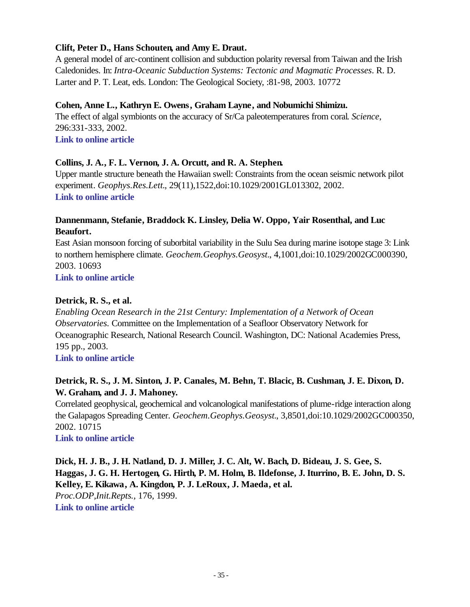# **Clift, Peter D., Hans Schouten, and Amy E. Draut.**

A general model of arc-continent collision and subduction polarity reversal from Taiwan and the Irish Caledonides. In: *Intra-Oceanic Subduction Systems: Tectonic and Magmatic Processes*. R. D. Larter and P. T. Leat, eds. London: The Geological Society, :81-98, 2003. 10772

### **Cohen, Anne L., Kathryn E. Owens, Graham Layne, and Nobumichi Shimizu.**

The effect of algal symbionts on the accuracy of Sr/Ca paleotemperatures from coral. *Science*, 296:331-333, 2002. **[Link to online article](http://www.sciencemag.org/cgi/reprint/296/5566/331.pdf)**

### **Collins, J. A., F. L. Vernon, J. A. Orcutt, and R. A. Stephen.**

Upper mantle structure beneath the Hawaiian swell: Constraints from the ocean seismic network pilot experiment. *Geophys.Res.Lett.*, 29(11),1522,doi:10.1029/2001GL013302, 2002. **[Link to online article](http://www.agu.org/journals/gl/gl0211/2001GL013302/2001GL013302.pdf)**

# **Dannenmann, Stefanie, Braddock K. Linsley, Delia W. Oppo, Yair Rosenthal, and Luc Beaufort.**

East Asian monsoon forcing of suborbital variability in the Sulu Sea during marine isotope stage 3: Link to northern hemisphere climate. *Geochem.Geophys.Geosyst.*, 4,1001,doi:10.1029/2002GC000390, 2003. 10693

**[Link to online article](http://www.agu.org/journals/gc/gc0301/2002GC000390/2002GC000390.pdf)**

# **Detrick, R. S., et al.**

*Enabling Ocean Research in the 21st Century: Implementation of a Network of Ocean Observatories.* Committee on the Implementation of a Seafloor Observatory Network for Oceanographic Research, National Research Council. Washington, DC: National Academies Press, 195 pp., 2003.

**[Link to online article](http://www.nap.edu/books/0309089905/html/)**

# **Detrick, R. S., J. M. Sinton, J. P. Canales, M. Behn, T. Blacic, B. Cushman, J. E. Dixon, D. W. Graham, and J. J. Mahoney.**

Correlated geophysical, geochemical and volcanological manifestations of plume-ridge interaction along the Galapagos Spreading Center. *Geochem.Geophys.Geosyst.*, 3,8501,doi:10.1029/2002GC000350, 2002. 10715

**[Link to online article](http://www.agu.org/journals/gc/gc0210/2002GC000350/2002GC000350.pdf)**

**Dick, H. J. B., J. H. Natland, D. J. Miller, J. C. Alt, W. Bach, D. Bideau, J. S. Gee, S. Haggas, J. G. H. Hertogen, G. Hirth, P. M. Holm, B. Ildefonse, J. Iturrino, B. E. John, D. S. Kelley, E. Kikawa, A. Kingdon, P. J. LeRoux, J. Maeda, et al.** *Proc.ODP,Init.Repts.*, 176, 1999.

**[Link to online article](http://www-odp.tamu.edu/publications/176_IR/176ir.htm)**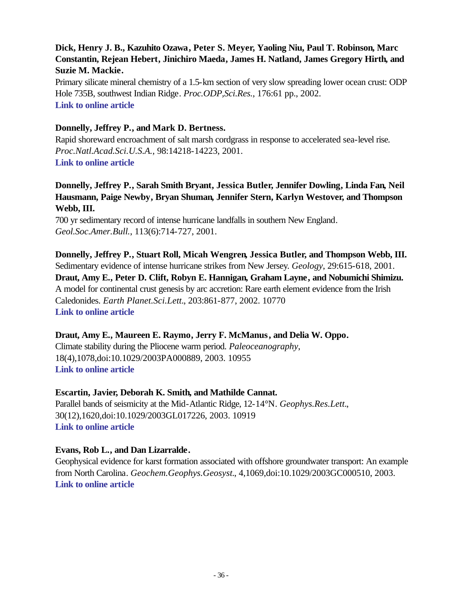# **Dick, Henry J. B., Kazuhito Ozawa, Peter S. Meyer, Yaoling Niu, Paul T. Robinson, Marc Constantin, Rejean Hebert, Jinichiro Maeda, James H. Natland, James Gregory Hirth, and Suzie M. Mackie.**

Primary silicate mineral chemistry of a 1.5-km section of very slow spreading lower ocean crust: ODP Hole 735B, southwest Indian Ridge. *Proc.ODP,Sci.Res.*, 176:61 pp., 2002. **[Link to online article](http://www-odp.tamu.edu/publications/176_SR/VOLUME/CHAPTERS/SR176_10.PDF)**

# **Donnelly, Jeffrey P., and Mark D. Bertness.**

Rapid shoreward encroachment of salt marsh cordgrass in response to accelerated sea-level rise. *Proc.Natl.Acad.Sci.U.S.A.*, 98:14218-14223, 2001. **[Link to online article](http://www.pnas.org/cgi/reprint/98/25/14218.pdf)**

# **Donnelly, Jeffrey P., Sarah Smith Bryant, Jessica Butler, Jennifer Dowling, Linda Fan, Neil Hausmann, Paige Newby, Bryan Shuman, Jennifer Stern, Karlyn Westover, and Thompson Webb, III.**

700 yr sedimentary record of intense hurricane landfalls in southern New England. *Geol.Soc.Amer.Bull.*, 113(6):714-727, 2001.

**Donnelly, Jeffrey P., Stuart Roll, Micah Wengren, Jessica Butler, and Thompson Webb, III.** Sedimentary evidence of intense hurricane strikes from New Jersey. *Geology*, 29:615-618, 2001. **Draut, Amy E., Peter D. Clift, Robyn E. Hannigan, Graham Layne, and Nobumichi Shimizu.** A model for continental crust genesis by arc accretion: Rare earth element evidence from the Irish Caledonides. *Earth Planet.Sci.Lett.*, 203:861-877, 2002. 10770 **[Link to online article](http://www.sciencedirect.com/science?_ob=MImg&_imagekey=B6V61-46YBPYG-3-K&_cdi=5801&_orig=browse&_coverDate=11%2F15%2F2002&_sk=997969996&view=c&wchp=dGLbVzb-zSkWz&_acct=C000011858&_version=1&_userid=142773&md5=a605aaf2c14b372377fb5c585c4d862c&ie=f.pdf)**

### **Draut, Amy E., Maureen E. Raymo, Jerry F. McManus, and Delia W. Oppo.**

Climate stability during the Pliocene warm period. *Paleoceanography*, 18(4),1078,doi:10.1029/2003PA000889, 2003. 10955 **[Link to online article](http://www.agu.org/journals/pa/pa0304/2003PA000889/2003PA000889.pdf)**

### **Escartin, Javier, Deborah K. Smith, and Mathilde Cannat.**

Parallel bands of seismicity at the Mid-Atlantic Ridge, 12-14°N. *Geophys.Res.Lett.*, 30(12),1620,doi:10.1029/2003GL017226, 2003. 10919 **[Link to online article](http://www.agu.org/journals/gl/gl0312/2003GL017226/2003GL017226.pdf)**

### **Evans, Rob L., and Dan Lizarralde.**

Geophysical evidence for karst formation associated with offshore groundwater transport: An example from North Carolina. *Geochem.Geophys.Geosyst.*, 4,1069,doi:10.1029/2003GC000510, 2003. **[Link to online article](http://www.agu.org/journals/gc/gc0308/2003GC000510/2003GC000510.pdf)**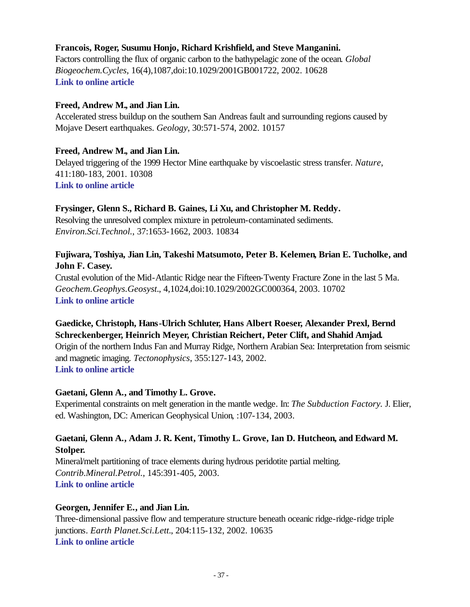# **Francois, Roger, Susumu Honjo, Richard Krishfield, and Steve Manganini.**

Factors controlling the flux of organic carbon to the bathypelagic zone of the ocean. *Global Biogeochem.Cycles*, 16(4),1087,doi:10.1029/2001GB001722, 2002. 10628 **[Link to online article](http://www.agu.org/journals/gb/gb0204/2001GB001722/2001GB001722.pdf)**

### **Freed, Andrew M., and Jian Lin.**

Accelerated stress buildup on the southern San Andreas fault and surrounding regions caused by Mojave Desert earthquakes. *Geology*, 30:571-574, 2002. 10157

### **Freed, Andrew M., and Jian Lin.**

Delayed triggering of the 1999 Hector Mine earthquake by viscoelastic stress transfer. *Nature*, 411:180-183, 2001. 10308 **[Link to online article](http://www.nature.com/cgi-taf/DynaPage.taf?file=/nature/journal/v411/n6834/full/411180a0_fs.html&content_filetype=pdf)**

### **Frysinger, Glenn S., Richard B. Gaines, Li Xu, and Christopher M. Reddy.**

Resolving the unresolved complex mixture in petroleum-contaminated sediments. *Environ.Sci.Technol.*, 37:1653-1662, 2003. 10834

### **Fujiwara, Toshiya, Jian Lin, Takeshi Matsumoto, Peter B. Kelemen, Brian E. Tucholke, and John F. Casey.**

Crustal evolution of the Mid-Atlantic Ridge near the Fifteen-Twenty Fracture Zone in the last 5 Ma. *Geochem.Geophys.Geosyst.*, 4,1024,doi:10.1029/2002GC000364, 2003. 10702 **[Link to online article](http://www.agu.org/journals/gc/gc0303/2002GC000364/2002GC000364.pdf)**

# **Gaedicke, Christoph, Hans-Ulrich Schluter, Hans Albert Roeser, Alexander Prexl, Bernd Schreckenberger, Heinrich Meyer, Christian Reichert, Peter Clift, and Shahid Amjad.** Origin of the northern Indus Fan and Murray Ridge, Northern Arabian Sea: Interpretation from seismic and magnetic imaging. *Tectonophysics*, 355:127-143, 2002. **[Link to online article](http://www.sciencedirect.com/science?_ob=MImg&_imagekey=B6V72-45SH8DB-2-K&_cdi=5830&_orig=search&_coverDate=09%2F30%2F2002&_sk=996449998&view=c&wchp=dGLbVlb-zSkzS&_acct=C000011858&_version=1&_userid=142773&md5=c76bb46925f402d7625db3c986d14cf5&ie=f.pdf)**

### **Gaetani, Glenn A., and Timothy L. Grove.**

Experimental constraints on melt generation in the mantle wedge. In: *The Subduction Factory.* J. Elier, ed. Washington, DC: American Geophysical Union, :107-134, 2003.

### **Gaetani, Glenn A., Adam J. R. Kent, Timothy L. Grove, Ian D. Hutcheon, and Edward M. Stolper.**

Mineral/melt partitioning of trace elements during hydrous peridotite partial melting. *Contrib.Mineral.Petrol.*, 145:391-405, 2003. **[Link to online article](http://www.springerlink.com/app/home/content.asp?wasp=n0fdjpmyth6vqryxvcby&referrer=contribution&format=2&page=1&pagecount=15)**

### **Georgen, Jennifer E., and Jian Lin.**

Three-dimensional passive flow and temperature structure beneath oceanic ridge-ridge-ridge triple junctions. *Earth Planet.Sci.Lett.*, 204:115-132, 2002. 10635 **[Link to online article](http://www.sciencedirect.com/science?_ob=MImg&_imagekey=B6V61-4789N85-2-Y&_cdi=5801&_orig=browse&_coverDate=11%2F30%2F2002&_sk=997959998&view=c&wchp=dGLbVtz-zSkzV&_acct=C000011858&_version=1&_userid=142773&md5=e22ca85e5668fccf9804bf0d7a3bb66f&ie=f.pdf)**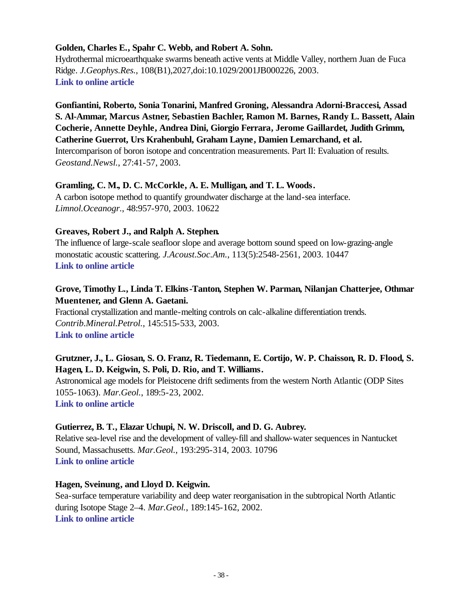### **Golden, Charles E., Spahr C. Webb, and Robert A. Sohn.**

Hydrothermal microearthquake swarms beneath active vents at Middle Valley, northern Juan de Fuca Ridge. *J.Geophys.Res.*, 108(B1),2027,doi:10.1029/2001JB000226, 2003. **[Link to online article](http://www.agu.org/journals/jb/jb0301/2001JB000226/2001JB000226.pdf)**

**Gonfiantini, Roberto, Sonia Tonarini, Manfred Groning, Alessandra Adorni-Braccesi, Assad S. Al-Ammar, Marcus Astner, Sebastien Bachler, Ramon M. Barnes, Randy L. Bassett, Alain Cocherie, Annette Deyhle, Andrea Dini, Giorgio Ferrara, Jerome Gaillardet, Judith Grimm, Catherine Guerrot, Urs Krahenbuhl, Graham Layne, Damien Lemarchand, et al.**

Intercomparison of boron isotope and concentration measurements. Part II: Evaluation of results. *Geostand.Newsl.*, 27:41-57, 2003.

### **Gramling, C. M., D. C. McCorkle, A. E. Mulligan, and T. L. Woods.**

A carbon isotope method to quantify groundwater discharge at the land-sea interface. *Limnol.Oceanogr.*, 48:957-970, 2003. 10622

### **Greaves, Robert J., and Ralph A. Stephen.**

The influence of large-scale seafloor slope and average bottom sound speed on low-grazing-angle monostatic acoustic scattering. *J.Acoust.Soc.Am.*, 113(5):2548-2561, 2003. 10447 **[Link to online article](http://ojps.aip.org/getpdf/servlet/GetPDFServlet?filetype=pdf&id=JASMAN000113000005002548000001&idtype=cvips)**

# **Grove, Timothy L., Linda T. Elkins-Tanton, Stephen W. Parman, Nilanjan Chatterjee, Othmar Muentener, and Glenn A. Gaetani.**

Fractional crystallization and mantle-melting controls on calc-alkaline differentiation trends. *Contrib.Mineral.Petrol.*, 145:515-533, 2003. **[Link to online article](http://www.springerlink.com/app/home/content.asp?wasp=7hxdagvvlh7xw1mlpt6y&referrer=contribution&format=2&page=1&pagecount=19)**

# **Grutzner, J., L. Giosan, S. O. Franz, R. Tiedemann, E. Cortijo, W. P. Chaisson, R. D. Flood, S. Hagen, L. D. Keigwin, S. Poli, D. Rio, and T. Williams.**

Astronomical age models for Pleistocene drift sediments from the western North Atlantic (ODP Sites 1055-1063). *Mar.Geol.*, 189:5-23, 2002. **[Link to online article](http://www.sciencedirect.com/science?_ob=MImg&_imagekey=B6V6M-4603RF7-1-R&_cdi=5818&_orig=browse&_coverDate=09%2F15%2F2002&_sk=998109998&view=c&wchp=dGLbVzb-zSkWW&_acct=C000011858&_version=1&_userid=142773&md5=65e9bb6f5c3d6e82491edfe454b10a9d&ie=f.pdf)**

### **Gutierrez, B. T., Elazar Uchupi, N. W. Driscoll, and D. G. Aubrey.**

Relative sea-level rise and the development of valley-fill and shallow-water sequences in Nantucket Sound, Massachusetts. *Mar.Geol.*, 193:295-314, 2003. 10796 **[Link to online article](http://www.sciencedirect.com/science?_ob=MImg&_imagekey=B6V6M-47P927S-1-T&_cdi=5818&_orig=browse&_coverDate=02%2F15%2F2003&_sk=998069996&view=c&wchp=dGLbVzb-zSkWA&_acct=C000011858&_version=1&_userid=142773&md5=4f5a1ccb2b7b4ccd724a7f9089bb259d&ie=f.pdf)**

### **Hagen, Sveinung, and Lloyd D. Keigwin.**

Sea-surface temperature variability and deep water reorganisation in the subtropical North Atlantic during Isotope Stage 2–4. *Mar.Geol.*, 189:145-162, 2002. **[Link to online article](http://www.sciencedirect.com/science?_ob=MImg&_imagekey=B6V6M-46NX9SP-1-F&_cdi=5818&_orig=browse&_coverDate=09%2F15%2F2002&_sk=998109998&view=c&wchp=dGLbVzb-zSkzV&_acct=C000011858&_version=1&_userid=142773&md5=94684bcf43d1e7c4a2a75e82527499be&ie=f.pdf)**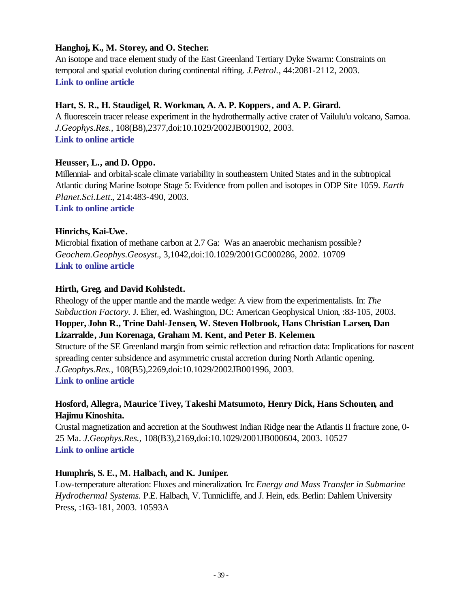# **Hanghoj, K., M. Storey, and O. Stecher.**

An isotope and trace element study of the East Greenland Tertiary Dyke Swarm: Constraints on temporal and spatial evolution during continental rifting. *J.Petrol.*, 44:2081-2112, 2003. **[Link to online article](http://petrology.oupjournals.org/cgi/reprint/44/11/2081.pdf)**

# **Hart, S. R., H. Staudigel, R. Workman, A. A. P. Koppers, and A. P. Girard.**

A fluorescein tracer release experiment in the hydrothermally active crater of Vailulu'u volcano, Samoa. *J.Geophys.Res.*, 108(B8),2377,doi:10.1029/2002JB001902, 2003. **[Link to online article](http://www.agu.org/journals/jb/jb0308/2002JB001902/2002JB001902.pdf)**

# **Heusser, L., and D. Oppo.**

Millennial- and orbital-scale climate variability in southeastern United States and in the subtropical Atlantic during Marine Isotope Stage 5: Evidence from pollen and isotopes in ODP Site 1059. *Earth Planet.Sci.Lett.*, 214:483-490, 2003.

**[Link to online article](http://www.sciencedirect.com/science?_ob=MImg&_imagekey=B6V61-49CR9VN-2-5&_cdi=5801&_orig=browse&_coverDate=09%2F30%2F2003&_sk=997859996&view=c&wchp=dGLbVzz-zSkWz&_acct=C000011858&_version=1&_userid=142773&md5=9f6f3b9570cb8c1856594d3b43a9688a&ie=f.pdf)**

# **Hinrichs, Kai-Uwe.**

Microbial fixation of methane carbon at 2.7 Ga: Was an anaerobic mechanism possible? *Geochem.Geophys.Geosyst.*, 3,1042,doi:10.1029/2001GC000286, 2002. 10709 **[Link to online article](http://www.agu.org/journals/gc/gc0207/2001GC000286/2001GC000286.pdf)**

# **Hirth, Greg, and David Kohlstedt.**

Rheology of the upper mantle and the mantle wedge: A view from the experimentalists. In: *The Subduction Factory.* J. Elier, ed. Washington, DC: American Geophysical Union, :83-105, 2003. **Hopper, John R., Trine Dahl-Jensen, W. Steven Holbrook, Hans Christian Larsen, Dan Lizarralde, Jun Korenaga, Graham M. Kent, and Peter B. Kelemen.** Structure of the SE Greenland margin from seimic reflection and refraction data: Implications for nascent spreading center subsidence and asymmetric crustal accretion during North Atlantic opening. *J.Geophys.Res.*, 108(B5),2269,doi:10.1029/2002JB001996, 2003. **[Link to online article](http://www.agu.org/journals/jb/jb0305/2002JB001996/2002JB001996.pdf)**

# **Hosford, Allegra, Maurice Tivey, Takeshi Matsumoto, Henry Dick, Hans Schouten, and Hajimu Kinoshita.**

Crustal magnetization and accretion at the Southwest Indian Ridge near the Atlantis II fracture zone, 0- 25 Ma. *J.Geophys.Res.*, 108(B3),2169,doi:10.1029/2001JB000604, 2003. 10527 **[Link to online article](http://www.agu.org/journals/jb/jb0303/2001JB000604/2001JB000604.pdf)**

# **Humphris, S. E., M. Halbach, and K. Juniper.**

Low-temperature alteration: Fluxes and mineralization. In: *Energy and Mass Transfer in Submarine Hydrothermal Systems.* P.E. Halbach, V. Tunnicliffe, and J. Hein, eds. Berlin: Dahlem University Press, :163-181, 2003. 10593A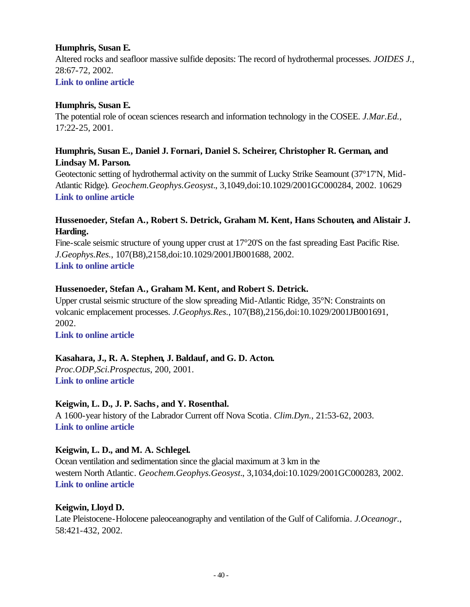# **Humphris, Susan E.**

Altered rocks and seafloor massive sulfide deposits: The record of hydrothermal processes. *JOIDES J.*, 28:67-72, 2002.

**[Link to online article](http://joides.rsmas.miami.edu/files/jj_vol_28_1.pdf)**

# **Humphris, Susan E.**

The potential role of ocean sciences research and information technology in the COSEE. *J.Mar.Ed.*, 17:22-25, 2001.

# **Humphris, Susan E., Daniel J. Fornari, Daniel S. Scheirer, Christopher R. German, and Lindsay M. Parson.**

Geotectonic setting of hydrothermal activity on the summit of Lucky Strike Seamount (37°17'N, Mid-Atlantic Ridge). *Geochem.Geophys.Geosyst.*, 3,1049,doi:10.1029/2001GC000284, 2002. 10629 **[Link to online article](http://www.agu.org/journals/gc/gc0208/2001GC000284/2001GC000284.pdf)**

# **Hussenoeder, Stefan A., Robert S. Detrick, Graham M. Kent, Hans Schouten, and Alistair J. Harding.**

Fine-scale seismic structure of young upper crust at 17°20'S on the fast spreading East Pacific Rise. *J.Geophys.Res.*, 107(B8),2158,doi:10.1029/2001JB001688, 2002. **[Link to online article](http://www.agu.org/journals/jb/jb0208/2001JB001688/2001JB001688.pdf)**

# **Hussenoeder, Stefan A., Graham M. Kent, and Robert S. Detrick.**

Upper crustal seismic structure of the slow spreading Mid-Atlantic Ridge, 35°N: Constraints on volcanic emplacement processes. *J.Geophys.Res.*, 107(B8),2156,doi:10.1029/2001JB001691, 2002.

**[Link to online article](http://www.agu.org/journals/jb/jb0208/2001JB001688/2001JB001688.pdf)**

# **Kasahara, J., R. A. Stephen, J. Baldauf, and G. D. Acton.**

*Proc.ODP,Sci.Prospectus*, 200, 2001. **[Link to online article](http://www-odp.tamu.edu/publications/prosp/200_prs/200prosp.pdf)**

# **Keigwin, L. D., J. P. Sachs, and Y. Rosenthal.**

A 1600-year history of the Labrador Current off Nova Scotia. *Clim.Dyn.*, 21:53-62, 2003. **[Link to online article](http://www.springerlink.com/app/home/content.asp?wasp=7hxdaf81046kqg4fb5dj&referrer=contribution&format=2&page=1&pagecount=10)**

# **Keigwin, L. D., and M. A. Schlegel.**

Ocean ventilation and sedimentation since the glacial maximum at 3 km in the western North Atlantic. *Geochem.Geophys.Geosyst.*, 3,1034,doi:10.1029/2001GC000283, 2002. **[Link to online article](http://www.agu.org/journals/gc/gc0206/2001GC000283/2001GC000283.pdf)**

# **Keigwin, Lloyd D.**

Late Pleistocene-Holocene paleoceanography and ventilation of the Gulf of California. *J.Oceanogr.*, 58:421-432, 2002.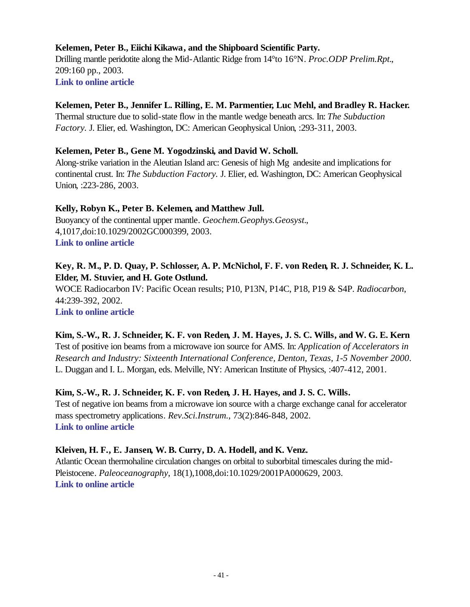# **Kelemen, Peter B., Eiichi Kikawa, and the Shipboard Scientific Party.**

Drilling mantle peridotite along the Mid-Atlantic Ridge from 14°to 16°N. *Proc.ODP Prelim.Rpt.*, 209:160 pp., 2003. **[Link to online article](http://www-odp.tamu.edu/publications/prelim/209_prel/209PREL.PDF)**

### **Kelemen, Peter B., Jennifer L. Rilling, E. M. Parmentier, Luc Mehl, and Bradley R. Hacker.**

Thermal structure due to solid-state flow in the mantle wedge beneath arcs. In: *The Subduction Factory.* J. Elier, ed. Washington, DC: American Geophysical Union, :293-311, 2003.

### **Kelemen, Peter B., Gene M. Yogodzinski, and David W. Scholl.**

Along-strike variation in the Aleutian Island arc: Genesis of high Mg andesite and implications for continental crust. In: *The Subduction Factory.* J. Elier, ed. Washington, DC: American Geophysical Union, :223-286, 2003.

### **Kelly, Robyn K., Peter B. Kelemen, and Matthew Jull.**

Buoyancy of the continental upper mantle. *Geochem.Geophys.Geosyst.*, 4,1017,doi:10.1029/2002GC000399, 2003. **[Link to online article](http://www.agu.org/journals/gc/gc0302/2002GC000399/2002GC000399.pdf)**

# **Key, R. M., P. D. Quay, P. Schlosser, A. P. McNichol, F. F. von Reden, R. J. Schneider, K. L. Elder, M. Stuvier, and H. Gote Ostlund.**

WOCE Radiocarbon IV: Pacific Ocean results; P10, P13N, P14C, P18, P19 & S4P. *Radiocarbon*, 44:239-392, 2002.

**[Link to online article](http://giorgio.ingentaselect.com/vl=5021740/cl=44/nw=1/fm=docpdf/rpsv/catchword/arizona/00338222/v44n1/s24/p239)**

# **Kim, S.-W., R. J. Schneider, K. F. von Reden, J. M. Hayes, J. S. C. Wills, and W. G. E. Kern** Test of positive ion beams from a microwave ion source for AMS. In: *Application of Accelerators in Research and Industry: Sixteenth International Conference, Denton, Texas, 1-5 November 2000*. L. Duggan and I. L. Morgan, eds. Melville, NY: American Institute of Physics, :407-412, 2001.

# **Kim, S.-W., R. J. Schneider, K. F. von Reden, J. H. Hayes, and J. S. C. Wills.**

Test of negative ion beams from a microwave ion source with a charge exchange canal for accelerator mass spectrometry applications. *Rev.Sci.Instrum.*, 73(2):846-848, 2002. **[Link to online article](http://ojps.aip.org/getpdf/servlet/GetPDFServlet?filetype=pdf&id=RSINAK000073000002000846000001&idtype=cvips)**

# **Kleiven, H. F., E. Jansen, W. B. Curry, D. A. Hodell, and K. Venz.**

Atlantic Ocean thermohaline circulation changes on orbital to suborbital timescales during the mid-Pleistocene. *Paleoceanography*, 18(1),1008,doi:10.1029/2001PA000629, 2003. **[Link to online article](http://www.agu.org/journals/pa/pa0301/2001PA000629/2001PA000629.pdf)**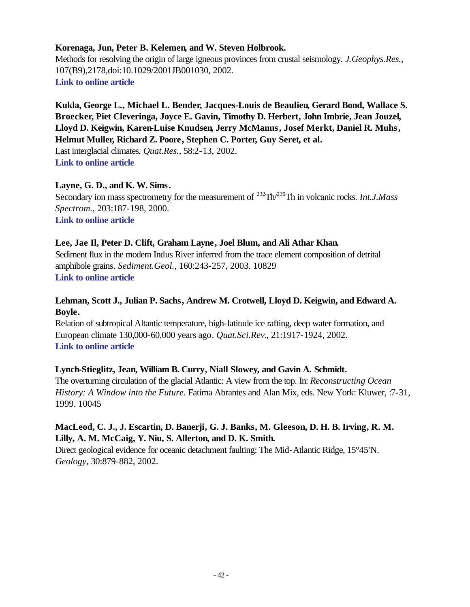### **Korenaga, Jun, Peter B. Kelemen, and W. Steven Holbrook.**

Methods for resolving the origin of large igneous provinces from crustal seismology. *J.Geophys.Res.*, 107(B9),2178,doi:10.1029/2001JB001030, 2002. **[Link to online article](http://www.agu.org/journals/jb/jb0209/2001JB001030/2001JB001030.pdf)**

**Kukla, George L., Michael L. Bender, Jacques-Louis de Beaulieu, Gerard Bond, Wallace S. Broecker, Piet Cleveringa, Joyce E. Gavin, Timothy D. Herbert, John Imbrie, Jean Jouzel, Lloyd D. Keigwin, Karen-Luise Knudsen, Jerry McManus, Josef Merkt, Daniel R. Muhs, Helmut Muller, Richard Z. Poore, Stephen C. Porter, Guy Seret, et al.**

Last interglacial climates. *Quat.Res.*, 58:2-13, 2002. **[Link to online article](http://www.sciencedirect.com/science?_ob=MImg&_imagekey=B6WPN-46H7Y70-2-1&_cdi=6995&_orig=browse&_coverDate=07%2F31%2F2002&_sk=999419998&view=c&wchp=dGLbVzb-zSkzk&_acct=C000011858&_version=1&_userid=142773&md5=3226426fb5a48f41ea9aae39396df6dd&ie=f.pdf)**

### **Layne, G. D., and K. W. Sims.**

Secondary ion mass spectrometry for the measurement of <sup>232</sup>Th<sup>/230</sup>Th in volcanic rocks. *Int.J.Mass Spectrom.*, 203:187-198, 2000. **[Link to online article](http://www.sciencedirect.com/science?_ob=MImg&_imagekey=B6VND-423RH4V-K-1&_cdi=6176&_orig=browse&_coverDate=12%2F26%2F2000&_sk=997969998&view=c&wchp=dGLbVlz-zSkzS&_acct=C000011858&_version=1&_userid=142773&md5=373643796518bb92a7926de723ea0585&ie=f.pdf)**

### **Lee, Jae Il, Peter D. Clift, Graham Layne, Joel Blum, and Ali Athar Khan.**

Sediment flux in the modern Indus River inferred from the trace element composition of detrital amphibole grains. *Sediment.Geol.*, 160:243-257, 2003. 10829 **[Link to online article](http://www.sciencedirect.com/science?_ob=MImg&_imagekey=B6V6X-47HBY7X-1-R&_cdi=5826&_orig=browse&_coverDate=08%2F01%2F2003&_sk=998399998&view=c&wchp=dGLbVtz-zSkzV&_acct=C000011858&_version=1&_userid=142773&md5=2f11bc900f49025418ee16407566391f&ie=f.pdf)**

# **Lehman, Scott J., Julian P. Sachs, Andrew M. Crotwell, Lloyd D. Keigwin, and Edward A. Boyle.**

Relation of subtropical Altantic temperature, high-latitude ice rafting, deep water formation, and European climate 130,000-60,000 years ago. *Quat.Sci.Rev.*, 21:1917-1924, 2002. **[Link to online article](http://www.sciencedirect.com/science?_ob=MImg&_imagekey=B6VBC-46R5NPT-1-F&_cdi=5923&_orig=browse&_coverDate=10%2F31%2F2002&_sk=999789981&view=c&wchp=dGLbVlz-zSkzS&_acct=C000011858&_version=1&_userid=142773&md5=0472bd10c8dc2057be8c2153b9b868cb&ie=f.pdf)**

# **Lynch-Stieglitz, Jean, William B. Curry, Niall Slowey, and Gavin A. Schmidt.**

The overturning circulation of the glacial Atlantic: A view from the top. In: *Reconstructing Ocean History: A Window into the Future. Fatima Abrantes and Alan Mix, eds. New York: Kluwer, :7-31,* 1999. 10045

# **MacLeod, C. J., J. Escartin, D. Banerji, G. J. Banks, M. Gleeson, D. H. B. Irving, R. M. Lilly, A. M. McCaig, Y. Niu, S. Allerton, and D. K. Smith.**

Direct geological evidence for oceanic detachment faulting: The Mid-Atlantic Ridge, 15°45'N. *Geology*, 30:879-882, 2002.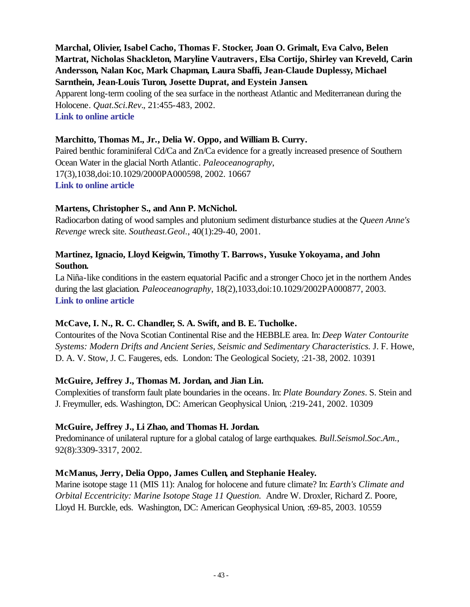# **Marchal, Olivier, Isabel Cacho, Thomas F. Stocker, Joan O. Grimalt, Eva Calvo, Belen Martrat, Nicholas Shackleton, Maryline Vautravers, Elsa Cortijo, Shirley van Kreveld, Carin Andersson, Nalan Koc, Mark Chapman, Laura Sbaffi, Jean-Claude Duplessy, Michael Sarnthein, Jean-Louis Turon, Josette Duprat, and Eystein Jansen.** Apparent long-term cooling of the sea surface in the northeast Atlantic and Mediterranean during the Holocene. *Quat.Sci.Rev.*, 21:455-483, 2002.

**[Link to online article](http://www.sciencedirect.com/science?_ob=MImg&_imagekey=B6VBC-44B6T7G-4-75&_cdi=5923&_orig=browse&_coverDate=02%2F28%2F2002&_sk=999789995&view=c&wchp=dGLbVtb-zSkWW&_acct=C000011858&_version=1&_userid=142773&md5=2b6b20b56ba08901e4263109737c91ea&ie=f.pdf)**

### **Marchitto, Thomas M., Jr., Delia W. Oppo, and William B. Curry.**

Paired benthic foraminiferal Cd/Ca and Zn/Ca evidence for a greatly increased presence of Southern Ocean Water in the glacial North Atlantic. *Paleoceanography*, 17(3),1038,doi:10.1029/2000PA000598, 2002. 10667 **[Link to online article](http://www.agu.org/journals/pa/pa0203/2000PA000598/2000PA000598.pdf)**

### **Martens, Christopher S., and Ann P. McNichol.**

Radiocarbon dating of wood samples and plutonium sediment disturbance studies at the *Queen Anne's Revenge* wreck site. *Southeast.Geol.*, 40(1):29-40, 2001.

# **Martinez, Ignacio, Lloyd Keigwin, Timothy T. Barrows, Yusuke Yokoyama, and John Southon.**

La Niña-like conditions in the eastern equatorial Pacific and a stronger Choco jet in the northern Andes during the last glaciation. *Paleoceanography*, 18(2),1033,doi:10.1029/2002PA000877, 2003. **[Link to online article](http://www.agu.org/journals/pa/pa0302/2002PA000877/2002PA000877.pdf)**

# **McCave, I. N., R. C. Chandler, S. A. Swift, and B. E. Tucholke.**

Contourites of the Nova Scotian Continental Rise and the HEBBLE area. In: *Deep Water Contourite Systems: Modern Drifts and Ancient Series, Seismic and Sedimentary Characteristics.* J. F. Howe, D. A. V. Stow, J. C. Faugeres, eds. London: The Geological Society, :21-38, 2002. 10391

# **McGuire, Jeffrey J., Thomas M. Jordan, and Jian Lin.**

Complexities of transform fault plate boundaries in the oceans. In: *Plate Boundary Zones*. S. Stein and J. Freymuller, eds. Washington, DC: American Geophysical Union, :219-241, 2002. 10309

# **McGuire, Jeffrey J., Li Zhao, and Thomas H. Jordan.**

Predominance of unilateral rupture for a global catalog of large earthquakes. *Bull.Seismol.Soc.Am.*, 92(8):3309-3317, 2002.

# **McManus, Jerry, Delia Oppo, James Cullen, and Stephanie Healey.**

Marine isotope stage 11 (MIS 11): Analog for holocene and future climate? In: *Earth's Climate and Orbital Eccentricity: Marine Isotope Stage 11 Question.* Andre W. Droxler, Richard Z. Poore, Lloyd H. Burckle, eds. Washington, DC: American Geophysical Union, :69-85, 2003. 10559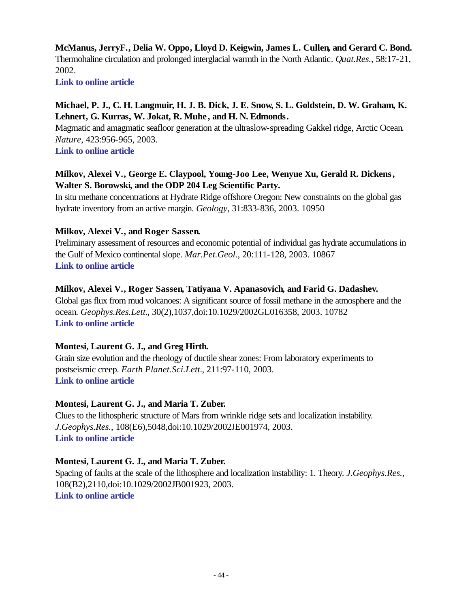# **McManus, JerryF., Delia W. Oppo, Lloyd D. Keigwin, James L. Cullen, and Gerard C. Bond.** Thermohaline circulation and prolonged interglacial warmth in the North Atlantic. *Quat.Res.*, 58:17-21, 2002.

**[Link to online article](http://www.sciencedirect.com/science?_ob=MImg&_imagekey=B6WPN-46H7Y70-4-1&_cdi=6995&_orig=browse&_coverDate=07%2F31%2F2002&_sk=999419998&view=c&wchp=dGLbVzb-zSkzk&_acct=C000011858&_version=1&_userid=142773&md5=96302cb95dce9650f3ecc53fce849427&ie=f.pdf)**

# **Michael, P. J., C. H. Langmuir, H. J. B. Dick, J. E. Snow, S. L. Goldstein, D. W. Graham, K. Lehnert, G. Kurras, W. Jokat, R. Muhe, and H. N. Edmonds.**

Magmatic and amagmatic seafloor generation at the ultraslow-spreading Gakkel ridge, Arctic Ocean. *Nature*, 423:956-965, 2003.

**[Link to online article](http://www.nature.com/cgi-taf/DynaPage.taf?file=/nature/journal/v423/n6943/full/nature01704_fs.html&content_filetype=pdf)**

# **Milkov, Alexei V., George E. Claypool, Young-Joo Lee, Wenyue Xu, Gerald R. Dickens, Walter S. Borowski, and the ODP 204 Leg Scientific Party.**

In situ methane concentrations at Hydrate Ridge offshore Oregon: New constraints on the global gas hydrate inventory from an active margin. *Geology*, 31:833-836, 2003. 10950

# **Milkov, Alexei V., and Roger Sassen.**

Preliminary assessment of resources and economic potential of individual gas hydrate accumulations in the Gulf of Mexico continental slope. *Mar.Pet.Geol.*, 20:111-128, 2003. 10867 **[Link to online article](http://www.sciencedirect.com/science?_ob=MImg&_imagekey=B6V9Y-48KVG78-1-Y&_cdi=5911&_orig=browse&_coverDate=02%2F28%2F2003&_sk=999799997&view=c&wchp=dGLbVtb-zSkWA&_acct=C000011858&_version=1&_userid=142773&md5=6d9cf31a174e5d1a551c97ee0348bec8&ie=f.pdf)**

# **Milkov, Alexei V., Roger Sassen, Tatiyana V. Apanasovich, and Farid G. Dadashev.**

Global gas flux from mud volcanoes: A significant source of fossil methane in the atmosphere and the ocean. *Geophys.Res.Lett.*, 30(2),1037,doi:10.1029/2002GL016358, 2003. 10782 **[Link to online article](http://www.agu.org/journals/gl/gl0302/2002GL016358/2002GL016358.pdf)**

# **Montesi, Laurent G. J., and Greg Hirth.**

Grain size evolution and the rheology of ductile shear zones: From laboratory experiments to postseismic creep. *Earth Planet.Sci.Lett.*, 211:97-110, 2003. **[Link to online article](http://www.sciencedirect.com/science?_ob=MImg&_imagekey=B6V61-48JK2R6-6-29&_cdi=5801&_orig=browse&_coverDate=06%2F15%2F2003&_sk=997889998&view=c&wchp=dGLbVzz-zSkWW&_acct=C000011858&_version=1&_userid=142773&md5=178c11234240f015efbff0d7e23de05e&ie=f.pdf)**

# **Montesi, Laurent G. J., and Maria T. Zuber.**

Clues to the lithospheric structure of Mars from wrinkle ridge sets and localization instability. *J.Geophys.Res.*, 108(E6),5048,doi:10.1029/2002JE001974, 2003. **[Link to online article](http://www.agu.org/journals/je/je0306/2002JE001974/2002JE001974.pdf)**

# **Montesi, Laurent G. J., and Maria T. Zuber.**

Spacing of faults at the scale of the lithosphere and localization instability: 1. Theory. *J.Geophys.Res.*, 108(B2),2110,doi:10.1029/2002JB001923, 2003. **[Link to online article](http://www.agu.org/journals/jb/jb0302/2002JB001924/2002JB001924.pdf)**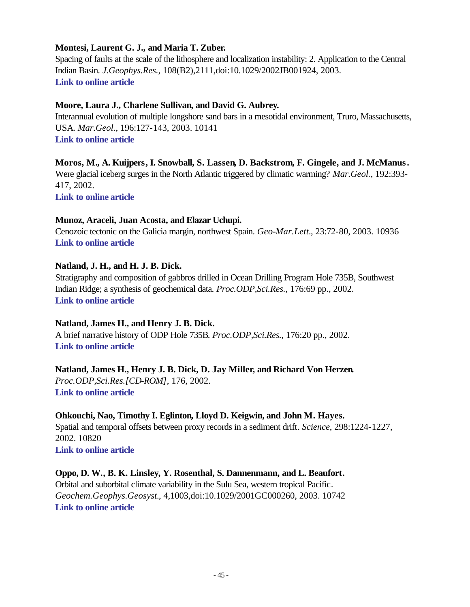### **Montesi, Laurent G. J., and Maria T. Zuber.**

Spacing of faults at the scale of the lithosphere and localization instability: 2. Application to the Central Indian Basin. *J.Geophys.Res.*, 108(B2),2111,doi:10.1029/2002JB001924, 2003. **[Link to online article](http://www.agu.org/journals/jb/jb0302/2002JB001924/2002JB001924.pdf)**

### **Moore, Laura J., Charlene Sullivan, and David G. Aubrey.**

Interannual evolution of multiple longshore sand bars in a mesotidal environment, Truro, Massachusetts, USA. *Mar.Geol.*, 196:127-143, 2003. 10141 **[Link to online article](http://www.sciencedirect.com/science?_ob=MImg&_imagekey=B6V6M-488NYB6-2-N&_cdi=5818&_orig=browse&_coverDate=05%2F15%2F2003&_sk=998039996&view=c&wchp=dGLbVzb-zSkWz&_acct=C000011858&_version=1&_userid=142773&md5=2b2744d0b794117654ca996a0a82ada4&ie=f.pdf)**

**Moros, M., A. Kuijpers, I. Snowball, S. Lassen, D. Backstrom, F. Gingele, and J. McManus.** Were glacial iceberg surges in the North Atlantic triggered by climatic warming? *Mar.Geol.*, 192:393- 417, 2002.

**[Link to online article](http://www.sciencedirect.com/science?_ob=MImg&_imagekey=B6V6M-474GJ3N-4-N&_cdi=5818&_orig=browse&_coverDate=12%2F30%2F2002&_sk=998079995&view=c&wchp=dGLbVtz-zSkzS&_acct=C000011858&_version=1&_userid=142773&md5=a188478b5d620f200df24060bb9953c1&ie=f.pdf)**

### **Munoz, Araceli, Juan Acosta, and Elazar Uchupi.**

Cenozoic tectonic on the Galicia margin, northwest Spain. *Geo-Mar.Lett.*, 23:72-80, 2003. 10936 **[Link to online article](http://www.springerlink.com/app/home/content.asp?wasp=mm8xdgqwrr3jp91hfj6u&referrer=contribution&format=2&page=1&pagecount=9)**

### **Natland, J. H., and H. J. B. Dick.**

Stratigraphy and composition of gabbros drilled in Ocean Drilling Program Hole 735B, Southwest Indian Ridge; a synthesis of geochemical data. *Proc.ODP,Sci.Res.*, 176:69 pp., 2002. **[Link to online article](http://www-odp.tamu.edu/publications/176_SR/VOLUME/SYNTH/SYNTH.PDF)**

### **Natland, James H., and Henry J. B. Dick.**

A brief narrative history of ODP Hole 735B. *Proc.ODP,Sci.Res.*, 176:20 pp., 2002. **[Link to online article](http://www-odp.tamu.edu/publications/176_SR/VOLUME/SYNTH/HIST.PDF)**

# **Natland, James H., Henry J. B. Dick, D. Jay Miller, and Richard Von Herzen.**

*Proc.ODP,Sci.Res.[CD-ROM]*, 176, 2002. **[Link to online article](http://www-odp.tamu.edu/publications/176_SR/176TOC.HTM)**

### **Ohkouchi, Nao, Timothy I. Eglinton, Lloyd D. Keigwin, and John M. Hayes.**

Spatial and temporal offsets between proxy records in a sediment drift. *Science*, 298:1224-1227, 2002. 10820 **[Link to online article](http://www.sciencemag.org/cgi/reprint/298/5596/1224.pdf)**

**Oppo, D. W., B. K. Linsley, Y. Rosenthal, S. Dannenmann, and L. Beaufort.** Orbital and suborbital climate variability in the Sulu Sea, western tropical Pacific. *Geochem.Geophys.Geosyst.*, 4,1003,doi:10.1029/2001GC000260, 2003. 10742 **[Link to online article](http://www.agu.org/journals/gc/gc0301/2001GC000260/2001GC000260.pdf)**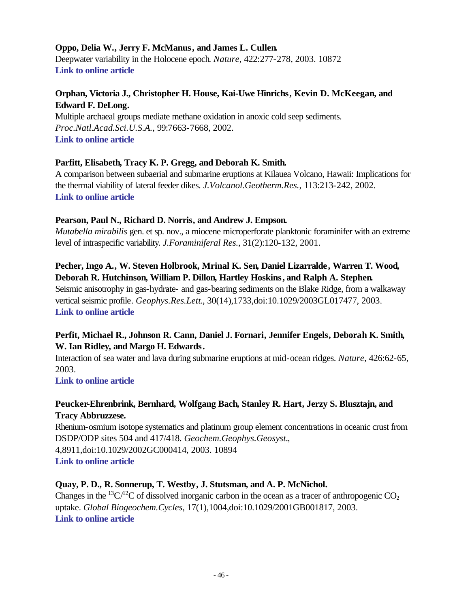# **Oppo, Delia W., Jerry F. McManus, and James L. Cullen.**

Deepwater variability in the Holocene epoch. *Nature*, 422:277-278, 2003. 10872 **[Link to online article](http://www.nature.com/cgi-taf/DynaPage.taf?file=/nature/journal/v422/n6929/full/422277a_fs.html&content_filetype=pdf)**

# **Orphan, Victoria J., Christopher H. House, Kai-Uwe Hinrichs, Kevin D. McKeegan, and Edward F. DeLong.**

Multiple archaeal groups mediate methane oxidation in anoxic cold seep sediments. *Proc.Natl.Acad.Sci.U.S.A.*, 99:7663-7668, 2002. **[Link to online article](http://www.pnas.org/cgi/reprint/99/11/7663.pdf)**

### **Parfitt, Elisabeth, Tracy K. P. Gregg, and Deborah K. Smith.**

A comparison between subaerial and submarine eruptions at Kilauea Volcano, Hawaii: Implications for the thermal viability of lateral feeder dikes. *J.Volcanol.Geotherm.Res.*, 113:213-242, 2002. **[Link to online article](http://www.sciencedirect.com/science?_ob=MImg&_imagekey=B6VCS-454TP1B-4-11&_cdi=5962&_orig=browse&_coverDate=03%2F15%2F2002&_sk=998869998&view=c&wchp=dGLbVtb-zSkWz&_acct=C000011858&_version=1&_userid=142773&md5=c5eeb80ac19b367a8ed4e110a4ed7c70&ie=f.pdf)**

### **Pearson, Paul N., Richard D. Norris, and Andrew J. Empson.**

*Mutabella mirabilis* gen. et sp. nov., a miocene microperforate planktonic foraminifer with an extreme level of intraspecific variability. *J.Foraminiferal Res.*, 31(2):120-132, 2001.

# **Pecher, Ingo A., W. Steven Holbrook, Mrinal K. Sen, Daniel Lizarralde, Warren T. Wood, Deborah R. Hutchinson, William P. Dillon, Hartley Hoskins, and Ralph A. Stephen.**

Seismic anisotrophy in gas-hydrate- and gas-bearing sediments on the Blake Ridge, from a walkaway vertical seismic profile. *Geophys.Res.Lett.*, 30(14),1733,doi:10.1029/2003GL017477, 2003. **[Link to online article](http://www.agu.org/journals/gl/gl0314/2003GL017477/2003GL017477.pdf)**

# **Perfit, Michael R., Johnson R. Cann, Daniel J. Fornari, Jennifer Engels, Deborah K. Smith, W. Ian Ridley, and Margo H. Edwards.**

Interaction of sea water and lava during submarine eruptions at mid-ocean ridges. *Nature*, 426:62-65, 2003.

**[Link to online article](http://www.nature.com/cgi-taf/DynaPage.taf?file=/nature/journal/v426/n6962/full/nature02032_fs.html&content_filetype=pdf)**

# **Peucker-Ehrenbrink, Bernhard, Wolfgang Bach, Stanley R. Hart, Jerzy S. Blusztajn, and Tracy Abbruzzese.**

Rhenium-osmium isotope systematics and platinum group element concentrations in oceanic crust from DSDP/ODP sites 504 and 417/418. *Geochem.Geophys.Geosyst.*, 4,8911,doi:10.1029/2002GC000414, 2003. 10894 **[Link to online article](http://www.agu.org/journals/gc/gc0307/2002GC000414/2002GC000414.pdf)**

# **Quay, P. D., R. Sonnerup, T. Westby, J. Stutsman, and A. P. McNichol.**

Changes in the <sup>13</sup>C/<sup>12</sup>C of dissolved inorganic carbon in the ocean as a tracer of anthropogenic CO<sub>2</sub> uptake. *Global Biogeochem.Cycles*, 17(1),1004,doi:10.1029/2001GB001817, 2003. **[Link to online article](http://www.agu.org/journals/gb/gb0301/2001GB001817/2001GB001817.pdf)**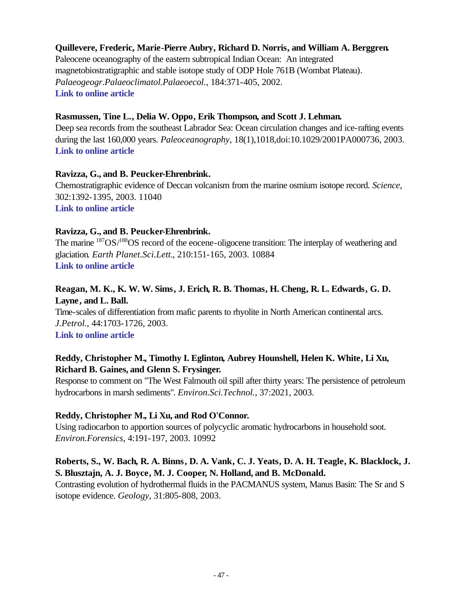### **Quillevere, Frederic, Marie-Pierre Aubry, Richard D. Norris, and William A. Berggren.**

Paleocene oceanography of the eastern subtropical Indian Ocean: An integrated magnetobiostratigraphic and stable isotope study of ODP Hole 761B (Wombat Plateau). *Palaeogeogr.Palaeoclimatol.Palaeoecol.*, 184:371-405, 2002. **[Link to online article](http://www.sciencedirect.com/science?_ob=MImg&_imagekey=B6V6R-45W369Y-3-Y&_cdi=5821&_orig=browse&_coverDate=08%2F15%2F2002&_sk=998159996&view=c&wchp=dGLbVtb-zSkWW&_acct=C000011858&_version=1&_userid=142773&md5=31211d6267f6f0e6e410e2c58b28e268&ie=f.pdf)**

#### **Rasmussen, Tine L., Delia W. Oppo, Erik Thompson, and Scott J. Lehman.**

Deep sea records from the southeast Labrador Sea: Ocean circulation changes and ice-rafting events during the last 160,000 years. *Paleoceanography*, 18(1),1018,doi:10.1029/2001PA000736, 2003. **[Link to online article](http://www.agu.org/journals/pa/pa0301/2001PA000736/2001PA000736.pdf)**

#### **Ravizza, G., and B. Peucker-Ehrenbrink.**

Chemostratigraphic evidence of Deccan volcanism from the marine osmium isotope record. *Science*, 302:1392-1395, 2003. 11040 **[Link to online article](http://www.sciencemag.org/cgi/reprint/302/5649/1392.pdf)**

#### **Ravizza, G., and B. Peucker-Ehrenbrink.**

The marine  $187OS/188OS$  record of the eocene-oligocene transition: The interplay of weathering and glaciation. *Earth Planet.Sci.Lett.*, 210:151-165, 2003. 10884 **[Link to online article](http://www.sciencedirect.com/science?_ob=MImg&_imagekey=B6V61-48CNPF3-4-D&_cdi=5801&_orig=browse&_coverDate=05%2F15%2F2003&_sk=997899998&view=c&wchp=dGLbVtb-zSkWW&_acct=C000011858&_version=1&_userid=142773&md5=f28970c8a8a9af3e992cab0b42342812&ie=f.pdf)**

# **Reagan, M. K., K. W. W. Sims, J. Erich, R. B. Thomas, H. Cheng, R. L. Edwards, G. D. Layne, and L. Ball.**

Time-scales of differentiation from mafic parents to rhyolite in North American continental arcs. *J.Petrol.*, 44:1703-1726, 2003.

**[Link to online article](http://petrology.oupjournals.org/cgi/reprint/44/9/1703.pdf)**

### **Reddy, Christopher M., Timothy I. Eglinton, Aubrey Hounshell, Helen K. White, Li Xu, Richard B. Gaines, and Glenn S. Frysinger.**

Response to comment on "The West Falmouth oil spill after thirty years: The persistence of petroleum hydrocarbons in marsh sediments". *Environ.Sci.Technol.*, 37:2021, 2003.

### **Reddy, Christopher M., Li Xu, and Rod O'Connor.**

Using radiocarbon to apportion sources of polycyclic aromatic hydrocarbons in household soot. *Environ.Forensics*, 4:191-197, 2003. 10992

# **Roberts, S., W. Bach, R. A. Binns, D. A. Vank, C. J. Yeats, D. A. H. Teagle, K. Blacklock, J. S. Blusztajn, A. J. Boyce, M. J. Cooper, N. Holland, and B. McDonald.**

Contrasting evolution of hydrothermal fluids in the PACMANUS system, Manus Basin: The Sr and S isotope evidence. *Geology*, 31:805-808, 2003.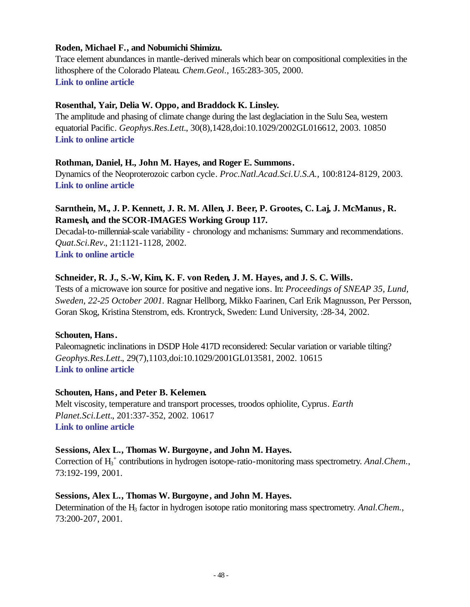### **Roden, Michael F., and Nobumichi Shimizu.**

Trace element abundances in mantle-derived minerals which bear on compositional complexities in the lithosphere of the Colorado Plateau. *Chem.Geol.*, 165:283-305, 2000. **[Link to online article](http://www.sciencedirect.com/science?_ob=MImg&_imagekey=B6V5Y-3YYV6RG-7-T&_cdi=5799&_orig=browse&_coverDate=04%2F24%2F2000&_sk=998349996&view=c&wchp=dGLbVlb-zSkWA&_acct=C000011858&_version=1&_userid=142773&md5=5d48abfa0d44327a01b11164475bb582&ie=f.pdf)**

### **Rosenthal, Yair, Delia W. Oppo, and Braddock K. Linsley.**

The amplitude and phasing of climate change during the last deglaciation in the Sulu Sea, western equatorial Pacific. *Geophys.Res.Lett.*, 30(8),1428,doi:10.1029/2002GL016612, 2003. 10850 **[Link to online article](http://www.agu.org/journals/gl/gl0308/2002GL016612/2002GL016612.pdf)**

### **Rothman, Daniel, H., John M. Hayes, and Roger E. Summons.**

Dynamics of the Neoproterozoic carbon cycle. *Proc.Natl.Acad.Sci.U.S.A.*, 100:8124-8129, 2003. **[Link to online article](http://www.pnas.org/cgi/reprint/100/14/8124.pdf)**

# **Sarnthein, M., J. P. Kennett, J. R. M. Allen, J. Beer, P. Grootes, C. Laj, J. McManus, R. Ramesh, and the SCOR-IMAGES Working Group 117.**

Decadal-to-millennial-scale variability - chronology and mchanisms: Summary and recommendations. *Quat.Sci.Rev.*, 21:1121-1128, 2002. **[Link to online article](http://www.sciencedirect.com/science?_ob=MImg&_imagekey=B6VBC-44CNN5V-1-1&_cdi=5923&_orig=browse&_coverDate=05%2F31%2F2002&_sk=999789989&view=c&wchp=dGLbVtz-zSkzS&_acct=C000011858&_version=1&_userid=142773&md5=339fb55e76192b4bf96ef24fb17984e6&ie=f.pdf)**

### **Schneider, R. J., S.-W, Kim, K. F. von Reden, J. M. Hayes, and J. S. C. Wills.**

Tests of a microwave ion source for positive and negative ions. In: *Proceedings of SNEAP 35, Lund, Sweden, 22-25 October 2001.* Ragnar Hellborg, Mikko Faarinen, Carl Erik Magnusson, Per Persson, Goran Skog, Kristina Stenstrom, eds. Krontryck, Sweden: Lund University, :28-34, 2002.

### **Schouten, Hans.**

Paleomagnetic inclinations in DSDP Hole 417D reconsidered: Secular variation or variable tilting? *Geophys.Res.Lett.*, 29(7),1103,doi:10.1029/2001GL013581, 2002. 10615 **[Link to online article](http://www.agu.org/journals/gl/gl0207/2001GL013581/2001GL013581.pdf)**

### **Schouten, Hans, and Peter B. Kelemen.**

Melt viscosity, temperature and transport processes, troodos ophiolite, Cyprus. *Earth Planet.Sci.Lett.*, 201:337-352, 2002. 10617 **[Link to online article](http://www.sciencedirect.com/science?_ob=MImg&_imagekey=B6V61-4603R8K-1-H&_cdi=5801&_orig=browse&_coverDate=07%2F30%2F2002&_sk=997989997&view=c&wchp=dGLbVzb-zSkzk&_acct=C000011858&_version=1&_userid=142773&md5=eb54b32d0219e87b3931403c9c9a2273&ie=f.pdf)**

### **Sessions, Alex L., Thomas W. Burgoyne, and John M. Hayes.**

Correction of H<sub>3</sub><sup>+</sup> contributions in hydrogen isotope-ratio-monitoring mass spectrometry. Anal. Chem., 73:192-199, 2001.

### **Sessions, Alex L., Thomas W. Burgoyne, and John M. Hayes.**

Determination of the H<sub>3</sub> factor in hydrogen isotope ratio monitoring mass spectrometry. *Anal. Chem.*, 73:200-207, 2001.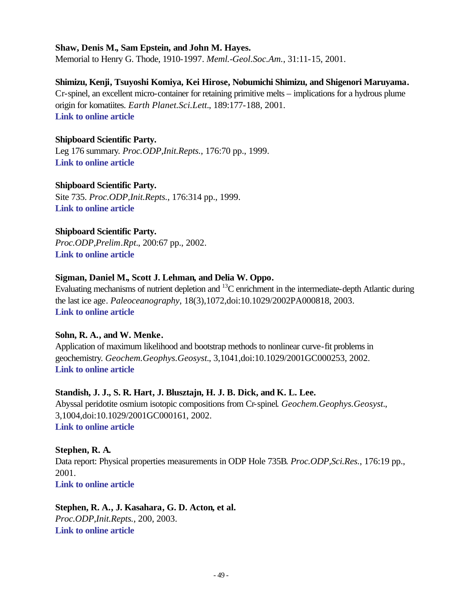### **Shaw, Denis M., Sam Epstein, and John M. Hayes.**

Memorial to Henry G. Thode, 1910-1997. *Meml.-Geol.Soc.Am.*, 31:11-15, 2001.

### **Shimizu, Kenji, Tsuyoshi Komiya, Kei Hirose, Nobumichi Shimizu, and Shigenori Maruyama.**

Cr-spinel, an excellent micro-container for retaining primitive melts – implications for a hydrous plume origin for komatiites. *Earth Planet.Sci.Lett.*, 189:177-188, 2001. **[Link to online article](http://www.sciencedirect.com/science?_ob=MImg&_imagekey=B6V61-43CBBCX-7-D&_cdi=5801&_orig=browse&_coverDate=07%2F15%2F2001&_sk=998109996&view=c&wchp=dGLbVtb-zSkzS&_acct=C000011858&_version=1&_userid=142773&md5=7fdcd780f56ecb4933bd5498cdd0cc27&ie=f.pdf)**

### **Shipboard Scientific Party.**

Leg 176 summary. *Proc.ODP,Init.Repts.*, 176:70 pp., 1999. **[Link to online article](http://www-odp.tamu.edu/publications/176_IR/VOLUME/CHAPTERS/CHAP_01.PDF)**

### **Shipboard Scientific Party.**

Site 735. *Proc.ODP,Init.Repts.*, 176:314 pp., 1999. **[Link to online article](http://www-odp.tamu.edu/publications/176_IR/VOLUME/CHAPTERS/CHAP_03.PDF)**

### **Shipboard Scientific Party.**

*Proc.ODP,Prelim.Rpt.*, 200:67 pp., 2002. **[Link to online article](http://www-odp.tamu.edu/publications/prelim/200_prel/200PREL.PDF)**

### **Sigman, Daniel M., Scott J. Lehman, and Delia W. Oppo.**

Evaluating mechanisms of nutrient depletion and <sup>13</sup>C enrichment in the intermediate-depth Atlantic during the last ice age. *Paleoceanography*, 18(3),1072,doi:10.1029/2002PA000818, 2003. **[Link to online article](http://www.agu.org/journals/pa/pa0303/2002PA000818/2002PA000818.pdf)**

### **Sohn, R. A., and W. Menke.**

Application of maximum likelihood and bootstrap methods to nonlinear curve-fit problems in geochemistry. *Geochem.Geophys.Geosyst.*, 3,1041,doi:10.1029/2001GC000253, 2002. **[Link to online article](http://www.agu.org/journals/gc/gc0207/2001GC000253/2001GC000253.pdf)**

# **Standish, J. J., S. R. Hart, J. Blusztajn, H. J. B. Dick, and K. L. Lee.**

Abyssal peridotite osmium isotopic compositions from Cr-spinel. *Geochem.Geophys.Geosyst.*, 3,1004,doi:10.1029/2001GC000161, 2002. **[Link to online article](http://www.agu.org/journals/gc/gc0201/2001GC000161/2001GC000161.pdf)**

# **Stephen, R. A.**

Data report: Physical properties measurements in ODP Hole 735B. *Proc.ODP,Sci.Res.*, 176:19 pp., 2001. **[Link to online article](http://www-odp.tamu.edu/publications/176_SR/VOLUME/CHAPTERS/SR176_02.PDF)**

# **Stephen, R. A., J. Kasahara, G. D. Acton, et al.**

*Proc.ODP,Init.Repts.*, 200, 2003. **[Link to online article](http://www-odp.tamu.edu/publications/200_IR/200TOC.HTM)**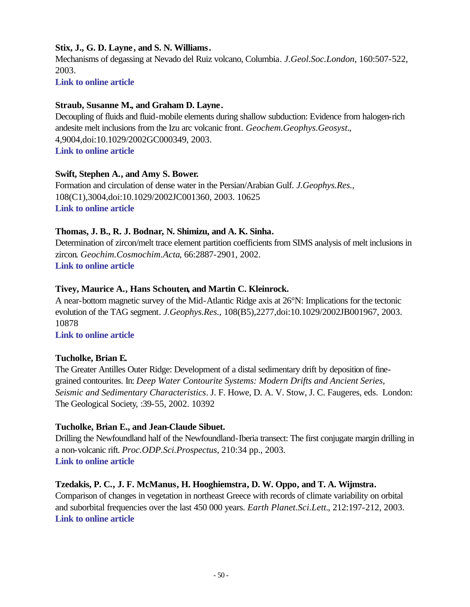# **Stix, J., G. D. Layne, and S. N. Williams.**

Mechanisms of degassing at Nevado del Ruiz volcano, Columbia. *J.Geol.Soc.London*, 160:507-522, 2003.

### **[Link to online article](http://fidelio.ingentaselect.com/vl=6865210/cl=115/nw=1/rpsv/ij/geol/00167649/v160n4/s3/p507)**

### **Straub, Susanne M., and Graham D. Layne.**

Decoupling of fluids and fluid-mobile elements during shallow subduction: Evidence from halogen-rich andesite melt inclusions from the Izu arc volcanic front. *Geochem.Geophys.Geosyst.*, 4,9004,doi:10.1029/2002GC000349, 2003. **[Link to online article](http://www.agu.org/journals/gc/gc0307/2002GC000349/2002GC000349.pdf)**

### **Swift, Stephen A., and Amy S. Bower.**

Formation and circulation of dense water in the Persian/Arabian Gulf. *J.Geophys.Res.*, 108(C1),3004,doi:10.1029/2002JC001360, 2003. 10625 **[Link to online article](http://www.agu.org/journals/jc/jc0301/2002JC001360/2002JC001360.pdf)**

#### **Thomas, J. B., R. J. Bodnar, N. Shimizu, and A. K. Sinha.**

Determination of zircon/melt trace element partition coefficients from SIMS analysis of melt inclusions in zircon. *Geochim.Cosmochim.Acta*, 66:2887-2901, 2002. **[Link to online article](http://www.sciencedirect.com/science?_ob=MImg&_imagekey=B6V66-45VCFSB-3-N&_cdi=5806&_orig=browse&_coverDate=08%2F15%2F2002&_sk=999339983&view=c&wchp=dGLbVzz-zSkzk&_acct=C000011858&_version=1&_userid=142773&md5=5c5351ce1c548f328644f7cab7cafaab&ie=f.pdf)**

### **Tivey, Maurice A., Hans Schouten, and Martin C. Kleinrock.**

A near-bottom magnetic survey of the Mid-Atlantic Ridge axis at 26°N: Implications for the tectonic evolution of the TAG segment. *J.Geophys.Res.*, 108(B5),2277,doi:10.1029/2002JB001967, 2003. 10878

#### **[Link to online article](http://www.agu.org/journals/jb/jb0305/2002JB001967/2002JB001967.pdf)**

### **Tucholke, Brian E.**

The Greater Antilles Outer Ridge: Development of a distal sedimentary drift by deposition of finegrained contourites. In: *Deep Water Contourite Systems: Modern Drifts and Ancient Series, Seismic and Sedimentary Characteristics*. J. F. Howe, D. A. V. Stow, J. C. Faugeres, eds. London: The Geological Society, :39-55, 2002. 10392

#### **Tucholke, Brian E., and Jean-Claude Sibuet.**

Drilling the Newfoundland half of the Newfoundland-Iberia transect: The first conjugate margin drilling in a non-volcanic rift. *Proc.ODP.Sci.Prospectus*, 210:34 pp., 2003. **[Link to online article](http://www-odp.tamu.edu/publications/prosp/210_prs/210prosp.pdf)**

### **Tzedakis, P. C., J. F. McManus, H. Hooghiemstra, D. W. Oppo, and T. A. Wijmstra.**

Comparison of changes in vegetation in northeast Greece with records of climate variability on orbital and suborbital frequencies over the last 450 000 years. *Earth Planet.Sci.Lett.*, 212:197-212, 2003. **[Link to online article](http://www.sciencedirect.com/science?_ob=MImg&_imagekey=B6V61-48VTGXS-1-F&_cdi=5801&_orig=browse&_coverDate=07%2F15%2F2003&_sk=997879998&view=c&wchp=dGLbVzb-zSkWW&_acct=C000011858&_version=1&_userid=142773&md5=bccdb909eb5fdb66a6eb27d089889106&ie=f.pdf)**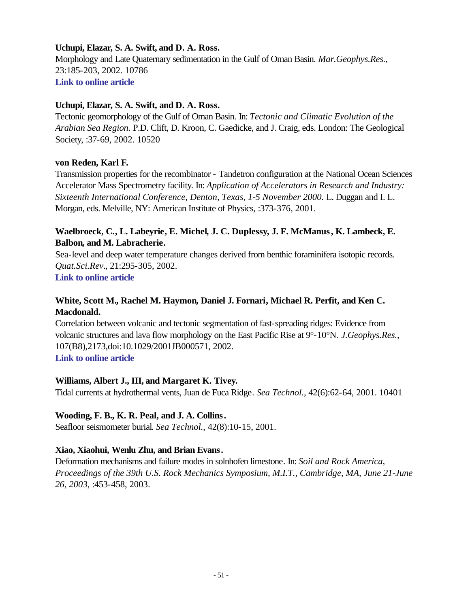# **Uchupi, Elazar, S. A. Swift, and D. A. Ross.**

Morphology and Late Quaternary sedimentation in the Gulf of Oman Basin. *Mar.Geophys.Res.*, 23:185-203, 2002. 10786 **[Link to online article](http://journals.kluweronline.com/article.asp?PIPS=5109493)**

### **Uchupi, Elazar, S. A. Swift, and D. A. Ross.**

Tectonic geomorphology of the Gulf of Oman Basin. In: *Tectonic and Climatic Evolution of the Arabian Sea Region.* P.D. Clift, D. Kroon, C. Gaedicke, and J. Craig, eds. London: The Geological Society, :37-69, 2002. 10520

### **von Reden, Karl F.**

Transmission properties for the recombinator - Tandetron configuration at the National Ocean Sciences Accelerator Mass Spectrometry facility. In: *Application of Accelerators in Research and Industry: Sixteenth International Conference, Denton, Texas, 1-5 November 2000.* L. Duggan and I. L. Morgan, eds. Melville, NY: American Institute of Physics, :373-376, 2001.

# **Waelbroeck, C., L. Labeyrie, E. Michel, J. C. Duplessy, J. F. McManus, K. Lambeck, E. Balbon, and M. Labracherie.**

Sea-level and deep water temperature changes derived from benthic foraminifera isotopic records. *Quat.Sci.Rev.*, 21:295-305, 2002. **[Link to online article](http://www.sciencedirect.com/science?_ob=MImg&_imagekey=B6VBC-44MX5WF-M-18&_cdi=5923&_orig=browse&_coverDate=01%2F31%2F2002&_sk=999789998&view=c&wchp=dGLbVtb-zSkzk&_acct=C000011858&_version=1&_userid=142773&md5=9e2d03c8bdda7b5f74c35be3b05fdd4f&ie=f.pdf)**

# **White, Scott M., Rachel M. Haymon, Daniel J. Fornari, Michael R. Perfit, and Ken C. Macdonald.**

Correlation between volcanic and tectonic segmentation of fast-spreading ridges: Evidence from volcanic structures and lava flow morphology on the East Pacific Rise at 9°-10°N. *J.Geophys.Res.*, 107(B8),2173,doi:10.1029/2001JB000571, 2002. **[Link to online article](http://www.agu.org/journals/jb/jb0208/2001JB000571/2001JB000571.pdf)**

# **Williams, Albert J., III, and Margaret K. Tivey.**

Tidal currents at hydrothermal vents, Juan de Fuca Ridge. *Sea Technol.*, 42(6):62-64, 2001. 10401

# **Wooding, F. B., K. R. Peal, and J. A. Collins.**

Seafloor seismometer burial. *Sea Technol.*, 42(8):10-15, 2001.

# **Xiao, Xiaohui, Wenlu Zhu, and Brian Evans.**

Deformation mechanisms and failure modes in solnhofen limestone. In: *Soil and Rock America, Proceedings of the 39th U.S. Rock Mechanics Symposium, M.I.T., Cambridge, MA, June 21-June 26, 2003*, :453-458, 2003.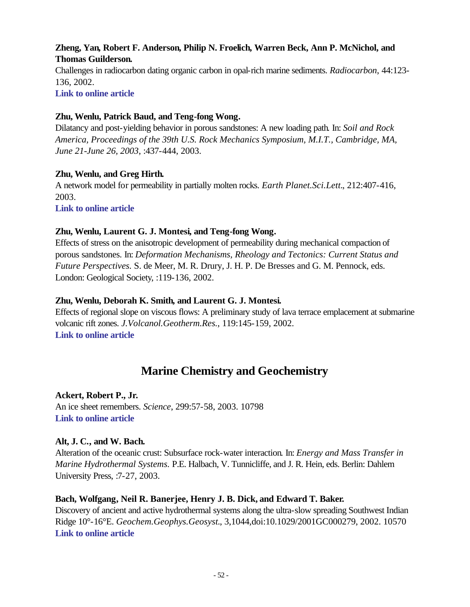# **Zheng, Yan, Robert F. Anderson, Philip N. Froelich, Warren Beck, Ann P. McNichol, and Thomas Guilderson.**

Challenges in radiocarbon dating organic carbon in opal-rich marine sediments. *Radiocarbon*, 44:123- 136, 2002.

**[Link to online article](http://giorgio.ingentaselect.com/vl=5021740/cl=44/nw=1/fm=docpdf/rpsv/catchword/arizona/00338222/v44n1/s12/p123)**

# **Zhu, Wenlu, Patrick Baud, and Teng-fong Wong.**

Dilatancy and post-yielding behavior in porous sandstones: A new loading path. In: *Soil and Rock America, Proceedings of the 39th U.S. Rock Mechanics Symposium, M.I.T., Cambridge, MA, June 21-June 26, 2003*, :437-444, 2003.

# **Zhu, Wenlu, and Greg Hirth.**

A network model for permeability in partially molten rocks. *Earth Planet.Sci.Lett.*, 212:407-416, 2003.

**[Link to online article](http://www.sciencedirect.com/science?_ob=MImg&_imagekey=B6V61-48XSFB9-3-W&_cdi=5801&_orig=search&_coverDate=07%2F25%2F2003&_sk=997879996&view=c&wchp=dGLbVtz-zSkzk&_acct=C000011858&_version=1&_userid=142773&md5=48caed33e295d658cacc053c0f568f4b&ie=f.pdf)**

# **Zhu, Wenlu, Laurent G. J. Montesi, and Teng-fong Wong.**

Effects of stress on the anisotropic development of permeability during mechanical compaction of porous sandstones. In: *Deformation Mechanisms, Rheology and Tectonics: Current Status and Future Perspectives.* S. de Meer, M. R. Drury, J. H. P. De Bresses and G. M. Pennock, eds. London: Geological Society, :119-136, 2002.

# **Zhu, Wenlu, Deborah K. Smith, and Laurent G. J. Montesi.**

Effects of regional slope on viscous flows: A preliminary study of lava terrace emplacement at submarine volcanic rift zones. *J.Volcanol.Geotherm.Res.*, 119:145-159, 2002. **[Link to online article](http://www.sciencedirect.com/science?_ob=MImg&_imagekey=B6VCS-4700P2B-1-11&_cdi=5962&_orig=browse&_coverDate=01%2F01%2F2003&_sk=998809998&view=c&wchp=dGLbVzz-zSkWz&_acct=C000011858&_version=1&_userid=142773&md5=0f39e2dc9cac9649229f328b4bfa8370&ie=f.pdf)**

# **Marine Chemistry and Geochemistry**

**Ackert, Robert P., Jr.** An ice sheet remembers. *Science*, 299:57-58, 2003. 10798 **[Link to online article](http://www.sciencemag.org/cgi/reprint/299/5603/57.pdf)**

# **Alt, J. C., and W. Bach.**

Alteration of the oceanic crust: Subsurface rock-water interaction. In: *Energy and Mass Transfer in Marine Hydrothermal Systems.* P.E. Halbach, V. Tunnicliffe, and J. R. Hein, eds. Berlin: Dahlem University Press, :7-27, 2003.

# **Bach, Wolfgang, Neil R. Banerjee, Henry J. B. Dick, and Edward T. Baker.**

Discovery of ancient and active hydrothermal systems along the ultra-slow spreading Southwest Indian Ridge 10°-16°E. *Geochem.Geophys.Geosyst.*, 3,1044,doi:10.1029/2001GC000279, 2002. 10570 **[Link to online article](http://www.agu.org/journals/gc/gc0207/2001GC000279/2001GC000279.pdf)**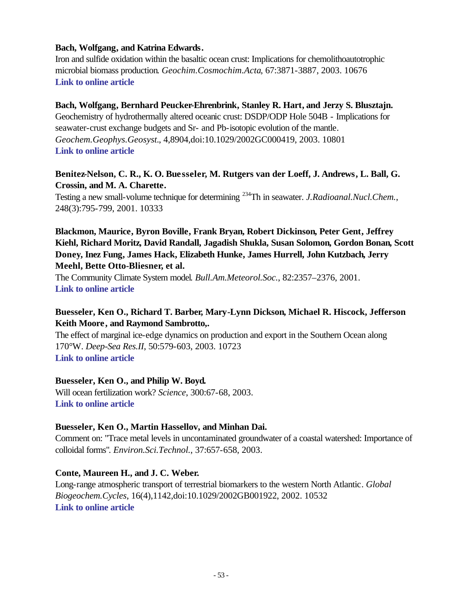### **Bach, Wolfgang, and Katrina Edwards.**

Iron and sulfide oxidation within the basaltic ocean crust: Implications for chemolithoautotrophic microbial biomass production. *Geochim.Cosmochim.Acta*, 67:3871-3887, 2003. 10676 **[Link to online article](http://www.sciencedirect.com/science?_ob=MImg&_imagekey=B6V66-49RBF3C-7-19&_cdi=5806&_orig=browse&_coverDate=10%2F15%2F2003&_sk=999329979&view=c&wchp=dGLbVlz-zSkWb&_acct=C000011858&_version=1&_userid=142773&md5=7e4a0d0228bfb7785811020350984700&ie=f.pdf)**

### **Bach, Wolfgang, Bernhard Peucker-Ehrenbrink, Stanley R. Hart, and Jerzy S. Blusztajn.**

Geochemistry of hydrothermally altered oceanic crust: DSDP/ODP Hole 504B - Implications for seawater-crust exchange budgets and Sr- and Pb-isotopic evolution of the mantle. *Geochem.Geophys.Geosyst.*, 4,8904,doi:10.1029/2002GC000419, 2003. 10801 **[Link to online article](http://www.agu.org/journals/gc/gc0303/2002GC000419/2002GC000419.pdf)**

# **Benitez-Nelson, C. R., K. O. Buesseler, M. Rutgers van der Loeff, J. Andrews, L. Ball, G. Crossin, and M. A. Charette.**

Testing a new small-volume technique for determining <sup>234</sup>Th in seawater. *J.Radioanal.Nucl.Chem.*, 248(3):795-799, 2001. 10333

# **Blackmon, Maurice, Byron Boville, Frank Bryan, Robert Dickinson, Peter Gent, Jeffrey Kiehl, Richard Moritz, David Randall, Jagadish Shukla, Susan Solomon, Gordon Bonan, Scott Doney, Inez Fung, James Hack, Elizabeth Hunke, James Hurrell, John Kutzbach, Jerry Meehl, Bette Otto-Bliesner, et al.**

The Community Climate System model. *Bull.Am.Meteorol.Soc.*, 82:2357–2376, 2001. **[Link to online article](http://ams.allenpress.com/pdfserv/i1520-0477-082-11-2357.pdf)**

# **Buesseler, Ken O., Richard T. Barber, Mary-Lynn Dickson, Michael R. Hiscock, Jefferson Keith Moore, and Raymond Sambrotto,.**

The effect of marginal ice-edge dynamics on production and export in the Southern Ocean along 170°W. *Deep-Sea Res.II*, 50:579-603, 2003. 10723 **[Link to online article](http://www.sciencedirect.com/science?_ob=MImg&_imagekey=B6VGC-47P8VD7-3-1B&_cdi=6035&_orig=browse&_coverDate=03%2F31%2F2003&_sk=999499996&view=c&wchp=dGLbVzb-zSkWA&_acct=C000011858&_version=1&_userid=142773&md5=9644924d54b41141564038cc519e5a94&ie=f.pdf)**

### **Buesseler, Ken O., and Philip W. Boyd.**

Will ocean fertilization work? *Science*, 300:67-68, 2003. **[Link to online article](http://www.sciencemag.org/cgi/reprint/300/5616/67.pdf)**

# **Buesseler, Ken O., Martin Hassellov, and Minhan Dai.**

Comment on: "Trace metal levels in uncontaminated groundwater of a coastal watershed: Importance of colloidal forms". *Environ.Sci.Technol.*, 37:657-658, 2003.

# **Conte, Maureen H., and J. C. Weber.**

Long-range atmospheric transport of terrestrial biomarkers to the western North Atlantic. *Global Biogeochem.Cycles*, 16(4),1142,doi:10.1029/2002GB001922, 2002. 10532 **[Link to online article](http://www.agu.org/journals/gb/gb0204/2002GB001922/2002GB001922.pdf)**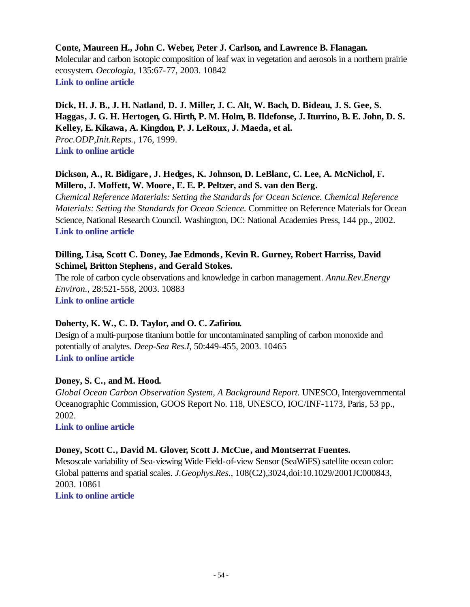### **Conte, Maureen H., John C. Weber, Peter J. Carlson, and Lawrence B. Flanagan.**

Molecular and carbon isotopic composition of leaf wax in vegetation and aerosols in a northern prairie ecosystem. *Oecologia*, 135:67-77, 2003. 10842 **[Link to online article](http://www.springerlink.com/app/home/content.asp?wasp=927y4ckdpm5qrm4bbxv2&referrer=contribution&format=2&page=1&pagecount=11)**

# **Dick, H. J. B., J. H. Natland, D. J. Miller, J. C. Alt, W. Bach, D. Bideau, J. S. Gee, S. Haggas, J. G. H. Hertogen, G. Hirth, P. M. Holm, B. Ildefonse, J. Iturrino, B. E. John, D. S. Kelley, E. Kikawa, A. Kingdon, P. J. LeRoux, J. Maeda, et al.** *Proc.ODP,Init.Repts.*, 176, 1999. **[Link to online article](http://www-odp.tamu.edu/publications/176_IR/176ir.htm)**

# **Dickson, A., R. Bidigare, J. Hedges, K. Johnson, D. LeBlanc, C. Lee, A. McNichol, F. Millero, J. Moffett, W. Moore, E. E. P. Peltzer, and S. van den Berg.**

*Chemical Reference Materials: Setting the Standards for Ocean Science. Chemical Reference Materials: Setting the Standards for Ocean Science.* Committee on Reference Materials for Ocean Science, National Research Council. Washington, DC: National Academies Press, 144 pp., 2002. **[Link to online article](http://www.nap.edu/catalog/10476.html)**

### **Dilling, Lisa, Scott C. Doney, Jae Edmonds, Kevin R. Gurney, Robert Harriss, David Schimel, Britton Stephens, and Gerald Stokes.**

The role of carbon cycle observations and knowledge in carbon management. *Annu.Rev.Energy Environ.*, 28:521-558, 2003. 10883 **[Link to online article](http://arjournals.annualreviews.org/doi/pdf/10.1146/annurev.energy.28.011503.163443)**

### **Doherty, K. W., C. D. Taylor, and O. C. Zafiriou.**

Design of a multi-purpose titanium bottle for uncontaminated sampling of carbon monoxide and potentially of analytes. *Deep-Sea Res.I*, 50:449-455, 2003. 10465 **[Link to online article](http://www.sciencedirect.com/science?_ob=MImg&_imagekey=B6VGB-48B0SVC-2-5&_cdi=6034&_orig=browse&_coverDate=03%2F31%2F2003&_sk=999499996&view=c&wchp=dGLbVtz-zSkzV&_acct=C000011858&_version=1&_userid=142773&md5=7d6ce4f8bb5c15d17a93b1a743072a6a&ie=f.pdf)**

### **Doney, S. C., and M. Hood.**

*Global Ocean Carbon Observation System, A Background Report.* UNESCO, Intergovernmental Oceanographic Commission, GOOS Report No. 118, UNESCO, IOC/INF-1173, Paris, 53 pp., 2002.

**[Link to online article](http://unesdoc.unesco.org/images/0012/001270/127070e.pdf)**

### **Doney, Scott C., David M. Glover, Scott J. McCue , and Montserrat Fuentes.**

Mesoscale variability of Sea-viewing Wide Field-of-view Sensor (SeaWiFS) satellite ocean color: Global patterns and spatial scales. *J.Geophys.Res.*, 108(C2),3024,doi:10.1029/2001JC000843, 2003. 10861

### **[Link to online article](http://www.agu.org/journals/jc/jc0302/2001JC000843/2001JC000843.pdf)**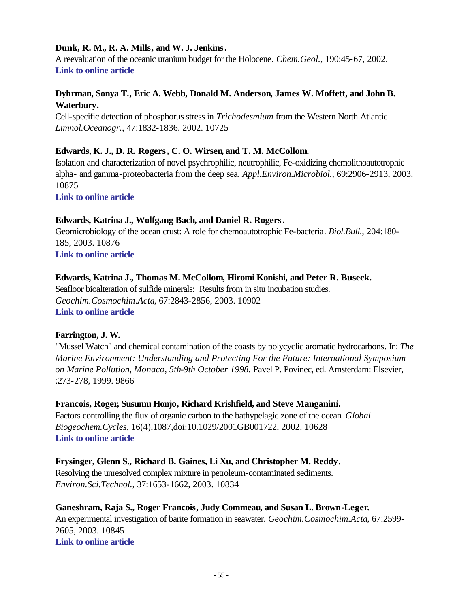# **Dunk, R. M., R. A. Mills, and W. J. Jenkins.**

A reevaluation of the oceanic uranium budget for the Holocene. *Chem.Geol.*, 190:45-67, 2002. **[Link to online article](http://www.sciencedirect.com/science?_ob=MImg&_imagekey=B6V5Y-46FG82S-4-H&_cdi=5799&_orig=browse&_coverDate=10%2F30%2F2002&_sk=998099998&view=c&wchp=dGLbVlb-zSkzS&_acct=C000011858&_version=1&_userid=142773&md5=aef5fc546eca5e87c3006fc8f1ba9513&ie=f.pdf)**

# **Dyhrman, Sonya T., Eric A. Webb, Donald M. Anderson, James W. Moffett, and John B. Waterbury.**

Cell-specific detection of phosphorus stress in *Trichodesmium* from the Western North Atlantic. *Limnol.Oceanogr.*, 47:1832-1836, 2002. 10725

# **Edwards, K. J., D. R. Rogers, C. O. Wirsen, and T. M. McCollom.**

Isolation and characterization of novel psychrophilic, neutrophilic, Fe-oxidizing chemolithoautotrophic alpha- and gamma-proteobacteria from the deep sea. *Appl.Environ.Microbiol.*, 69:2906-2913, 2003. 10875

**[Link to online article](http://aem.asm.org/cgi/reprint/69/5/2906.pdf)**

# **Edwards, Katrina J., Wolfgang Bach, and Daniel R. Rogers.**

Geomicrobiology of the ocean crust: A role for chemoautotrophic Fe-bacteria. *Biol.Bull.*, 204:180- 185, 2003. 10876 **[Link to online article](http://www.biolbull.org/cgi/reprint/204/2/180.pdf)**

# **Edwards, Katrina J., Thomas M. McCollom, Hiromi Konishi, and Peter R. Buseck.**

Seafloor bioalteration of sulfide minerals: Results from in situ incubation studies. *Geochim.Cosmochim.Acta*, 67:2843-2856, 2003. 10902 **[Link to online article](http://www.sciencedirect.com/science?_ob=MImg&_imagekey=B6V66-494RRGF-C-R&_cdi=5806&_orig=browse&_coverDate=08%2F01%2F2003&_sk=999329984&view=c&wchp=dGLbVtz-zSkWb&_acct=C000011858&_version=1&_userid=142773&md5=be6142699494c1d55d7f8ff339c0f396&ie=f.pdf)**

# **Farrington, J. W.**

"Mussel Watch" and chemical contamination of the coasts by polycyclic aromatic hydrocarbons. In: *The Marine Environment: Understanding and Protecting For the Future: International Symposium on Marine Pollution, Monaco, 5th-9th October 1998.* Pavel P. Povinec, ed. Amsterdam: Elsevier, :273-278, 1999. 9866

# **Francois, Roger, Susumu Honjo, Richard Krishfield, and Steve Manganini.**

Factors controlling the flux of organic carbon to the bathypelagic zone of the ocean. *Global Biogeochem.Cycles*, 16(4),1087,doi:10.1029/2001GB001722, 2002. 10628 **[Link to online article](http://www.agu.org/journals/gb/gb0204/2001GB001722/2001GB001722.pdf)**

# **Frysinger, Glenn S., Richard B. Gaines, Li Xu, and Christopher M. Reddy.**

Resolving the unresolved complex mixture in petroleum-contaminated sediments. *Environ.Sci.Technol.*, 37:1653-1662, 2003. 10834

# **Ganeshram, Raja S., Roger Francois, Judy Commeau, and Susan L. Brown-Leger.**

An experimental investigation of barite formation in seawater. *Geochim.Cosmochim.Acta*, 67:2599- 2605, 2003. 10845 **[Link to online article](http://www.sciencedirect.com/science?_ob=MImg&_imagekey=B6V66-491H4KN-8-7&_cdi=5806&_orig=browse&_coverDate=07%2F15%2F2003&_sk=999329985&view=c&wchp=dGLbVzz-zSkWz&_acct=C000011858&_version=1&_userid=142773&md5=7336b92452a41ac41e88f6da58f8386c&ie=f.pdf)**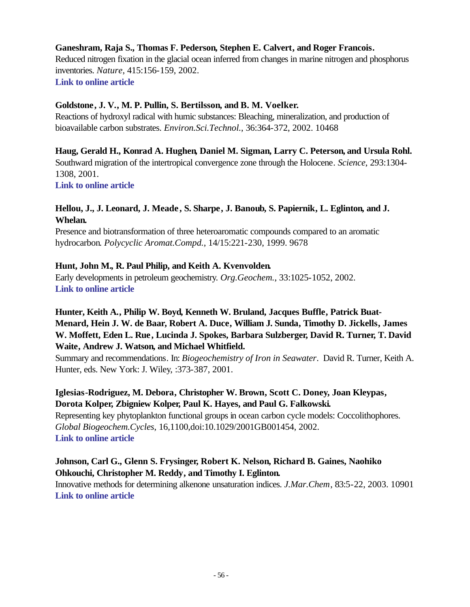### **Ganeshram, Raja S., Thomas F. Pederson, Stephen E. Calvert, and Roger Francois.**

Reduced nitrogen fixation in the glacial ocean inferred from changes in marine nitrogen and phosphorus inventories. *Nature*, 415:156-159, 2002. **[Link to online article](http://www.nature.com/cgi-taf/DynaPage.taf?file=/nature/journal/v415/n6868/full/415156a_fs.html&content_filetype=pdf)**

### **Goldstone, J. V., M. P. Pullin, S. Bertilsson, and B. M. Voelker.**

Reactions of hydroxyl radical with humic substances: Bleaching, mineralization, and production of bioavailable carbon substrates. *Environ.Sci.Technol.*, 36:364-372, 2002. 10468

**Haug, Gerald H., Konrad A. Hughen, Daniel M. Sigman, Larry C. Peterson, and Ursula Rohl.**

Southward migration of the intertropical convergence zone through the Holocene. *Science*, 293:1304- 1308, 2001.

**[Link to online article](http://www.sciencemag.org/cgi/reprint/293/5533/1304.pdf)**

### **Hellou, J., J. Leonard, J. Meade , S. Sharpe, J. Banoub, S. Papiernik, L. Eglinton, and J. Whelan.**

Presence and biotransformation of three heteroaromatic compounds compared to an aromatic hydrocarbon. *Polycyclic Aromat.Compd.*, 14/15:221-230, 1999. 9678

### **Hunt, John M., R. Paul Philip, and Keith A. Kvenvolden.**

Early developments in petroleum geochemistry. *Org.Geochem.*, 33:1025-1052, 2002. **[Link to online article](http://www.sciencedirect.com/science?_ob=MImg&_imagekey=B6V7P-46H7T16-1-10&_cdi=5848&_orig=browse&_coverDate=09%2F30%2F2002&_sk=999669990&view=c&wchp=dGLbVtb-zSkzk&_acct=C000011858&_version=1&_userid=142773&md5=0d8d71462af114f0bc051c1e30172bd6&ie=f.pdf)**

# **Hunter, Keith A., Philip W. Boyd, Kenneth W. Bruland, Jacques Buffle, Patrick Buat-Menard, Hein J. W. de Baar, Robert A. Duce, William J. Sunda, Timothy D. Jickells, James W. Moffett, Eden L. Rue, Lucinda J. Spokes, Barbara Sulzberger, David R. Turner, T. David Waite, Andrew J. Watson, and Michael Whitfield.**

Summary and recommendations. In: *Biogeochemistry of Iron in Seawater*. David R. Turner, Keith A. Hunter, eds. New York: J. Wiley, :373-387, 2001.

# **Iglesias-Rodriguez, M. Debora, Christopher W. Brown, Scott C. Doney, Joan Kleypas, Dorota Kolper, Zbigniew Kolper, Paul K. Hayes, and Paul G. Falkowski.**

Representing key phytoplankton functional groups in ocean carbon cycle models: Coccolithophores. *Global Biogeochem.Cycles*, 16,1100,doi:10.1029/2001GB001454, 2002. **[Link to online article](http://www.agu.org/journals/gb/gb0204/2001GB001454/2001GB001454.pdf)**

# **Johnson, Carl G., Glenn S. Frysinger, Robert K. Nelson, Richard B. Gaines, Naohiko Ohkouchi, Christopher M. Reddy, and Timothy I. Eglinton.**

Innovative methods for determining alkenone unsaturation indices. *J.Mar.Chem*, 83:5-22, 2003. 10901 **[Link to online article](http://www.sciencedirect.com/science?_ob=MImg&_imagekey=B6VC2-494CBJ0-1-R&_cdi=5942&_orig=browse&_coverDate=10%2F31%2F2003&_sk=999169998&view=c&wchp=dGLbVlb-zSkzV&_acct=C000011858&_version=1&_userid=142773&md5=984770538a6db8f53f93f21493341ead&ie=f.pdf)**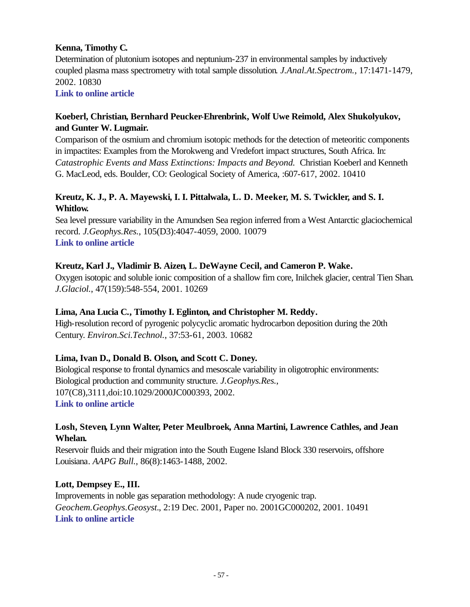# **Kenna, Timothy C.**

Determination of plutonium isotopes and neptunium-237 in environmental samples by inductively coupled plasma mass spectrometry with total sample dissolution. *J.Anal.At.Spectrom.*, 17:1471-1479, 2002. 10830

**[Link to online article](http://pubs.rsc.org/ej/JA/2002/b205001c.pdf?&Yr=2002&VOLNO=%26nbsp%3B%3Cb%3E17%3C%2Fb%3E&Fp=1471&Ep=1479&JournalCode=JA&Iss=11)**

# **Koeberl, Christian, Bernhard Peucker-Ehrenbrink, Wolf Uwe Reimold, Alex Shukolyukov, and Gunter W. Lugmair.**

Comparison of the osmium and chromium isotopic methods for the detection of meteoritic components in impactites: Examples from the Morokweng and Vredefort impact structures, South Africa. In: *Catastrophic Events and Mass Extinctions: Impacts and Beyond.* Christian Koeberl and Kenneth G. MacLeod, eds. Boulder, CO: Geological Society of America, :607-617, 2002. 10410

# **Kreutz, K. J., P. A. Mayewski, I. I. Pittalwala, L. D. Meeker, M. S. Twickler, and S. I. Whitlow.**

Sea level pressure variability in the Amundsen Sea region inferred from a West Antarctic glaciochemical record. *J.Geophys.Res.*, 105(D3):4047-4059, 2000. 10079 **[Link to online article](http://www.agu.org/journals/jd/jd0003/1999JD901069/pdf/1999JD901069.pdf)**

# **Kreutz, Karl J., Vladimir B. Aizen, L. DeWayne Cecil, and Cameron P. Wake.**

Oxygen isotopic and soluble ionic composition of a shallow firn core, Inilchek glacier, central Tien Shan. *J.Glaciol.*, 47(159):548-554, 2001. 10269

# **Lima, Ana Lucia C., Timothy I. Eglinton, and Christopher M. Reddy.**

High-resolution record of pyrogenic polycyclic aromatic hydrocarbon deposition during the 20th Century. *Environ.Sci.Technol.*, 37:53-61, 2003. 10682

# **Lima, Ivan D., Donald B. Olson, and Scott C. Doney.**

Biological response to frontal dynamics and mesoscale variability in oligotrophic environments: Biological production and community structure. *J.Geophys.Res.*, 107(C8),3111,doi:10.1029/2000JC000393, 2002. **[Link to online article](http://www.agu.org/journals/jc/jc0208/2000JC000393/2000JC000393.pdf)**

# **Losh, Steven, Lynn Walter, Peter Meulbroek, Anna Martini, Lawrence Cathles, and Jean Whelan.**

Reservoir fluids and their migration into the South Eugene Island Block 330 reservoirs, offshore Louisiana. *AAPG Bull.*, 86(8):1463-1488, 2002.

# **Lott, Dempsey E., III.**

Improvements in noble gas separation methodology: A nude cryogenic trap. *Geochem.Geophys.Geosyst.*, 2:19 Dec. 2001, Paper no. 2001GC000202, 2001. 10491 **[Link to online article](http://www.agu.org/journals/gc/gc0112/2001GC000202/article2001GC000202.pdf)**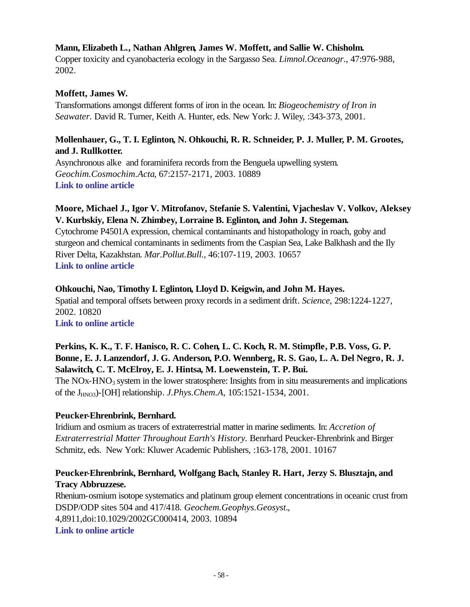# **Mann, Elizabeth L., Nathan Ahlgren, James W. Moffett, and Sallie W. Chisholm.**

Copper toxicity and cyanobacteria ecology in the Sargasso Sea. *Limnol.Oceanogr.*, 47:976-988, 2002.

### **Moffett, James W.**

Transformations amongst different forms of iron in the ocean. In: *Biogeochemistry of Iron in Seawater.* David R. Turner, Keith A. Hunter, eds. New York: J. Wiley, :343-373, 2001.

# **Mollenhauer, G., T. I. Eglinton, N. Ohkouchi, R. R. Schneider, P. J. Muller, P. M. Grootes, and J. Rullkotter.**

Asynchronous alke and foraminifera records from the Benguela upwelling system. *Geochim.Cosmochim.Acta*, 67:2157-2171, 2003. 10889 **[Link to online article](http://www.sciencedirect.com/science?_ob=MImg&_imagekey=B6V66-48V6XTF-6-H&_cdi=5806&_orig=browse&_coverDate=06%2F15%2F2003&_sk=999329987&view=c&wchp=dGLbVlb-zSkzS&_acct=C000011858&_version=1&_userid=142773&md5=73e5da9865c3edcbf21442554e29cdad&ie=f.pdf)**

# **Moore, Michael J., Igor V. Mitrofanov, Stefanie S. Valentini, Vjacheslav V. Volkov, Aleksey V. Kurbskiy, Elena N. Zhimbey, Lorraine B. Eglinton, and John J. Stegeman.**

Cytochrome P4501A expression, chemical contaminants and histopathology in roach, goby and sturgeon and chemical contaminants in sediments from the Caspian Sea, Lake Balkhash and the Ily River Delta, Kazakhstan. *Mar.Pollut.Bull.*, 46:107-119, 2003. 10657 **[Link to online article](http://www.sciencedirect.com/science?_ob=MImg&_imagekey=B6V6N-47MHXHP-5-1T&_cdi=5819&_orig=browse&_coverDate=01%2F31%2F2003&_sk=999539998&view=c&wchp=dGLbVtz-zSkzk&_acct=C000011858&_version=1&_userid=142773&md5=00dc8aa5123973118024014b86399f1e&ie=f.pdf)**

### **Ohkouchi, Nao, Timothy I. Eglinton, Lloyd D. Keigwin, and John M. Hayes.**

Spatial and temporal offsets between proxy records in a sediment drift. *Science*, 298:1224-1227, 2002. 10820

**[Link to online article](http://www.sciencemag.org/cgi/reprint/298/5596/1224.pdf)**

# **Perkins, K. K., T. F. Hanisco, R. C. Cohen, L. C. Koch, R. M. Stimpfle, P.B. Voss, G. P. Bonne, E. J. Lanzendorf, J. G. Anderson, P.O. Wennberg, R. S. Gao, L. A. Del Negro, R. J. Salawitch, C. T. McElroy, E. J. Hintsa, M. Loewenstein, T. P. Bui.**

The NOx-HNO<sub>3</sub> system in the lower stratosphere: Insights from in situ measurements and implications of the JHNO3)-[OH] relationship. *J.Phys.Chem.A*, 105:1521-1534, 2001.

# **Peucker-Ehrenbrink, Bernhard.**

Iridium and osmium as tracers of extraterrestrial matter in marine sediments. In: *Accretion of Extraterrestrial Matter Throughout Earth's History.* Benrhard Peucker-Ehrenbrink and Birger Schmitz, eds. New York: Kluwer Academic Publishers, :163-178, 2001. 10167

# **Peucker-Ehrenbrink, Bernhard, Wolfgang Bach, Stanley R. Hart, Jerzy S. Blusztajn, and Tracy Abbruzzese.**

Rhenium-osmium isotope systematics and platinum group element concentrations in oceanic crust from DSDP/ODP sites 504 and 417/418. *Geochem.Geophys.Geosyst.*, 4,8911,doi:10.1029/2002GC000414, 2003. 10894 **[Link to online article](http://www.agu.org/journals/gc/gc0307/2002GC000414/2002GC000414.pdf)**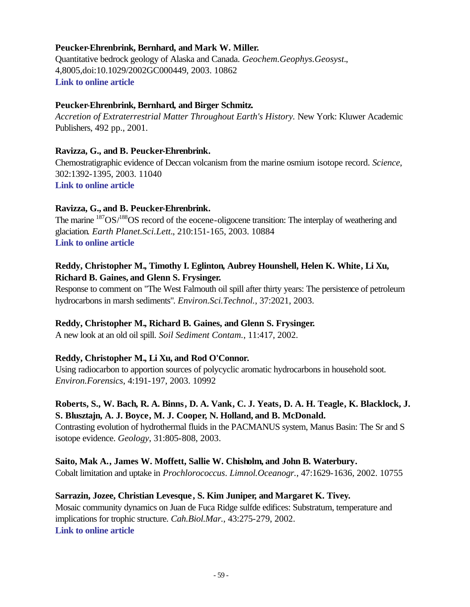### **Peucker-Ehrenbrink, Bernhard, and Mark W. Miller.**

Quantitative bedrock geology of Alaska and Canada. *Geochem.Geophys.Geosyst.*, 4,8005,doi:10.1029/2002GC000449, 2003. 10862 **[Link to online article](http://www.agu.org/journals/gc/gc0304/2002GC000449/2002GC000449.pdf)**

### **Peucker-Ehrenbrink, Bernhard, and Birger Schmitz.**

*Accretion of Extraterrestrial Matter Throughout Earth's History.* New York: Kluwer Academic Publishers, 492 pp., 2001.

### **Ravizza, G., and B. Peucker-Ehrenbrink.**

Chemostratigraphic evidence of Deccan volcanism from the marine osmium isotope record. *Science*, 302:1392-1395, 2003. 11040 **[Link to online article](http://www.sciencemag.org/cgi/reprint/302/5649/1392.pdf)**

### **Ravizza, G., and B. Peucker-Ehrenbrink.**

The marine  $187OS/188OS$  record of the eocene-oligocene transition: The interplay of weathering and glaciation. *Earth Planet.Sci.Lett.*, 210:151-165, 2003. 10884 **[Link to online article](http://www.sciencedirect.com/science?_ob=MImg&_imagekey=B6V61-48CNPF3-4-D&_cdi=5801&_orig=browse&_coverDate=05%2F15%2F2003&_sk=997899998&view=c&wchp=dGLbVtb-zSkWW&_acct=C000011858&_version=1&_userid=142773&md5=f28970c8a8a9af3e992cab0b42342812&ie=f.pdf)**

# **Reddy, Christopher M., Timothy I. Eglinton, Aubrey Hounshell, Helen K. White, Li Xu, Richard B. Gaines, and Glenn S. Frysinger.**

Response to comment on "The West Falmouth oil spill after thirty years: The persistence of petroleum hydrocarbons in marsh sediments". *Environ.Sci.Technol.*, 37:2021, 2003.

### **Reddy, Christopher M., Richard B. Gaines, and Glenn S. Frysinger.**

A new look at an old oil spill. *Soil Sediment Contam.*, 11:417, 2002.

# **Reddy, Christopher M., Li Xu, and Rod O'Connor.**

Using radiocarbon to apportion sources of polycyclic aromatic hydrocarbons in household soot. *Environ.Forensics*, 4:191-197, 2003. 10992

# **Roberts, S., W. Bach, R. A. Binns, D. A. Vank, C. J. Yeats, D. A. H. Teagle, K. Blacklock, J. S. Blusztajn, A. J. Boyce, M. J. Cooper, N. Holland, and B. McDonald.**

Contrasting evolution of hydrothermal fluids in the PACMANUS system, Manus Basin: The Sr and S isotope evidence. *Geology*, 31:805-808, 2003.

### **Saito, Mak A., James W. Moffett, Sallie W. Chisholm, and John B. Waterbury.**

Cobalt limitation and uptake in *Prochlorococcus*. *Limnol.Oceanogr.*, 47:1629-1636, 2002. 10755

# **Sarrazin, Jozee, Christian Levesque, S. Kim Juniper, and Margaret K. Tivey.**

Mosaic community dynamics on Juan de Fuca Ridge sulfde edifices: Substratum, temperature and implications for trophic structure. *Cah.Biol.Mar.*, 43:275-279, 2002. **[Link to online article](http://cbm-online.sb-roscoff.fr/pdf/cb43-3-275-279.pdf)**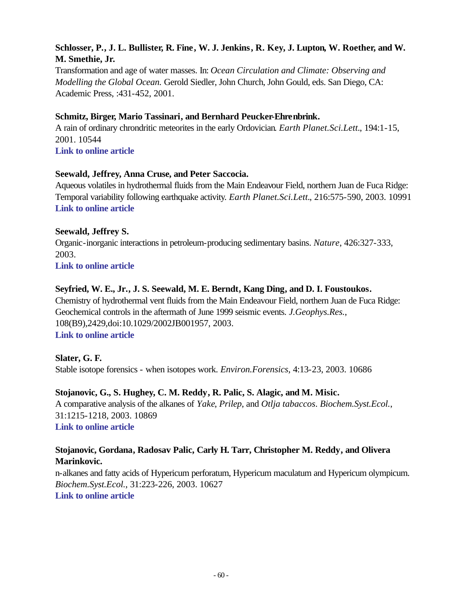# **Schlosser, P., J. L. Bullister, R. Fine, W. J. Jenkins, R. Key, J. Lupton, W. Roether, and W. M. Smethie, Jr.**

Transformation and age of water masses. In: *Ocean Circulation and Climate: Observing and Modelling the Global Ocean.* Gerold Siedler, John Church, John Gould, eds. San Diego, CA: Academic Press, :431-452, 2001.

# **Schmitz, Birger, Mario Tassinari, and Bernhard Peucker-Ehrenbrink.**

A rain of ordinary chrondritic meteorites in the early Ordovician. *Earth Planet.Sci.Lett.*, 194:1-15, 2001. 10544 **[Link to online article](http://www.sciencedirect.com/science?_ob=MImg&_imagekey=B6V61-44GMF06-2-K&_cdi=5801&_orig=browse&_coverDate=12%2F30%2F2001&_sk=998059998&view=c&wchp=dGLbVzz-zSkWz&_acct=C000011858&_version=1&_userid=142773&md5=8c182d45422dd0efa6430bed86987207&ie=f.pdf)**

# **Seewald, Jeffrey, Anna Cruse, and Peter Saccocia.**

Aqueous volatiles in hydrothermal fluids from the Main Endeavour Field, northern Juan de Fuca Ridge: Temporal variability following earthquake activity. *Earth Planet.Sci.Lett.*, 216:575-590, 2003. 10991 **[Link to online article](http://www.sciencedirect.com/science?_ob=MImg&_imagekey=B6V61-4B28WKR-1-M&_cdi=5801&_orig=browse&_coverDate=12%2F10%2F2003&_sk=997839995&view=c&wchp=dGLbVlb-zSkWz&_acct=C000011858&_version=1&_userid=142773&md5=3191205ad26a30ac63b728ae25e78ce8&ie=f.pdf)**

# **Seewald, Jeffrey S.**

Organic-inorganic interactions in petroleum-producing sedimentary basins. *Nature*, 426:327-333, 2003.

**[Link to online article](http://www.nature.com/cgi-taf/DynaPage.taf?file=/nature/journal/v426/n6964/full/nature02132_fs.html&content_filetype=pdf)**

# **Seyfried, W. E., Jr., J. S. Seewald, M. E. Berndt, Kang Ding, and D. I. Foustoukos.**

Chemistry of hydrothermal vent fluids from the Main Endeavour Field, northern Juan de Fuca Ridge: Geochemical controls in the aftermath of June 1999 seismic events. *J.Geophys.Res.*, 108(B9),2429,doi:10.1029/2002JB001957, 2003. **[Link to online article](http://www.agu.org/journals/jb/jb0309/2002JB001957/2002JB001957.pdf)**

# **Slater, G. F.**

Stable isotope forensics - when isotopes work. *Environ.Forensics*, 4:13-23, 2003. 10686

# **Stojanovic, G., S. Hughey, C. M. Reddy, R. Palic, S. Alagic, and M. Misic.**

A comparative analysis of the alkanes of *Yake*, *Prilep*, and *Otlja tabaccos*. *Biochem.Syst.Ecol.*, 31:1215-1218, 2003. 10869 **[Link to online article](http://www.sciencedirect.com/science?_ob=MImg&_imagekey=B6T4R-48CWWV7-B-8&_cdi=4981&_orig=browse&_coverDate=10%2F31%2F2003&_sk=999689989&view=c&wchp=dGLbVlb-zSkWb&_acct=C000011858&_version=1&_userid=142773&md5=5da44fbcfda2416e47d2f366f8ac0d6b&ie=f.pdf)**

### **Stojanovic, Gordana, Radosav Palic, Carly H. Tarr, Christopher M. Reddy, and Olivera Marinkovic.**

n-alkanes and fatty acids of Hypericum perforatum, Hypericum maculatum and Hypericum olympicum. *Biochem.Syst.Ecol.*, 31:223-226, 2003. 10627 **[Link to online article](http://www.sciencedirect.com/science?_ob=MImg&_imagekey=B6T4R-45W35DF-7-4&_cdi=4981&_orig=browse&_coverDate=02%2F28%2F2003&_sk=999689997&view=c&wchp=dGLbVzz-zSkzk&_acct=C000011858&_version=1&_userid=142773&md5=bb9bddb3cac2fb323a6ac5d173aecfba&ie=f.pdf)**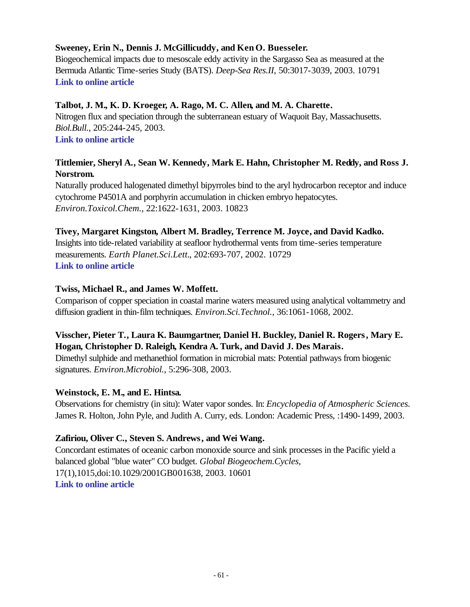# **Sweeney, Erin N., Dennis J. McGillicuddy, and Ken O. Buesseler.**

Biogeochemical impacts due to mesoscale eddy activity in the Sargasso Sea as measured at the Bermuda Atlantic Time-series Study (BATS). *Deep-Sea Res.II*, 50:3017-3039, 2003. 10791 **[Link to online article](http://www.sciencedirect.com/science?_ob=MImg&_imagekey=B6VGC-49Y3VW2-1-17&_cdi=6035&_orig=search&_coverDate=12%2F31%2F2003&_sk=999499977&view=c&wchp=dGLbVlz-zSkzk&_acct=C000011858&_version=1&_userid=142773&md5=f4da27e142c19a1b33f5f335ebd7f2ef&ie=f.pdf)**

# **Talbot, J. M., K. D. Kroeger, A. Rago, M. C. Allen, and M. A. Charette.**

Nitrogen flux and speciation through the subterranean estuary of Waquoit Bay, Massachusetts. *Biol.Bull.*, 205:244-245, 2003. **[Link to online article](http://www.biolbull.org/cgi/reprint/205/2/244.pdf)**

# **Tittlemier, Sheryl A., Sean W. Kennedy, Mark E. Hahn, Christopher M. Reddy, and Ross J. Norstrom.**

Naturally produced halogenated dimethyl bipyrroles bind to the aryl hydrocarbon receptor and induce cytochrome P4501A and porphyrin accumulation in chicken embryo hepatocytes. *Environ.Toxicol.Chem.*, 22:1622-1631, 2003. 10823

### **Tivey, Margaret Kingston, Albert M. Bradley, Terrence M. Joyce, and David Kadko.**

Insights into tide-related variability at seafloor hydrothermal vents from time-series temperature measurements. *Earth Planet.Sci.Lett.*, 202:693-707, 2002. 10729 **[Link to online article](http://www.sciencedirect.com/science?_ob=MImg&_imagekey=B6V61-46P1PX6-1-K&_cdi=5801&_orig=browse&_coverDate=09%2F30%2F2002&_sk=997979996&view=c&wchp=dGLbVlb-zSkzk&_acct=C000011858&_version=1&_userid=142773&md5=74f0f19a6f8d64d9bbeba1d39b784db7&ie=f.pdf)**

### **Twiss, Michael R., and James W. Moffett.**

Comparison of copper speciation in coastal marine waters measured using analytical voltammetry and diffusion gradient in thin-film techniques. *Environ.Sci.Technol.*, 36:1061-1068, 2002.

# **Visscher, Pieter T., Laura K. Baumgartner, Daniel H. Buckley, Daniel R. Rogers, Mary E. Hogan, Christopher D. Raleigh, Kendra A. Turk, and David J. Des Marais.**

Dimethyl sulphide and methanethiol formation in microbial mats: Potential pathways from biogenic signatures. *Environ.Microbiol.*, 5:296-308, 2003.

### **Weinstock, E. M., and E. Hintsa.**

Observations for chemistry (in situ): Water vapor sondes. In: *Encyclopedia of Atmospheric Sciences.*  James R. Holton, John Pyle, and Judith A. Curry, eds. London: Academic Press, :1490-1499, 2003.

# **Zafiriou, Oliver C., Steven S. Andrews, and Wei Wang.**

Concordant estimates of oceanic carbon monoxide source and sink processes in the Pacific yield a balanced global "blue water" CO budget. *Global Biogeochem.Cycles*, 17(1),1015,doi:10.1029/2001GB001638, 2003. 10601 **[Link to online article](http://www.agu.org/journals/gb/gb0301/2001GB001638/2001GB001638.pdf)**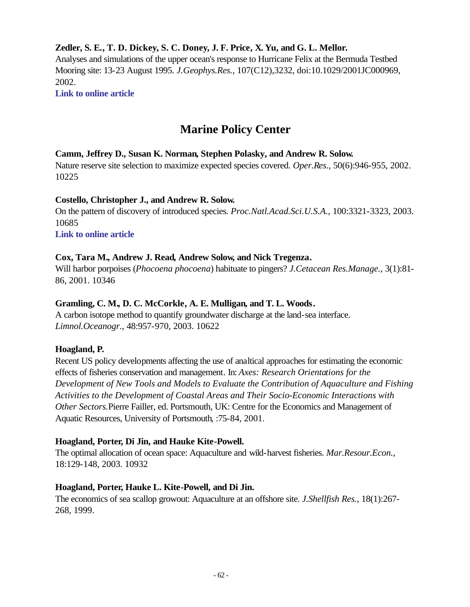# **Zedler, S. E., T. D. Dickey, S. C. Doney, J. F. Price, X. Yu, and G. L. Mellor.**

Analyses and simulations of the upper ocean's response to Hurricane Felix at the Bermuda Testbed Mooring site: 13-23 August 1995. *J.Geophys.Res.*, 107(C12),3232, doi:10.1029/2001JC000969, 2002.

**[Link to online article](http://www.agu.org/journals/jc/jc0212/2001JC000969/2001JC000969.pdf)**

# **Marine Policy Center**

# **Camm, Jeffrey D., Susan K. Norman, Stephen Polasky, and Andrew R. Solow.**

Nature reserve site selection to maximize expected species covered. *Oper.Res.*, 50(6):946-955, 2002. 10225

### **Costello, Christopher J., and Andrew R. Solow.**

On the pattern of discovery of introduced species. *Proc.Natl.Acad.Sci.U.S.A.*, 100:3321-3323, 2003. 10685

**[Link to online article](http://www.pnas.org/cgi/reprint/100/6/3321.pdf)**

# **Cox, Tara M., Andrew J. Read, Andrew Solow, and Nick Tregenza.**

Will harbor porpoises (*Phocoena phocoena*) habituate to pingers? *J.Cetacean Res.Manage.*, 3(1):81- 86, 2001. 10346

# **Gramling, C. M., D. C. McCorkle, A. E. Mulligan, and T. L. Woods.**

A carbon isotope method to quantify groundwater discharge at the land-sea interface. *Limnol.Oceanogr.*, 48:957-970, 2003. 10622

# **Hoagland, P.**

Recent US policy developments affecting the use of analtical approaches for estimating the economic effects of fisheries conservation and management. In: *Axes: Research Orientations for the Development of New Tools and Models to Evaluate the Contribution of Aquaculture and Fishing Activities to the Development of Coastal Areas and Their Socio-Economic Interactions with Other Sectors.*Pierre Failler, ed. Portsmouth, UK: Centre for the Economics and Management of Aquatic Resources, University of Portsmouth, :75-84, 2001.

# **Hoagland, Porter, Di Jin, and Hauke Kite-Powell.**

The optimal allocation of ocean space: Aquaculture and wild-harvest fisheries. *Mar.Resour.Econ.*, 18:129-148, 2003. 10932

# **Hoagland, Porter, Hauke L. Kite-Powell, and Di Jin.**

The economics of sea scallop growout: Aquaculture at an offshore site. *J.Shellfish Res.*, 18(1):267- 268, 1999.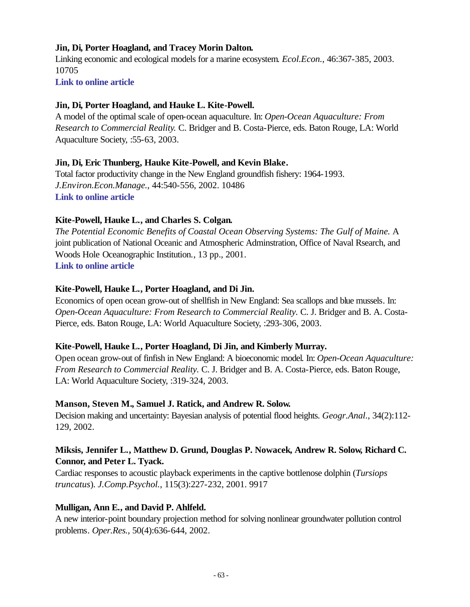# **Jin, Di, Porter Hoagland, and Tracey Morin Dalton.**

Linking economic and ecological models for a marine ecosystem. *Ecol.Econ.*, 46:367-385, 2003. 10705

**[Link to online article](http://www.sciencedirect.com/science?_ob=MImg&_imagekey=B6VDY-49JPR2S-4-18&_cdi=5995&_orig=browse&_coverDate=10%2F31%2F2003&_sk=999539996&view=c&wchp=dGLbVlb-zSkWW&_acct=C000011858&_version=1&_userid=142773&md5=780221cdfa589d12f58ed4138c4e11a9&ie=f.pdf)**

# **Jin, Di, Porter Hoagland, and Hauke L. Kite-Powell.**

A model of the optimal scale of open-ocean aquaculture. In: *Open-Ocean Aquaculture: From Research to Commercial Reality.* C. Bridger and B. Costa-Pierce, eds. Baton Rouge, LA: World Aquaculture Society, :55-63, 2003.

# **Jin, Di, Eric Thunberg, Hauke Kite-Powell, and Kevin Blake.**

Total factor productivity change in the New England groundfish fishery: 1964-1993. *J.Environ.Econ.Manage.*, 44:540-556, 2002. 10486 **[Link to online article](http://www.sciencedirect.com/science?_ob=MImg&_imagekey=B6WJ6-473MX6R-8-1&_cdi=6870&_orig=browse&_coverDate=11%2F30%2F2002&_sk=999559996&view=c&wchp=dGLbVzb-zSkzS&_acct=C000011858&_version=1&_userid=142773&md5=e98d269c8ca105e8db4e134908e4503a&ie=f.pdf)**

# **Kite-Powell, Hauke L., and Charles S. Colgan.**

*The Potential Economic Benefits of Coastal Ocean Observing Systems: The Gulf of Maine.* A joint publication of National Oceanic and Atmospheric Adminstration, Office of Naval Rsearch, and Woods Hole Oceanographic Institution., 13 pp., 2001. **[Link to online article](http://www.whoi.edu/science/MPC/dept/research/GoMOOS%20benefits.pdf)**

# **Kite-Powell, Hauke L., Porter Hoagland, and Di Jin.**

Economics of open ocean grow-out of shellfish in New England: Sea scallops and blue mussels. In: *Open-Ocean Aquaculture: From Research to Commercial Reality.* C. J. Bridger and B. A. Costa-Pierce, eds. Baton Rouge, LA: World Aquaculture Society, :293-306, 2003.

# **Kite-Powell, Hauke L., Porter Hoagland, Di Jin, and Kimberly Murray.**

Open ocean grow-out of finfish in New England: A bioeconomic model. In: *Open-Ocean Aquaculture: From Research to Commercial Reality.* C. J. Bridger and B. A. Costa-Pierce, eds. Baton Rouge, LA: World Aquaculture Society, :319-324, 2003.

# **Manson, Steven M., Samuel J. Ratick, and Andrew R. Solow.**

Decision making and uncertainty: Bayesian analysis of potential flood heights. *Geogr.Anal.*, 34(2):112- 129, 2002.

# **Miksis, Jennifer L., Matthew D. Grund, Douglas P. Nowacek, Andrew R. Solow, Richard C. Connor, and Peter L. Tyack.**

Cardiac responses to acoustic playback experiments in the captive bottlenose dolphin (*Tursiops truncatus*). *J.Comp.Psychol.*, 115(3):227-232, 2001. 9917

# **Mulligan, Ann E., and David P. Ahlfeld.**

A new interior-point boundary projection method for solving nonlinear groundwater pollution control problems. *Oper.Res.*, 50(4):636-644, 2002.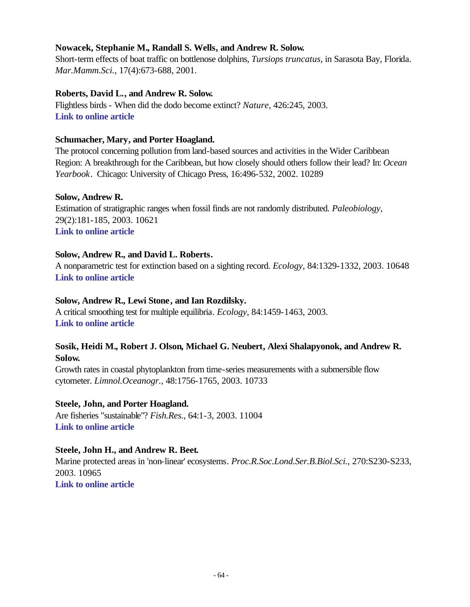### **Nowacek, Stephanie M., Randall S. Wells, and Andrew R. Solow.**

Short-term effects of boat traffic on bottlenose dolphins, *Tursiops truncatus*, in Sarasota Bay, Florida. *Mar.Mamm.Sci.*, 17(4):673-688, 2001.

### **Roberts, David L., and Andrew R. Solow.**

Flightless birds - When did the dodo become extinct? *Nature*, 426:245, 2003. **[Link to online article](http://www.nature.com/cgi-taf/DynaPage.taf?file=/nature/journal/v426/n6964/full/426245a_fs.html&content_filetype=pdf)**

### **Schumacher, Mary, and Porter Hoagland.**

The protocol concerning pollution from land-based sources and activities in the Wider Caribbean Region: A breakthrough for the Caribbean, but how closely should others follow their lead? In: *Ocean Yearbook*. Chicago: University of Chicago Press, 16:496-532, 2002. 10289

### **Solow, Andrew R.**

Estimation of stratigraphic ranges when fossil finds are not randomly distributed. *Paleobiology*, 29(2):181-185, 2003. 10621 **[Link to online article](http://www.bioone.org/pdfserv/i0094-8373-029-02-0181.pdf)**

### **Solow, Andrew R., and David L. Roberts.**

A nonparametric test for extinction based on a sighting record. *Ecology*, 84:1329-1332, 2003. 10648 **[Link to online article](http://www.esajournals.org/pdfserv/i0012-9658-084-05-1329.pdf)**

### **Solow, Andrew R., Lewi Stone, and Ian Rozdilsky.**

A critical smoothing test for multiple equilibria. *Ecology*, 84:1459-1463, 2003. **[Link to online article](http://www.esajournals.org/pdfserv/i0012-9658-084-06-1459.pdf)**

### **Sosik, Heidi M., Robert J. Olson, Michael G. Neubert, Alexi Shalapyonok, and Andrew R. Solow.**

Growth rates in coastal phytoplankton from time-series measurements with a submersible flow cytometer. *Limnol.Oceanogr.*, 48:1756-1765, 2003. 10733

### **Steele, John, and Porter Hoagland.**

Are fisheries "sustainable"? *Fish.Res.*, 64:1-3, 2003. 11004 **[Link to online article](http://www.sciencedirect.com/science?_ob=MImg&_imagekey=B6T6N-49M0PVR-1-1&_cdi=5035&_orig=browse&_coverDate=10%2F31%2F2003&_sk=999359998&view=c&wchp=dGLbVtz-zSkzV&_acct=C000011858&_version=1&_userid=142773&md5=22b49bb609bec05d3ef05bb1a9801226&ie=f.pdf)**

### **Steele, John H., and Andrew R. Beet.**

Marine protected areas in 'non-linear' ecosystems. *Proc.R.Soc.Lond.Ser.B.Biol.Sci.*, 270:S230-S233, 2003. 10965 **[Link to online article](http://ceres.ingentaselect.com/vl=2824147/cl=36/nw=1/fm=docpdf/rpsv/cw/rsl/09628452/v270n1530x2/s32/p230)**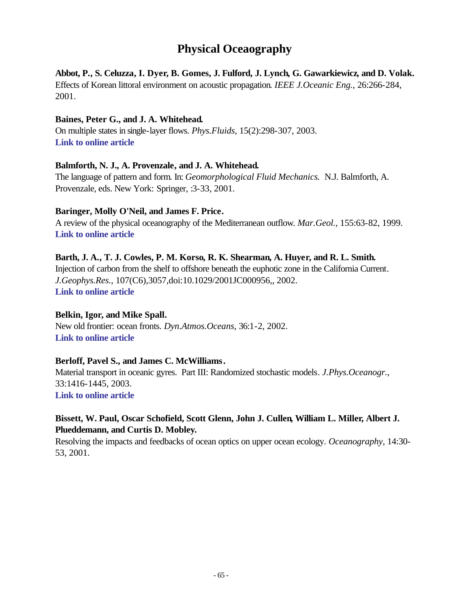# **Physical Oceaography**

### **Abbot, P., S. Celuzza, I. Dyer, B. Gomes, J. Fulford, J. Lynch, G. Gawarkiewicz, and D. Volak.**

Effects of Korean littoral environment on acoustic propagation. *IEEE J.Oceanic Eng.*, 26:266-284, 2001.

### **Baines, Peter G., and J. A. Whitehead.**

On multiple states in single-layer flows. *Phys.Fluids*, 15(2):298-307, 2003. **[Link to online article](http://ojps.aip.org/getpdf/servlet/GetPDFServlet?filetype=pdf&id=PHFLE6000015000002000298000001&idtype=cvips)**

# **Balmforth, N. J., A. Provenzale, and J. A. Whitehead.**

The language of pattern and form. In: *Geomorphological Fluid Mechanics.* N.J. Balmforth, A. Provenzale, eds. New York: Springer, :3-33, 2001.

# **Baringer, Molly O'Neil, and James F. Price.**

A review of the physical oceanography of the Mediterranean outflow. *Mar.Geol.*, 155:63-82, 1999. **[Link to online article](http://www.sciencedirect.com/science?_ob=MImg&_imagekey=B6V6M-3VP9W1S-20-26&_cdi=5818&_orig=browse&_coverDate=02%2F15%2F1999&_sk=998449998&view=c&wchp=dGLbVlb-zSkzS&_acct=C000011858&_version=1&_userid=142773&md5=7a4f60760946a40aab5830b2ae8afa73&ie=f.pdf)**

# **Barth, J. A., T. J. Cowles, P. M. Korso, R. K. Shearman, A. Huyer, and R. L. Smith.**

Injection of carbon from the shelf to offshore beneath the euphotic zone in the California Current. *J.Geophys.Res.*, 107(C6),3057,doi:10.1029/2001JC000956,, 2002. **[Link to online article](http://www.agu.org/journals/jc/jc0206/2001JC000956/2001JC000956.pdf)**

### **Belkin, Igor, and Mike Spall.**

New old frontier: ocean fronts. *Dyn.Atmos.Oceans*, 36:1-2, 2002. **[Link to online article](http://www.sciencedirect.com/science?_ob=MImg&_imagekey=B6VCR-46SFCNN-3-1&_cdi=5961&_orig=browse&_coverDate=11%2F01%2F2002&_sk=999639998&view=c&wchp=dGLbVzz-zSkzk&_acct=C000011858&_version=1&_userid=142773&md5=b56c29745af1c4ee75c9a69ad1223121&ie=f.pdf)**

# **Berloff, Pavel S., and James C. McWilliams.**

Material transport in oceanic gyres. Part III: Randomized stochastic models. *J.Phys.Oceanogr.*, 33:1416-1445, 2003. **[Link to online article](http://ams.allenpress.com/pdfserv/i1520-0485-033-07-1416.pdf)**

# **Bissett, W. Paul, Oscar Schofield, Scott Glenn, John J. Cullen, William L. Miller, Albert J. Plueddemann, and Curtis D. Mobley.**

Resolving the impacts and feedbacks of ocean optics on upper ocean ecology. *Oceanography*, 14:30- 53, 2001.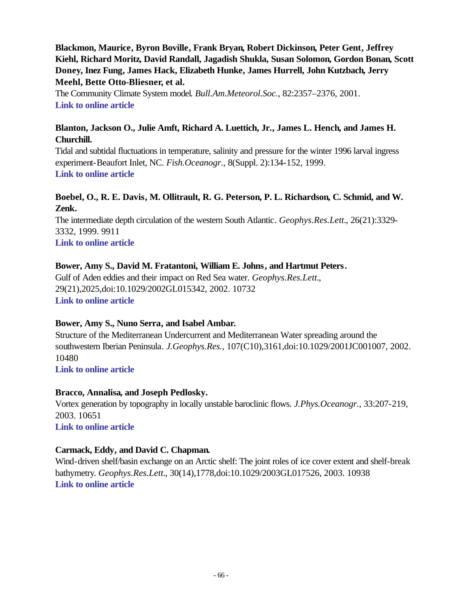# **Blackmon, Maurice, Byron Boville, Frank Bryan, Robert Dickinson, Peter Gent, Jeffrey Kiehl, Richard Moritz, David Randall, Jagadish Shukla, Susan Solomon, Gordon Bonan, Scott Doney, Inez Fung, James Hack, Elizabeth Hunke, James Hurrell, John Kutzbach, Jerry Meehl, Bette Otto-Bliesner, et al.**

The Community Climate System model. *Bull.Am.Meteorol.Soc.*, 82:2357–2376, 2001. **[Link to online article](http://ams.allenpress.com/pdfserv/i1520-0477-082-11-2357.pdf)**

# **Blanton, Jackson O., Julie Amft, Richard A. Luettich, Jr., James L. Hench, and James H. Churchill.**

Tidal and subtidal fluctuations in temperature, salinity and pressure for the winter 1996 larval ingress experiment-Beaufort Inlet, NC. *Fish.Oceanogr.*, 8(Suppl. 2):134-152, 1999. **[Link to online article](http://www.blackwell-synergy.com/links/doi/10.1046/j.1365-2419.1999.00027.x/full/)**

# **Boebel, O., R. E. Davis, M. Ollitrault, R. G. Peterson, P. L. Richardson, C. Schmid, and W. Zenk.**

The intermediate depth circulation of the western South Atlantic. *Geophys.Res.Lett.*, 26(21):3329- 3332, 1999. 9911 **[Link to online article](http://www.agu.org/journals/gl/gl9921/1999GL002355.pdf)**

# **Bower, Amy S., David M. Fratantoni, William E. Johns, and Hartmut Peters.**

Gulf of Aden eddies and their impact on Red Sea water. *Geophys.Res.Lett.*, 29(21),2025,doi:10.1029/2002GL015342, 2002. 10732 **[Link to online article](http://www.agu.org/journals/gl/gl0221/2002GL015342/2002GL015342.pdf)**

# **Bower, Amy S., Nuno Serra, and Isabel Ambar.**

Structure of the Mediterranean Undercurrent and Mediterranean Water spreading around the southwestern Iberian Peninsula. *J.Geophys.Res.*, 107(C10),3161,doi:10.1029/2001JC001007, 2002. 10480

**[Link to online article](http://www.agu.org/journals/jc/jc0210/2001JC001007/2001JC001007.pdf)**

# **Bracco, Annalisa, and Joseph Pedlosky.**

Vortex generation by topography in locally unstable baroclinic flows. *J.Phys.Oceanogr.*, 33:207-219, 2003. 10651 **[Link to online article](http://ams.allenpress.com/pdfserv/i1520-0485-033-01-0207.pdf)**

# **Carmack, Eddy, and David C. Chapman.**

Wind-driven shelf/basin exchange on an Arctic shelf: The joint roles of ice cover extent and shelf-break bathymetry. *Geophys.Res.Lett.*, 30(14),1778,doi:10.1029/2003GL017526, 2003. 10938 **[Link to online article](http://www.agu.org/journals/gl/gl0314/2003GL017526/2003GL017526.pdf)**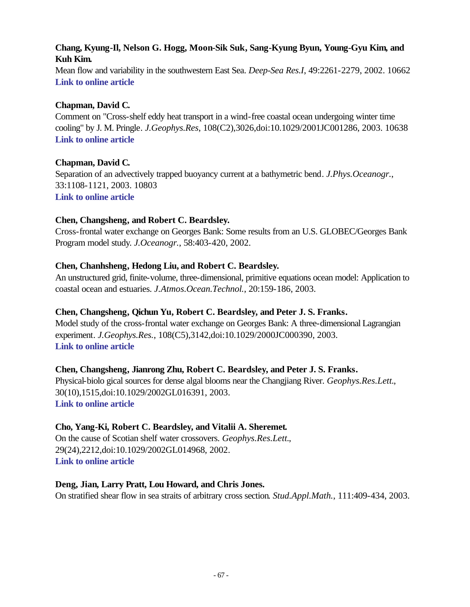# **Chang, Kyung-Il, Nelson G. Hogg, Moon-Sik Suk, Sang-Kyung Byun, Young-Gyu Kim, and Kuh Kim.**

Mean flow and variability in the southwestern East Sea. *Deep-Sea Res.I*, 49:2261-2279, 2002. 10662 **[Link to online article](http://www.sciencedirect.com/science?_ob=MImg&_imagekey=B6VGB-47S5NKV-9-4R&_cdi=6034&_orig=browse&_coverDate=12%2F31%2F2002&_sk=999509987&view=c&wchp=dGLbVzz-zSkWA&_acct=C000011858&_version=1&_userid=142773&md5=1dfd876ba7b299fa5ad306ec4bc334ec&ie=f.pdf)**

# **Chapman, David C.**

Comment on "Cross-shelf eddy heat transport in a wind-free coastal ocean undergoing winter time cooling" by J. M. Pringle. *J.Geophys.Res*, 108(C2),3026,doi:10.1029/2001JC001286, 2003. 10638 **[Link to online article](http://www.agu.org/journals/jc/jc0302/2001JC001286/2001JC001286.pdf)**

# **Chapman, David C.**

Separation of an advectively trapped buoyancy current at a bathymetric bend. *J.Phys.Oceanogr.*, 33:1108-1121, 2003. 10803 **[Link to online article](http://ams.allenpress.com/pdfserv/i1520-0485-033-05-1108.pdf)**

# **Chen, Changsheng, and Robert C. Beardsley.**

Cross-frontal water exchange on Georges Bank: Some results from an U.S. GLOBEC/Georges Bank Program model study. *J.Oceanogr.*, 58:403-420, 2002.

# **Chen, Chanhsheng, Hedong Liu, and Robert C. Beardsley.**

An unstructured grid, finite-volume, three-dimensional, primitive equations ocean model: Application to coastal ocean and estuaries. *J.Atmos.Ocean.Technol.*, 20:159-186, 2003.

# **Chen, Changsheng, Qichun Yu, Robert C. Beardsley, and Peter J. S. Franks.**

Model study of the cross-frontal water exchange on Georges Bank: A three-dimensional Lagrangian experiment. *J.Geophys.Res.*, 108(C5),3142,doi:10.1029/2000JC000390, 2003. **[Link to online article](http://www.agu.org/journals/jc/jc0305/2000JC000390/2000JC000390.pdf)**

# **Chen, Changsheng, Jianrong Zhu, Robert C. Beardsley, and Peter J. S. Franks.**

Physical-biolo gical sources for dense algal blooms near the Changjiang River. *Geophys.Res.Lett.*, 30(10),1515,doi:10.1029/2002GL016391, 2003. **[Link to online article](http://www.agu.org/journals/gl/gl0310/2002GL016391/2002GL016391.pdf)**

# **Cho, Yang-Ki, Robert C. Beardsley, and Vitalii A. Sheremet.**

On the cause of Scotian shelf water crossovers. *Geophys.Res.Lett.*, 29(24),2212,doi:10.1029/2002GL014968, 2002. **[Link to online article](http://www.agu.org/journals/gl/gl0224/2002GL014968/2002GL014968.pdf)**

# **Deng, Jian, Larry Pratt, Lou Howard, and Chris Jones.**

On stratified shear flow in sea straits of arbitrary cross section. *Stud.Appl.Math.*, 111:409-434, 2003.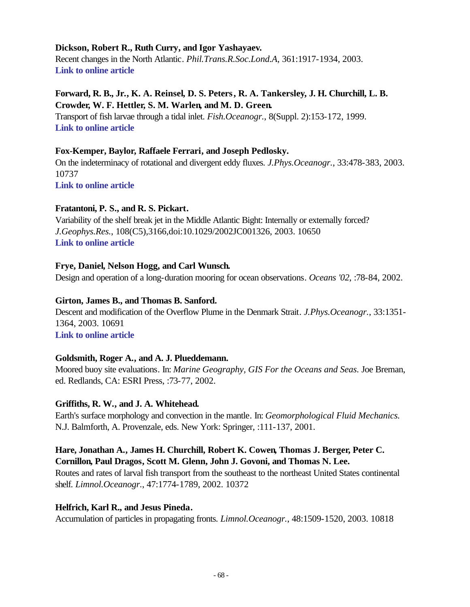### **Dickson, Robert R., Ruth Curry, and Igor Yashayaev.**

Recent changes in the North Atlantic. *Phil.Trans.R.Soc.Lond.A*, 361:1917-1934, 2003. **[Link to online article](http://taddeo.ingentaselect.com/vl=1997493/cl=80/nw=1/fm=docpdf/rpsv/cw/rsl/1364503x/v361n1810/s6/p1917)**

# **Forward, R. B., Jr., K. A. Reinsel, D. S. Peters, R. A. Tankersley, J. H. Churchill, L. B. Crowder, W. F. Hettler, S. M. Warlen, and M. D. Green.**

Transport of fish larvae through a tidal inlet. *Fish.Oceanogr.*, 8(Suppl. 2):153-172, 1999. **[Link to online article](http://www.blackwell-synergy.com/links/doi/10.1046/j.1365-2419.1999.00026.x/full/)**

### **Fox-Kemper, Baylor, Raffaele Ferrari, and Joseph Pedlosky.**

On the indeterminacy of rotational and divergent eddy fluxes. *J.Phys.Oceanogr.*, 33:478-383, 2003. 10737

**[Link to online article](http://ams.allenpress.com/pdfserv/i1520-0485-033-02-0478.pdf)**

### **Fratantoni, P. S., and R. S. Pickart.**

Variability of the shelf break jet in the Middle Atlantic Bight: Internally or externally forced? *J.Geophys.Res.*, 108(C5),3166,doi:10.1029/2002JC001326, 2003. 10650 **[Link to online article](http://www.agu.org/journals/jc/jc0305/2002JC001326/2002JC001326.pdf)**

### **Frye, Daniel, Nelson Hogg, and Carl Wunsch.**

Design and operation of a long-duration mooring for ocean observations. *Oceans '02*, :78-84, 2002.

### **Girton, James B., and Thomas B. Sanford.**

Descent and modification of the Overflow Plume in the Denmark Strait. *J.Phys.Oceanogr.*, 33:1351- 1364, 2003. 10691 **[Link to online article](http://ams.allenpress.com/pdfserv/i1520-0485-033-07-1351.pdf)**

# **Goldsmith, Roger A., and A. J. Plueddemann.**

Moored buoy site evaluations. In: *Marine Geography, GIS For the Oceans and Seas.* Joe Breman, ed. Redlands, CA: ESRI Press, :73-77, 2002.

# **Griffiths, R. W., and J. A. Whitehead.**

Earth's surface morphology and convection in the mantle. In: *Geomorphological Fluid Mechanics.*  N.J. Balmforth, A. Provenzale, eds. New York: Springer, :111-137, 2001.

### **Hare, Jonathan A., James H. Churchill, Robert K. Cowen, Thomas J. Berger, Peter C. Cornillon, Paul Dragos, Scott M. Glenn, John J. Govoni, and Thomas N. Lee.**

Routes and rates of larval fish transport from the southeast to the northeast United States continental shelf. *Limnol.Oceanogr.*, 47:1774-1789, 2002. 10372

### **Helfrich, Karl R., and Jesus Pineda.**

Accumulation of particles in propagating fronts. *Limnol.Oceanogr.*, 48:1509-1520, 2003. 10818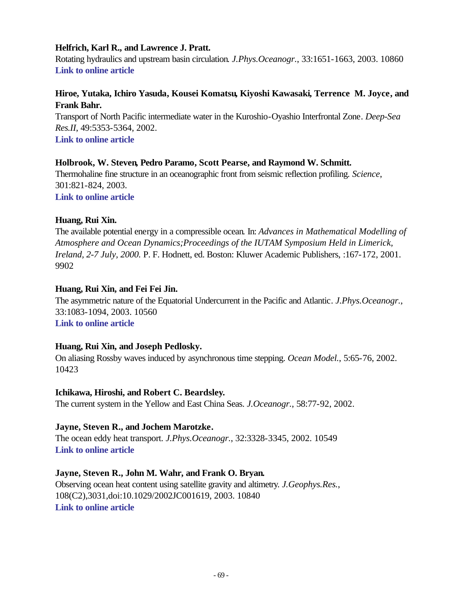### **Helfrich, Karl R., and Lawrence J. Pratt.**

Rotating hydraulics and upstream basin circulation. *J.Phys.Oceanogr.*, 33:1651-1663, 2003. 10860 **[Link to online article](http://ams.allenpress.com/pdfserv/i1520-0485-033-08-1651.pdf)**

# **Hiroe, Yutaka, Ichiro Yasuda, Kousei Komatsu, Kiyoshi Kawasaki, Terrence M. Joyce, and Frank Bahr.**

Transport of North Pacific intermediate water in the Kuroshio-Oyashio Interfrontal Zone. *Deep-Sea Res.II*, 49:5353-5364, 2002. **[Link to online article](http://www.sciencedirect.com/science?_ob=MImg&_imagekey=B6VGC-4724X4M-3-1B&_cdi=6035&_orig=browse&_coverDate=12%2F31%2F2002&_sk=999509975&view=c&wchp=dGLbVlb-zSkzk&_acct=C000011858&_version=1&_userid=142773&md5=1b8dbcd528145b3e00888c054c216498&ie=f.pdf)**

### **Holbrook, W. Steven, Pedro Paramo, Scott Pearse, and Raymond W. Schmitt.**

Thermohaline fine structure in an oceanographic front from seismic reflection profiling. *Science*, 301:821-824, 2003.

**[Link to online article](http://www.sciencemag.org/cgi/reprint/301/5634/821.pdf)**

### **Huang, Rui Xin.**

The available potential energy in a compressible ocean. In: *Advances in Mathematical Modelling of Atmosphere and Ocean Dynamics;Proceedings of the IUTAM Symposium Held in Limerick, Ireland, 2-7 July, 2000.* P. F. Hodnett, ed. Boston: Kluwer Academic Publishers, :167-172, 2001. 9902

### **Huang, Rui Xin, and Fei Fei Jin.**

The asymmetric nature of the Equatorial Undercurrent in the Pacific and Atlantic. *J.Phys.Oceanogr.*, 33:1083-1094, 2003. 10560 **[Link to online article](http://ams.allenpress.com/pdfserv/i1520-0485-033-05-1083.pdf)**

### **Huang, Rui Xin, and Joseph Pedlosky.**

On aliasing Rossby waves induced by asynchronous time stepping. *Ocean Model.*, 5:65-76, 2002. 10423

#### **Ichikawa, Hiroshi, and Robert C. Beardsley.**

The current system in the Yellow and East China Seas. *J.Oceanogr.*, 58:77-92, 2002.

### **Jayne, Steven R., and Jochem Marotzke.**

The ocean eddy heat transport. *J.Phys.Oceanogr.*, 32:3328-3345, 2002. 10549 **[Link to online article](http://ams.allenpress.com/pdfserv/i1520-0485-032-12-3328.pdf)**

### **Jayne, Steven R., John M. Wahr, and Frank O. Bryan.**

Observing ocean heat content using satellite gravity and altimetry. *J.Geophys.Res.*, 108(C2),3031,doi:10.1029/2002JC001619, 2003. 10840 **[Link to online article](http://www.agu.org/journals/jc/jc0302/2002JC001619/2002JC001619.pdf)**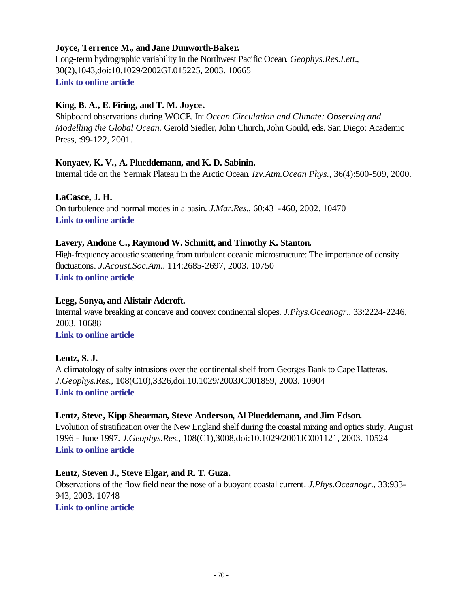# **Joyce, Terrence M., and Jane Dunworth-Baker.**

Long-term hydrographic variability in the Northwest Pacific Ocean. *Geophys.Res.Lett.*, 30(2),1043,doi:10.1029/2002GL015225, 2003. 10665 **[Link to online article](http://www.agu.org/journals/gl/gl0302/2002GL015225/2002GL015225.pdf)**

# **King, B. A., E. Firing, and T. M. Joyce.**

Shipboard observations during WOCE. In: *Ocean Circulation and Climate: Observing and Modelling the Global Ocean.* Gerold Siedler, John Church, John Gould, eds. San Diego: Academic Press, :99-122, 2001.

# **Konyaev, K. V., A. Plueddemann, and K. D. Sabinin.**

Internal tide on the Yermak Plateau in the Arctic Ocean. *Izv.Atm.Ocean Phys.*, 36(4):500-509, 2000.

**LaCasce, J. H.** On turbulence and normal modes in a basin. *J.Mar.Res.*, 60:431-460, 2002. 10470 **[Link to online article](http://taddeo.ingentaselect.com/vl=1564406/cl=152/nw=1/fm=docpdf/rpsv/cw/jmr/00222402/v60n3/s3/p431)**

# **Lavery, Andone C., Raymond W. Schmitt, and Timothy K. Stanton.**

High-frequency acoustic scattering from turbulent oceanic microstructure: The importance of density fluctuations. *J.Acoust.Soc.Am.*, 114:2685-2697, 2003. 10750 **[Link to online article](http://ojps.aip.org/getpdf/servlet/GetPDFServlet?filetype=pdf&id=JASMAN000114000005002685000001&idtype=cvips)**

# **Legg, Sonya, and Alistair Adcroft.**

Internal wave breaking at concave and convex continental slopes. *J.Phys.Oceanogr.*, 33:2224-2246, 2003. 10688

**[Link to online article](http://ams.allenpress.com/pdfserv/i1520-0485-033-11-2224.pdf)**

# **Lentz, S. J.**

A climatology of salty intrusions over the continental shelf from Georges Bank to Cape Hatteras. *J.Geophys.Res.*, 108(C10),3326,doi:10.1029/2003JC001859, 2003. 10904 **[Link to online article](http://www.agu.org/journals/jc/jc0310/2003JC001859/2003JC001859.pdf)**

# **Lentz, Steve, Kipp Shearman, Steve Anderson, Al Plueddemann, and Jim Edson.**

Evolution of stratification over the New England shelf during the coastal mixing and optics study, August 1996 - June 1997. *J.Geophys.Res.*, 108(C1),3008,doi:10.1029/2001JC001121, 2003. 10524 **[Link to online article](http://www.agu.org/journals/jc/jc0301/2001JC001121/2001JC001121.pdf)**

# **Lentz, Steven J., Steve Elgar, and R. T. Guza.**

Observations of the flow field near the nose of a buoyant coastal current. *J.Phys.Oceanogr.*, 33:933- 943, 2003. 10748 **[Link to online article](http://ams.allenpress.com/pdfserv/i1520-0485-033-04-0933.pdf)**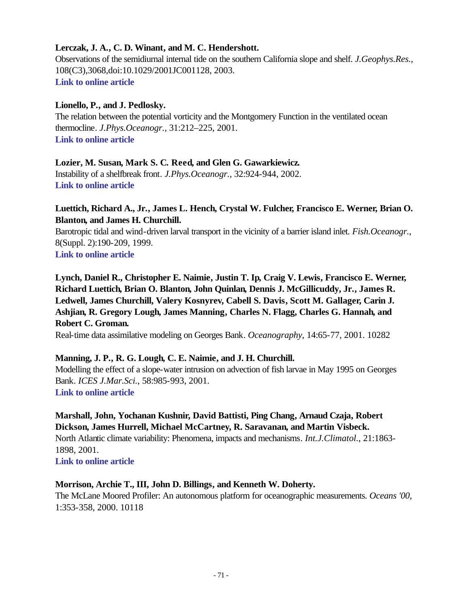### **Lerczak, J. A., C. D. Winant, and M. C. Hendershott.**

Observations of the semidiurnal internal tide on the southern California slope and shelf. *J.Geophys.Res.*, 108(C3),3068,doi:10.1029/2001JC001128, 2003. **[Link to online article](http://www.agu.org/journals/jc/jc0303/2001JC001128/2001JC001128.pdf)**

### **Lionello, P., and J. Pedlosky.**

The relation between the potential vorticity and the Montgomery Function in the ventilated ocean thermocline. *J.Phys.Oceanogr.*, 31:212–225, 2001. **[Link to online article](http://ams.allenpress.com/pdfserv/i1520-0485-031-01-0212.pdf)**

### **Lozier, M. Susan, Mark S. C. Reed, and Glen G. Gawarkiewicz.**

Instability of a shelfbreak front. *J.Phys.Oceanogr.*, 32:924-944, 2002. **[Link to online article](http://ams.allenpress.com/pdfserv/i1520-0485-032-03-0924.pdf)**

# **Luettich, Richard A., Jr., James L. Hench, Crystal W. Fulcher, Francisco E. Werner, Brian O. Blanton, and James H. Churchill.**

Barotropic tidal and wind-driven larval transport in the vicinity of a barrier island inlet. *Fish.Oceanogr.*, 8(Suppl. 2):190-209, 1999. **[Link to online article](http://www.blackwell-synergy.com/links/doi/10.1046/j.1365-2419.1999.00030.x/full/)**

**Lynch, Daniel R., Christopher E. Naimie, Justin T. Ip, Craig V. Lewis, Francisco E. Werner, Richard Luettich, Brian O. Blanton, John Quinlan, Dennis J. McGillicuddy, Jr., James R. Ledwell, James Churchill, Valery Kosnyrev, Cabell S. Davis, Scott M. Gallager, Carin J. Ashjian, R. Gregory Lough, James Manning, Charles N. Flagg, Charles G. Hannah, and Robert C. Groman.**

Real-time data assimilative modeling on Georges Bank. *Oceanography*, 14:65-77, 2001. 10282

### **Manning, J. P., R. G. Lough, C. E. Naimie, and J. H. Churchill.**

Modelling the effect of a slope-water intrusion on advection of fish larvae in May 1995 on Georges Bank. *ICES J.Mar.Sci.*, 58:985-993, 2001. **[Link to online article](http://www.sciencedirect.com/science?_ob=MImg&_imagekey=B6WGG-457VFJR-8-1&_cdi=6822&_orig=browse&_coverDate=10%2F31%2F2001&_sk=999419994&view=c&wchp=dGLbVzz-zSkzk&_acct=C000011858&_version=1&_userid=142773&md5=e071c127b3a67cb7a3f6250bb7c1203e&ie=f.pdf)**

# **Marshall, John, Yochanan Kushnir, David Battisti, Ping Chang, Arnaud Czaja, Robert Dickson, James Hurrell, Michael McCartney, R. Saravanan, and Martin Visbeck.**

North Atlantic climate variability: Phenomena, impacts and mechanisms. *Int.J.Climatol.*, 21:1863- 1898, 2001.

**[Link to online article](http://www3.interscience.wiley.com/cgi-bin/fulltext/89016692/PDFSTART)**

### **Morrison, Archie T., III, John D. Billings, and Kenneth W. Doherty.**

The McLane Moored Profiler: An autonomous platform for oceanographic measurements. *Oceans '00*, 1:353-358, 2000. 10118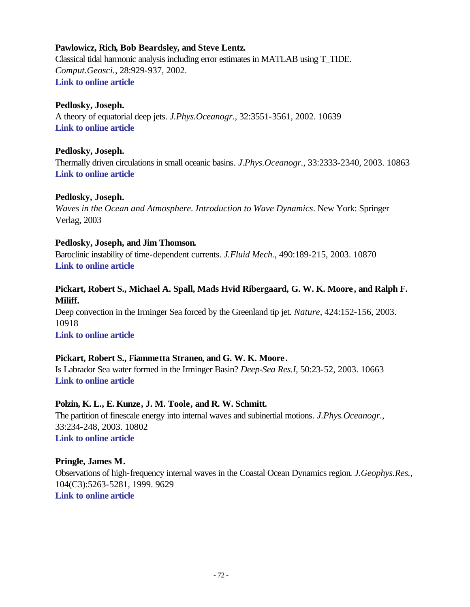### **Pawlowicz, Rich, Bob Beardsley, and Steve Lentz.**

Classical tidal harmonic analysis including error estimates in MATLAB using T\_TIDE. *Comput.Geosci.*, 28:929-937, 2002. **[Link to online article](http://www.sciencedirect.com/science?_ob=MImg&_imagekey=B6V7D-46DP7HS-1-4M&_cdi=5840&_orig=browse&_coverDate=10%2F31%2F2002&_sk=999719991&view=c&wchp=dGLbVlz-zSkWz&_acct=C000011858&_version=1&_userid=142773&md5=3276f8097c1808f948072f8a63ceb713&ie=f.pdf)**

### **Pedlosky, Joseph.**

A theory of equatorial deep jets. *J.Phys.Oceanogr.*, 32:3551-3561, 2002. 10639 **[Link to online article](http://ams.allenpress.com/pdfserv/i1520-0485-032-12-3551.pdf)**

### **Pedlosky, Joseph.**

Thermally driven circulations in small oceanic basins. *J.Phys.Oceanogr.*, 33:2333-2340, 2003. 10863 **[Link to online article](http://ams.allenpress.com/pdfserv/i1520-0485-033-11-2333.pdf)**

### **Pedlosky, Joseph.**

*Waves in the Ocean and Atmosphere. Introduction to Wave Dynamics*. New York: Springer Verlag, 2003

### **Pedlosky, Joseph, and Jim Thomson.**

Baroclinic instability of time-dependent currents. *J.Fluid Mech.*, 490:189-215, 2003. 10870 **[Link to online article](http://journals.cambridge.org/bin/bladerunner?REQUNIQ=1069190795&REQSESS=781052&117000REQEVENT=&REQINT1=173028&REQAUTH=0)**

### **Pickart, Robert S., Michael A. Spall, Mads Hvid Ribergaard, G. W. K. Moore, and Ralph F. Miliff.**

Deep convection in the Irminger Sea forced by the Greenland tip jet. *Nature*, 424:152-156, 2003. 10918

**[Link to online article](http://www.nature.com/cgi-taf/DynaPage.taf?file=/nature/journal/v424/n6945/full/nature01729_fs.html&content_filetype=pdf)**

# **Pickart, Robert S., Fiammetta Straneo, and G. W. K. Moore.**

Is Labrador Sea water formed in the Irminger Basin? *Deep-Sea Res.I*, 50:23-52, 2003. 10663 **[Link to online article](http://www.sciencedirect.com/science?_ob=MImg&_imagekey=B6VGB-47P233C-1-3H&_cdi=6034&_orig=browse&_coverDate=01%2F31%2F2003&_sk=999499998&view=c&wchp=dGLbVzb-zSkWz&_acct=C000011858&_version=1&_userid=142773&md5=14b5a5662290027e8c31e9585bdd5caf&ie=f.pdf)**

### **Polzin, K. L., E. Kunze, J. M. Toole, and R. W. Schmitt.**

The partition of finescale energy into internal waves and subinertial motions. *J.Phys.Oceanogr.*, 33:234-248, 2003. 10802 **[Link to online article](http://ams.allenpress.com/pdfserv/i1520-0485-033-01-0234.pdf)**

### **Pringle, James M.**

Observations of high-frequency internal waves in the Coastal Ocean Dynamics region. *J.Geophys.Res.*, 104(C3):5263-5281, 1999. 9629 **[Link to online article](http://www.agu.org/journals/jc/jc9903/1998JC900053.pdf)**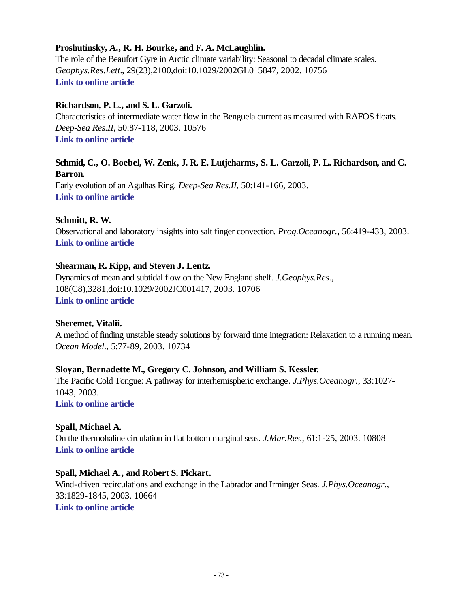# **Proshutinsky, A., R. H. Bourke, and F. A. McLaughlin.**

The role of the Beaufort Gyre in Arctic climate variability: Seasonal to decadal climate scales. *Geophys.Res.Lett.*, 29(23),2100,doi:10.1029/2002GL015847, 2002. 10756 **[Link to online article](http://www.agu.org/journals/gl/gl0223/2002GL015847/2002GL015847.pdf)**

#### **Richardson, P. L., and S. L. Garzoli.**

Characteristics of intermediate water flow in the Benguela current as measured with RAFOS floats. *Deep-Sea Res.II*, 50:87-118, 2003. 10576 **[Link to online article](http://www.sciencedirect.com/science?_ob=MImg&_imagekey=B6VGC-47CR5C6-6-8G&_cdi=6035&_orig=browse&_coverDate=01%2F31%2F2003&_sk=999499998&view=c&wchp=dGLbVlz-zSkWW&_acct=C000011858&_version=1&_userid=142773&md5=5dd4c539f83c47201cd89efcdb47e6bd&ie=f.pdf)**

# **Schmid, C., O. Boebel, W. Zenk, J. R. E. Lutjeharms, S. L. Garzoli, P. L. Richardson, and C. Barron.**

Early evolution of an Agulhas Ring. *Deep-Sea Res.II*, 50:141-166, 2003. **[Link to online article](http://www.sciencedirect.com/science?_ob=MImg&_imagekey=B6VGC-47CR5C6-8-88&_cdi=6035&_orig=browse&_coverDate=01%2F31%2F2003&_sk=999499998&view=c&wchp=dGLbVzb-zSkzk&_acct=C000011858&_version=1&_userid=142773&md5=e9ccf3dbb148c2dce8b7ef6c964b6262&ie=f.pdf)**

# **Schmitt, R. W.**

Observational and laboratory insights into salt finger convection. *Prog.Oceanogr.*, 56:419-433, 2003. **[Link to online article](http://www.sciencedirect.com/science?_ob=MImg&_imagekey=B6V7B-48F5G4N-2-1D&_cdi=5838&_orig=browse&_coverDate=03%2F31%2F2003&_sk=999439996&view=c&wchp=dGLbVlz-zSkWW&_acct=C000011858&_version=1&_userid=142773&md5=a80ee5a7674889f09febfa1a94f69261&ie=f.pdf)**

# **Shearman, R. Kipp, and Steven J. Lentz.**

Dynamics of mean and subtidal flow on the New England shelf. *J.Geophys.Res.*, 108(C8),3281,doi:10.1029/2002JC001417, 2003. 10706 **[Link to online article](http://www.agu.org/journals/jc/jc0308/2002JC001417/2002JC001417.pdf)**

#### **Sheremet, Vitalii.**

A method of finding unstable steady solutions by forward time integration: Relaxation to a running mean. *Ocean Model.*, 5:77-89, 2003. 10734

#### **Sloyan, Bernadette M., Gregory C. Johnson, and William S. Kessler.**

The Pacific Cold Tongue: A pathway for interhemispheric exchange. *J.Phys.Oceanogr.*, 33:1027- 1043, 2003. **[Link to online article](http://ams.allenpress.com/pdfserv/i1520-0485-033-05-1027.pdf)**

#### **Spall, Michael A.**

On the thermohaline circulation in flat bottom marginal seas. *J.Mar.Res.*, 61:1-25, 2003. 10808 **[Link to online article](http://taddeo.ingentaselect.com/vl=1564406/cl=152/nw=1/fm=docpdf/rpsv/cw/jmr/00222402/v61n1/s1/p1)**

#### **Spall, Michael A., and Robert S. Pickart.**

Wind-driven recirculations and exchange in the Labrador and Irminger Seas. *J.Phys.Oceanogr.*, 33:1829-1845, 2003. 10664 **[Link to online article](http://ams.allenpress.com/pdfserv/i1520-0485-033-08-1829.pdf)**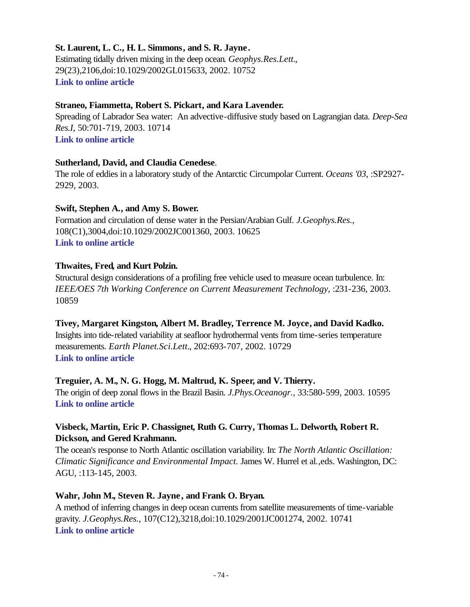# **St. Laurent, L. C., H. L. Simmons, and S. R. Jayne .**

Estimating tidally driven mixing in the deep ocean. *Geophys.Res.Lett.*, 29(23),2106,doi:10.1029/2002GL015633, 2002. 10752 **[Link to online article](http://www.agu.org/journals/gl/gl0223/2002GL015633/2002GL015633.pdf)**

#### **Straneo, Fiammetta, Robert S. Pickart, and Kara Lavender.**

Spreading of Labrador Sea water: An advective-diffusive study based on Lagrangian data. *Deep-Sea Res.I*, 50:701-719, 2003. 10714 **[Link to online article](http://www.sciencedirect.com/science?_ob=MImg&_imagekey=B6VGB-48JK77V-1-3Y&_cdi=6034&_orig=browse&_coverDate=06%2F30%2F2003&_sk=999499993&view=c&wchp=dGLbVlb-zSkWz&_acct=C000011858&_version=1&_userid=142773&md5=219a26b0a316c30dc3ec5ae1f1103089&ie=f.pdf)**

#### **Sutherland, David, and Claudia Cenedese**.

The role of eddies in a laboratory study of the Antarctic Circumpolar Current. *Oceans '03*, :SP2927- 2929, 2003.

#### **Swift, Stephen A., and Amy S. Bower.**

Formation and circulation of dense water in the Persian/Arabian Gulf. *J.Geophys.Res.*, 108(C1),3004,doi:10.1029/2002JC001360, 2003. 10625 **[Link to online article](http://www.agu.org/journals/jc/jc0301/2002JC001360/2002JC001360.pdf)**

# **Thwaites, Fred, and Kurt Polzin.**

Structural design considerations of a profiling free vehicle used to measure ocean turbulence. In: *IEEE/OES 7th Working Conference on Current Measurement Technology*, :231-236, 2003. 10859

#### **Tivey, Margaret Kingston, Albert M. Bradley, Terrence M. Joyce, and David Kadko.**

Insights into tide-related variability at seafloor hydrothermal vents from time-series temperature measurements. *Earth Planet.Sci.Lett.*, 202:693-707, 2002. 10729 **[Link to online article](http://www.sciencedirect.com/science?_ob=MImg&_imagekey=B6V61-46P1PX6-1-K&_cdi=5801&_orig=browse&_coverDate=09%2F30%2F2002&_sk=997979996&view=c&wchp=dGLbVlb-zSkzk&_acct=C000011858&_version=1&_userid=142773&md5=74f0f19a6f8d64d9bbeba1d39b784db7&ie=f.pdf)**

#### **Treguier, A. M., N. G. Hogg, M. Maltrud, K. Speer, and V. Thierry.**

The origin of deep zonal flows in the Brazil Basin. *J.Phys.Oceanogr.*, 33:580-599, 2003. 10595 **[Link to online article](http://ams.allenpress.com/pdfserv/i1520-0485-033-03-0580.pdf)**

# **Visbeck, Martin, Eric P. Chassignet, Ruth G. Curry, Thomas L. Delworth, Robert R. Dickson, and Gered Krahmann.**

The ocean's response to North Atlantic oscillation variability. In: *The North Atlantic Oscillation: Climatic Significance and Environmental Impact. James W. Hurrel et al., eds. Washington, DC:* AGU, :113-145, 2003.

#### **Wahr, John M., Steven R. Jayne , and Frank O. Bryan.**

A method of inferring changes in deep ocean currents from satellite measurements of time-variable gravity. *J.Geophys.Res.*, 107(C12),3218,doi:10.1029/2001JC001274, 2002. 10741 **[Link to online article](http://www.agu.org/journals/jc/jc0212/2001JC001274/2001JC001274.pdf)**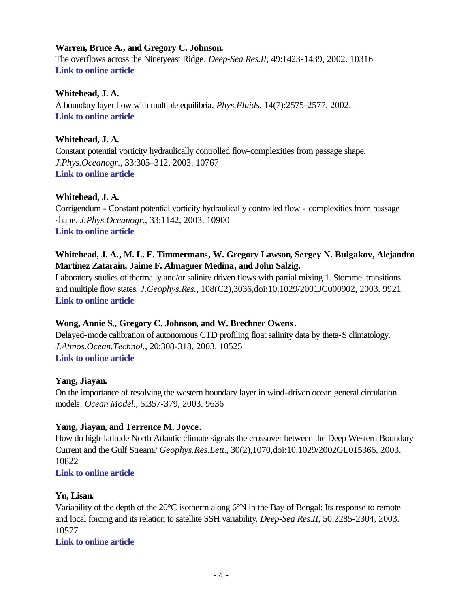# **Warren, Bruce A., and Gregory C. Johnson.**

The overflows across the Ninetyeast Ridge. *Deep-Sea Res.II*, 49:1423-1439, 2002. 10316 **[Link to online article](http://www.sciencedirect.com/science?_ob=MImg&_imagekey=B6VGC-44T4XTK-3-60&_cdi=6035&_orig=browse&_coverDate=12%2F31%2F2002&_sk=999509992&view=c&wchp=dGLbVtz-zSkWW&_acct=C000011858&_version=1&_userid=142773&md5=2648c34839fee1e3d834e6a58948b108&ie=f.pdf)**

#### **Whitehead, J. A.**

A boundary layer flow with multiple equilibria. *Phys.Fluids*, 14(7):2575-2577, 2002. **[Link to online article](http://ojps.aip.org/getpdf/servlet/GetPDFServlet?filetype=pdf&id=PHFLE6000014000007002575000001&idtype=cvips)**

# **Whitehead, J. A.**

Constant potential vorticity hydraulically controlled flow-complexities from passage shape. *J.Phys.Oceanogr.*, 33:305–312, 2003. 10767 **[Link to online article](http://ams.allenpress.com/pdfserv/i1520-0485-033-01-0305.pdf)**

# **Whitehead, J. A.**

Corrigendum - Constant potential vorticity hydraulically controlled flow - complexities from passage shape. *J.Phys.Oceanogr.*, 33:1142, 2003. 10900 **[Link to online article](http://ams.allenpress.com/pdfserv/i1520-0485-033-05-1142.pdf)**

# **Whitehead, J. A., M. L. E. Timmermans, W. Gregory Lawson, Sergey N. Bulgakov, Alejandro Martinez Zatarain, Jaime F. Almaguer Medina, and John Salzig.**

Laboratory studies of thermally and/or salinity driven flows with partial mixing 1. Stommel transitions and multiple flow states. *J.Geophys.Res.*, 108(C2),3036,doi:10.1029/2001JC000902, 2003. 9921 **[Link to online article](http://www.agu.org/journals/jc/jc0302/2001JC000902/2001JC000902.pdf)**

#### **Wong, Annie S., Gregory C. Johnson, and W. Brechner Owens.**

Delayed-mode calibration of autonomous CTD profiling float salinity data by theta-S climatology. *J.Atmos.Ocean.Technol.*, 20:308-318, 2003. 10525 **[Link to online article](http://ams.allenpress.com/pdfserv/i1520-0426-020-02-0308.pdf)**

#### **Yang, Jiayan.**

On the importance of resolving the western boundary layer in wind-driven ocean general circulation models. *Ocean Model.*, 5:357-379, 2003. 9636

# **Yang, Jiayan, and Terrence M. Joyce.**

How do high-latitude North Atlantic climate signals the crossover between the Deep Western Boundary Current and the Gulf Stream? *Geophys.Res.Lett.*, 30(2),1070,doi:10.1029/2002GL015366, 2003. 10822 **[Link to online article](http://www.agu.org/journals/gl/gl0302/2002GL015366/2002GL015366.pdf)**

#### **Yu, Lisan.**

Variability of the depth of the 20°C isotherm along 6°N in the Bay of Bengal: Its response to remote and local forcing and its relation to satellite SSH variability. *Deep-Sea Res.II*, 50:2285-2304, 2003. 10577

**[Link to online article](http://www.sciencedirect.com/science?_ob=MImg&_imagekey=B6VGC-48KV993-2-28&_cdi=6035&_orig=browse&_coverDate=07%2F31%2F2003&_sk=999499987&view=c&wchp=dGLbVzb-zSkzk&_acct=C000011858&_version=1&_userid=142773&md5=063f3b7bf9ddfff337314eb6e393dc11&ie=f.pdf)**